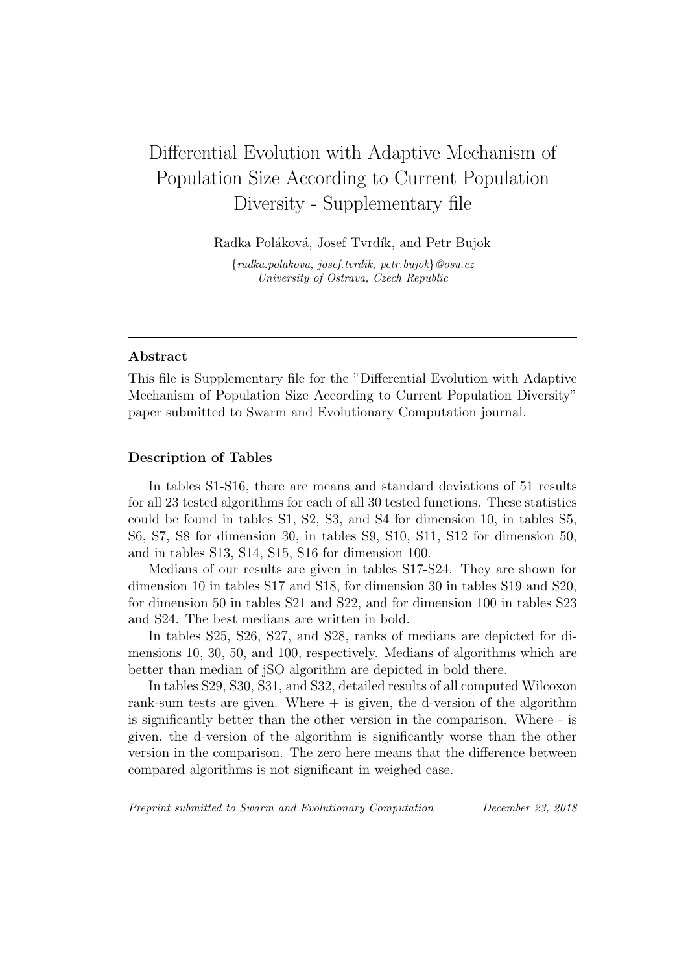## Differential Evolution with Adaptive Mechanism of Population Size According to Current Population Diversity - Supplementary file

Radka Poláková, Josef Tvrdík, and Petr Bujok

*{radka.polakova, josef.tvrdik, petr.bujok}@osu.cz University of Ostrava, Czech Republic*

## **Abstract**

This file is Supplementary file for the "Differential Evolution with Adaptive Mechanism of Population Size According to Current Population Diversity" paper submitted to Swarm and Evolutionary Computation journal.

## **Description of Tables**

In tables S1-S16, there are means and standard deviations of 51 results for all 23 tested algorithms for each of all 30 tested functions. These statistics could be found in tables S1, S2, S3, and S4 for dimension 10, in tables S5, S6, S7, S8 for dimension 30, in tables S9, S10, S11, S12 for dimension 50, and in tables S13, S14, S15, S16 for dimension 100.

Medians of our results are given in tables S17-S24. They are shown for dimension 10 in tables S17 and S18, for dimension 30 in tables S19 and S20, for dimension 50 in tables S21 and S22, and for dimension 100 in tables S23 and S24. The best medians are written in bold.

In tables S25, S26, S27, and S28, ranks of medians are depicted for dimensions 10, 30, 50, and 100, respectively. Medians of algorithms which are better than median of jSO algorithm are depicted in bold there.

In tables S29, S30, S31, and S32, detailed results of all computed Wilcoxon rank-sum tests are given. Where  $+$  is given, the d-version of the algorithm is significantly better than the other version in the comparison. Where - is given, the d-version of the algorithm is significantly worse than the other version in the comparison. The zero here means that the difference between compared algorithms is not significant in weighed case.

*Preprint submitted to Swarm and Evolutionary Computation December 23, 2018*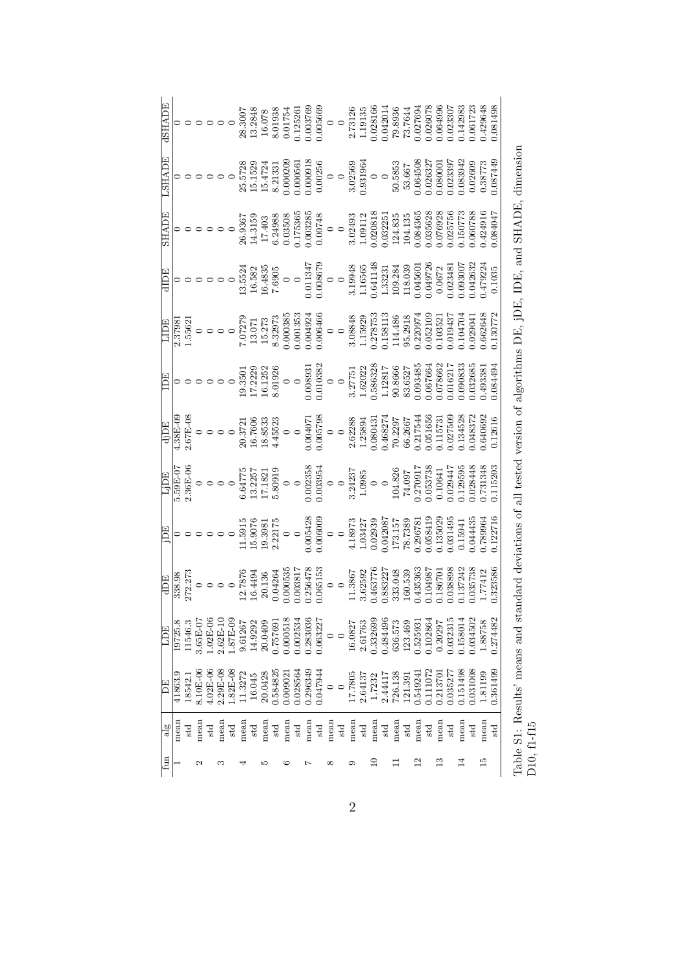| Z              |                    | EQT        | <b>ADE</b>                                                    | ΈŒ                                                                                                                     | LIDE                                                                    | djDE                                                                                                                  | ECI                                                              | LIDE                                                                      | EdIP                                                                                           | <b>SHADE</b>                                                        | LSHADE                                           | <b>ASHADE</b>                                            |
|----------------|--------------------|------------|---------------------------------------------------------------|------------------------------------------------------------------------------------------------------------------------|-------------------------------------------------------------------------|-----------------------------------------------------------------------------------------------------------------------|------------------------------------------------------------------|---------------------------------------------------------------------------|------------------------------------------------------------------------------------------------|---------------------------------------------------------------------|--------------------------------------------------|----------------------------------------------------------|
|                | 41863.9<br>mear    | 19725.8    | 338.98                                                        |                                                                                                                        | $5.59E-07$                                                              | $1.38E-09$                                                                                                            |                                                                  |                                                                           |                                                                                                |                                                                     |                                                  |                                                          |
|                | 18542.<br>std      | .1546.3    | 272.273                                                       |                                                                                                                        | $2.36E-00$                                                              | 2.67E-08                                                                                                              |                                                                  | 2.37981<br>1.55621                                                        |                                                                                                |                                                                     |                                                  |                                                          |
|                | 8.10E-06<br>mean   | $3.65E-0$  |                                                               |                                                                                                                        |                                                                         |                                                                                                                       |                                                                  |                                                                           |                                                                                                |                                                                     |                                                  |                                                          |
|                | 4.02E-06<br>std    | $0.02E-0$  | $\circ \circ \circ \circ \circ$                               |                                                                                                                        | $\circ \circ \circ \circ \circ$                                         |                                                                                                                       |                                                                  |                                                                           |                                                                                                |                                                                     |                                                  |                                                          |
| S              | $2.29E-08$<br>mean | $2.62E-10$ |                                                               |                                                                                                                        |                                                                         |                                                                                                                       |                                                                  |                                                                           |                                                                                                |                                                                     |                                                  |                                                          |
|                | 1.82E-08<br>std    | 1.87E-09   |                                                               |                                                                                                                        |                                                                         |                                                                                                                       |                                                                  |                                                                           |                                                                                                |                                                                     |                                                  | $\circ$ $\circ$                                          |
| 4              | 1.3272<br>mean     | 9.61267    | 12.7876<br>16.4494                                            | $\begin{array}{c} 0 \\ 0 \\ 0 \\ 0 \\ 0 \\ 11.5915 \\ 19.3981 \\ 15.9076 \\ 19.3981 \\ 2.22175 \\ 2.22175 \end{array}$ | $\begin{array}{c} 6.64775 \\ 13.2257 \\ 17.1821 \\ 5.80919 \end{array}$ | $\begin{array}{c} 0 \\ 0 \\ 0 \\ 0 \\ 0 \\ 16.7606 \\ 16.7606 \\ 18.8533 \\ 18.8533 \\ 18.8533 \\ 145523 \end{array}$ |                                                                  |                                                                           | $\begin{array}{c} 0 \\ 0 \\ 0 \\ 0 \\ 0 \\ 13.5524 \\ 16.582 \\ 16.4835 \\ 7.6905 \end{array}$ | 26.9367                                                             | 25.5728                                          | 28.3007<br>13.2848                                       |
|                | 16.045<br>std      | 14.9292    |                                                               |                                                                                                                        |                                                                         |                                                                                                                       |                                                                  |                                                                           |                                                                                                | 14.3159                                                             | 15.1529                                          |                                                          |
| S              | 20.0428<br>mean    | 20.0409    | $20.136$<br>$0.04264$                                         |                                                                                                                        |                                                                         |                                                                                                                       |                                                                  |                                                                           |                                                                                                |                                                                     | 15.4724                                          | 16.078                                                   |
|                | 0.584825<br>std    | 0.75769    |                                                               |                                                                                                                        |                                                                         |                                                                                                                       |                                                                  |                                                                           |                                                                                                |                                                                     | 8.21331                                          | 8.01938<br>0.01754                                       |
| ల              | 0.009021<br>mean   | 0.000518   | 0.00053                                                       | $\circ$ $\circ$                                                                                                        | $\circ$ $\circ$                                                         |                                                                                                                       |                                                                  | 0.00038                                                                   | $\circ$ $\circ$                                                                                | $\begin{array}{c} 17.403 \\ 6.24988 \\ 0.03508 \end{array}$         | $0.000209$<br>$0.000561$<br>$0.000918$           |                                                          |
|                | 0.028564<br>std    | 0.002534   | 0.003817                                                      |                                                                                                                        |                                                                         | $\circ$                                                                                                               |                                                                  |                                                                           |                                                                                                |                                                                     |                                                  | 1.2526                                                   |
| Ņ              | 0.296349<br>mean   | 0.283036   |                                                               |                                                                                                                        |                                                                         |                                                                                                                       |                                                                  |                                                                           |                                                                                                |                                                                     |                                                  |                                                          |
|                | 0.047944<br>std    | 0.63227    |                                                               |                                                                                                                        |                                                                         |                                                                                                                       |                                                                  |                                                                           |                                                                                                |                                                                     |                                                  |                                                          |
| ∞              | $\circ$<br>mean    | $\circ$    | $\begin{array}{c} 0.256478 \\ 0.065153 \\ 0 \\ 0 \end{array}$ | $\begin{array}{c} 0.005428 \\ 0.006009 \\ 0 \\ 0 \end{array}$                                                          | $\begin{array}{c} 0.002358 \\ 0.003954 \\ 0 \\ 0 \end{array}$           | $\begin{array}{c} 0.004071 \\ 0.005798 \\ 0 \\ 0 \\ \end{array}$                                                      | $\begin{array}{c} 0.008931 \\ 0.010382 \\ 0 \\ 0 \\ \end{array}$ | $\begin{array}{l} 0.001353\ 0.004924\ 0.006466\ 0 \end{array}$            | $\begin{array}{l}0.011347\\0.008679\\0\\0\\1.19948\\1.16565\\0.641148\end{array}$              | $\begin{array}{l} 0.175365\ 0.003285\ 0.00748\ 0.00748 \end{array}$ | $\begin{array}{c} 0.00256 \\ 0 \\ 0 \end{array}$ | $\begin{array}{c} 0.003769\ 0.005669\ 0\ 0\ \end{array}$ |
|                | $\circ$<br>std     | $\circ$    |                                                               |                                                                                                                        |                                                                         |                                                                                                                       |                                                                  |                                                                           |                                                                                                |                                                                     |                                                  |                                                          |
| ග              | 17.7805<br>mean    | 16.0827    | 11.3867                                                       | $\begin{array}{c} 4.18973 \\ 1.03427 \\ 0.02939 \end{array}$                                                           | $\begin{array}{c} 3.24237 \\ 1.0985 \\ 0 \\ 0 \end{array}$              | 2.62288<br>1.25894                                                                                                    | $\frac{3.27751}{1.62022}$                                        | $\begin{array}{c} 3.08848 \\ 1.15929 \\ 0.278753 \\ 0.158113 \end{array}$ |                                                                                                | $\begin{array}{c} 3.02493 \\ 1.09112 \end{array}$                   | $3.02569$<br>$0.931964$                          | 2.73126                                                  |
|                | 2.64137<br>std     | 2.61763    | 3.62592                                                       |                                                                                                                        |                                                                         |                                                                                                                       |                                                                  |                                                                           |                                                                                                |                                                                     |                                                  | 1.19135                                                  |
| $\Xi$          | 1.7232<br>mean     | 0.332699   | 0.463776                                                      |                                                                                                                        |                                                                         | 0.080431                                                                                                              | 0.586328                                                         |                                                                           |                                                                                                | 0.020818                                                            | $\circ$                                          | 0.28166                                                  |
|                | 2.44417<br>std     | 0.484496   | 0.883227                                                      | 0.042087                                                                                                               |                                                                         | 1.468274                                                                                                              | 1.12817                                                          |                                                                           | 1.33231                                                                                        | 0.03225                                                             |                                                  | 0.042014                                                 |
| Ξ              | 726.138<br>mean    | 636.573    | 333.048                                                       | 173.157                                                                                                                | 104.826<br>74.097                                                       | 70.2297                                                                                                               | 90.8666                                                          | 114.486                                                                   | 109.284                                                                                        | 124.835                                                             | 50.5853                                          | 79.8936                                                  |
|                | 121.39<br>std      | 123.469    | 160.539                                                       | 78.7389                                                                                                                |                                                                         | 66.2667                                                                                                               | 83.6527                                                          | 95.2918                                                                   | 118.039                                                                                        | 104.135                                                             | 53.667                                           | 73.7644                                                  |
| $^{12}$        | 0.549241<br>mean   | 0.525931   | 0.435363                                                      | 0.29678                                                                                                                | 16022.0                                                                 | 0.217544                                                                                                              | 0.093485                                                         | 1.220974                                                                  | 0.04560                                                                                        | 0.084365                                                            | 0.064508<br>0.026327                             | 027694                                                   |
|                | 0.111072<br>std    | 0.102864   | 0.10498                                                       | 0.058419                                                                                                               | 0.053738                                                                | 0.051656                                                                                                              | 0.067664                                                         | 0.052109                                                                  | 0.049726                                                                                       | 0.035628                                                            |                                                  | 0.26078                                                  |
| $\frac{3}{1}$  | 0.213701<br>mean   | 0.20297    | 0.18670                                                       | 1.135029                                                                                                               | 0.10641                                                                 | 0.11573                                                                                                               | 0.078662                                                         | 1.03521                                                                   | 0.0672                                                                                         | 0.076928                                                            | 0.080001                                         | 0.064996                                                 |
|                | 0.03527<br>std     | 0.32315    | 0.038898                                                      | 0.031495                                                                                                               | 1.029447                                                                | 0.027509                                                                                                              | 0.016217                                                         | 1.019437                                                                  | 0.23481                                                                                        | 0.025756                                                            | 0.023397                                         | 0.023307                                                 |
| 14             | 0.151498<br>mean   | 1.158014   | 0.137242                                                      | 0.15941                                                                                                                | 1.29595                                                                 | 0.134528                                                                                                              | 0.090833                                                         | 104704                                                                    | 0.093007                                                                                       | 0.150773                                                            | 0.83942                                          | 1.142983                                                 |
|                | 0.031008<br>std    | 0.034502   | 0.035738                                                      | 0.044435                                                                                                               | 1.028448                                                                | 0.048372                                                                                                              | 0.32685                                                          | 1.029041                                                                  | 0.42632                                                                                        | 0.660788                                                            | 0.02609                                          | 0.61723                                                  |
| $\frac{15}{2}$ | 1.81199<br>mean    | 1.88758    | 1.77412                                                       | 0.789964                                                                                                               | 1.731348                                                                | 0.640692                                                                                                              | 1.493381                                                         | 0.662648                                                                  | 0.479224                                                                                       | 0.424916                                                            | 0.38773                                          | 1.429648                                                 |
|                | 0.361499<br>std    | 0.274482   | 0.323586                                                      | 0.122716                                                                                                               | 1.115203                                                                | 0.12616                                                                                                               | 0.084494                                                         | 1.130772                                                                  | 0.1035                                                                                         | 1.084047                                                            | 0.087449                                         | 0.081498                                                 |

Table S1: Results' means and standard deviations of all tested version of algorithms DE, jDE, IDE, and SHADE, dimension Table S1: Results' means and standard deviations of all tested version of algorithms DE, jDE, IDE, and SHADE, dimension D10, f1-f15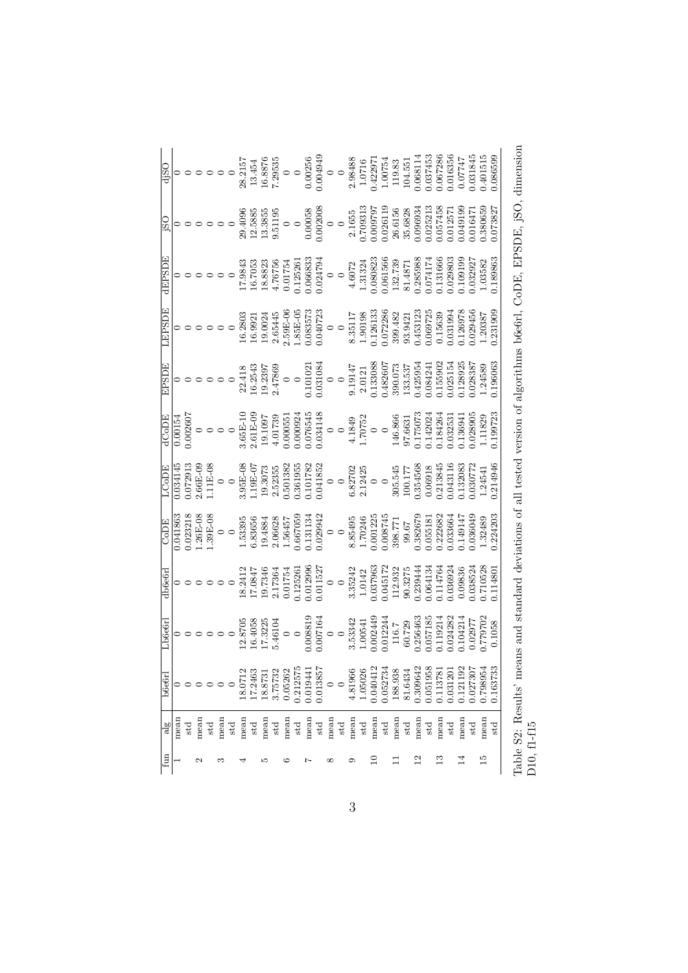| di <sub>SO</sub><br>$\overline{150}$ |          | $\circ \circ \circ \circ \circ \circ$ |              | $\circ$ $\circ$ $\circ$   |                 |         | 28.215<br>29.4096 | 13.454<br>12.5885 | 16.8876<br>13.3855 | 7.29535<br>9.51195 | $\circ$ $\circ$ | $\circ$  | 0.00256<br>0.00058 | 0.004949<br>0.002008 | $\circ$<br>$\circ$ |                 | 2.98488<br>2.1655 | 1.0716<br>0.709313 | 0.42297<br>0.009797 | 1.00754<br>0.026119 | 119.83<br>26.6156 | 104.551<br>35.6828 | 0.068114<br>0.096934 | 0.37453<br>0.25213 | 0.067286<br>0.057458 | 0.016356<br>0.012571 | 0.07747<br>0.049199 | 0.31845<br>0.016471 | 0.401515<br>0.380659 | 0.086599<br>0.073827 |
|--------------------------------------|----------|---------------------------------------|--------------|---------------------------|-----------------|---------|-------------------|-------------------|--------------------|--------------------|-----------------|----------|--------------------|----------------------|--------------------|-----------------|-------------------|--------------------|---------------------|---------------------|-------------------|--------------------|----------------------|--------------------|----------------------|----------------------|---------------------|---------------------|----------------------|----------------------|
| <b>GEPSDE</b>                        |          |                                       |              |                           |                 |         | 17.9843           | 16.7053           | 18.8823            | 4.76756            | 0.01754         | 0.125261 | 0.066833           | 0.024794             | $\circ$            | $\circ$         | 4.6072            | 1.31324            | 0.080823            | 0.061566            | 132.739           | 81.4871            | 0.285988             | 0.074174           | 0.131666             | 0.029803             | 0.109199            | 0.032927            | 1.03582              | 0.189863             |
|                                      |          |                                       |              |                           | $\circ$ $\circ$ |         | 16.2803           | 16.992            | 19.0024            | 2.65445            | 2.59E-06        | 1.85E-05 | 0.083573           | 0.040723             | $\circ$            |                 | 8.35117           | 1.90198            | 0.126133            | 0.072286            | 399.482           | 93.9421            | 0.453123             | 0.069725           | 0.15639              | 0.031994             | 1.26978             | 029456              | 1.20387              | 0.231909             |
| EPSDE                                |          | $\circ\circ\circ\circ\circ$           |              |                           |                 |         | 22.418            | 16.2543           | 19.2397            | 2.47869            | $\circ$         |          | 0.10102            | 0.031084             | $\circ$            |                 | 9.19147           | 2.0121             | 1.133088            | 1.482607            | 390.073           | 133.537            | 1.425954             | 0.84241            | 0.155902             | 0.25154              | 1.28925             | 028387              | 1.24589              | 1.196063             |
| dCoDE                                | 0.00154  | 0.002607                              |              | $\circ \circ \circ \circ$ |                 |         | 3.65E-10          | $2.61E-09$        | 19.1097            | 4.01739            | 0.00055         | 0.000924 | 0.76545            | 0.034148             |                    | $\circ$ $\circ$ | 4.1849<br>1.70752 |                    | $\circ$             |                     | 146.866           | 97.6631            | 1.175073             | 0.142024           | 0.184264             | 0.32531              | 1.136941            | 028905              | 1.11829              | 0.199723             |
| LCoDE                                | 0.034145 | 0.072913                              | $2.66E - 09$ | 1.11E-08                  | $\circ$         | $\circ$ | 3.95E-08          | 1.19E-07          | 19.3073            | 2.52355            | 0.501382        | 0.361955 | 0.101782           | 0.041852             | $\circ$            |                 | 6.82702           | 2.12425            | $\circ$             | $\circ$             | 305.545           | 100.177            | 0.354568             | 0.06918            | 0.213845             | 0.043116             | 0.132083            | 0.30772             | 1.24541              | 0.214946             |
| CoDE                                 | 0.041863 | 0.023218                              | $1.26E - 08$ | 1.39E-08                  |                 | $\circ$ | 1.53395           | 6.83656           | 19.4884            | 2.06628            | 1.56457         | 0.667059 | 0.131134           | 0.029942             | $\circ$            |                 | 8.85495           | 1.70246            | 0.001225            | 0.008745            | 398.771           | 99.67              | 0.382679             | 0.055181           | 0.222682             | 0.033664             | 149147              | 0.036049            | 1.32489              | 0.224203             |
| db6e6rl                              |          | $\circ \circ \circ \circ \circ \circ$ |              |                           |                 |         | 18.2412           | 17.0847           | 19.7346            | 2.17364            | 0.01754         | 0.12526  | 0.012996           | 0.011527             | $\circ$            |                 | 3.35242           | 1.0142             | 0.37963             | 0.045172            | 112.932           | 90.3275            | 0.239444             | 0.64134            | 0.114764             | 0.36924              | 0.09836             | 038524              | 0.710528             | 1.114801             |
| ${\rm Lb666rl}$                      |          |                                       |              |                           | $\circ$         |         | 12.8705           | 16.4058           | 17.3225            | 5.46104            | $\circ$         |          | 0.008819           | 0.007164             | $\circ$            |                 | 3.53342           | 1.00541            | 0.002449            | 0.012244            | 116.7             | 60.729             | 0.256463             | 0.57185            | 119214               | 0.24282              | 1.104214            | 0.02977             | 1.779702             | 0.1058               |
| b6e6r                                |          |                                       |              |                           |                 | $\circ$ | 18.0712           | 17.2463           | 18.8731            | 3.75732            | 0.05262         | 0.212575 | 0.019441           | 0.013857             |                    | $\circ$         | 4.81966           | 1.05026            | 0.040412            | 0.052734            | 188.938           | 81.6434            | 0.309642             | 0.051958           | 0.113781             | 0.031201             | 0.121192            | 0.027307            | 0.798954             | 0.163733             |
| $\frac{8}{3}$                        | mean     | std                                   | mean         | std                       | mean            | std     | mean              | std               | mean               | std                | mean            | std      | mean               | $_{\rm std}$         | mean               | std             | mean              | $_{\rm std}$       | mean                | std                 | mean              | std                | mean                 | std                | mean                 | std                  | mean                | std                 | mean                 | std                  |
| fun                                  |          |                                       | N            |                           | S               |         |                   |                   | S                  |                    | ల               |          | Ņ                  |                      | $^{\circ}$         |                 | ග                 |                    | $\Xi$               |                     | Ξ                 |                    | $^{12}$              |                    | ≌                    |                      | $^{14}$             |                     | 15                   |                      |

| くて・ 「しょくししゃ しょうしょく しょう        |             |
|-------------------------------|-------------|
|                               |             |
|                               |             |
| ٢<br>م                        |             |
| l                             |             |
| $\frac{1}{2}$                 |             |
|                               |             |
|                               |             |
|                               |             |
| j<br>I<br>i<br>I              |             |
|                               |             |
|                               |             |
|                               |             |
|                               |             |
|                               |             |
|                               |             |
| こくらこう                         |             |
|                               |             |
| י המי המי<br>$\sum_{i=1}^{N}$ |             |
| j<br>)<br>)<br>)<br>)<br>)    |             |
| I<br>I<br>l                   |             |
| į                             | i<br>S<br>I |
| )<br>}<br>}<br>j              | Ĩ           |
| I                             |             |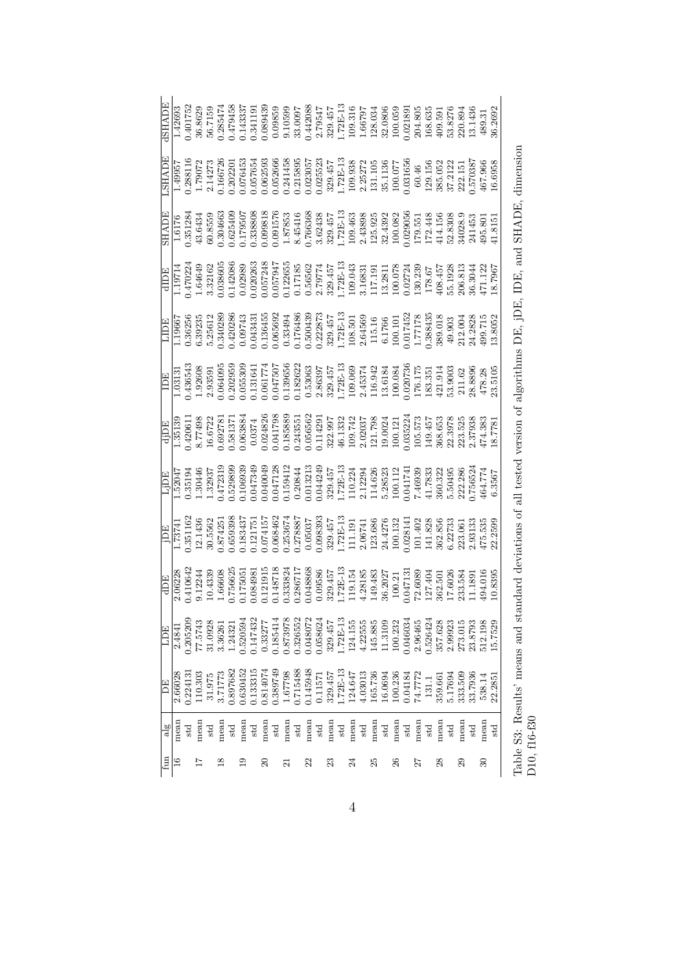| <b>SHADE</b>    |         |          |         |              |         |          |          |              |                 |              | $[\begin{array}{l} 1.42693\\ 0.401752\\ 0.56829\\ 0.68629\\ 0.758474\\ 0.401752\\ 0.364747\\ 0.401752\\ 0.364747\\ 0.401752\\ 0.567151\\ 0.19543\\ 0.1953\\ 0.9989\\ 0.9989\\ 0.909\\ 0.0000\\ 0.00000\\ 0.00000\\ 0.00000\\ 0.00000\\ 0.00000\\ 0.00000\\ 0.0$                                                                                                                                                                                                                                                                                                                                                                                          |              |      |              |         |                         |      |              |         |         |         |                    |         |          |         |                               |         |     |                 |                                                                                                                                                                                                                                                                                                                                                                                                                                                                                                                                                                                                                      |  |
|-----------------|---------|----------|---------|--------------|---------|----------|----------|--------------|-----------------|--------------|----------------------------------------------------------------------------------------------------------------------------------------------------------------------------------------------------------------------------------------------------------------------------------------------------------------------------------------------------------------------------------------------------------------------------------------------------------------------------------------------------------------------------------------------------------------------------------------------------------------------------------------------------------|--------------|------|--------------|---------|-------------------------|------|--------------|---------|---------|---------|--------------------|---------|----------|---------|-------------------------------|---------|-----|-----------------|----------------------------------------------------------------------------------------------------------------------------------------------------------------------------------------------------------------------------------------------------------------------------------------------------------------------------------------------------------------------------------------------------------------------------------------------------------------------------------------------------------------------------------------------------------------------------------------------------------------------|--|
| <b>ALAHS.</b>   |         |          |         |              |         |          |          |              |                 |              | $\begin{array}{l} 1.49957 \\ 1.79072 \\ 0.288116 \\ 0.166720 \\ 0.16720 \\ 0.057654 \\ 0.000000000 \\ 0.00000000 \\ 0.0000000 \\ 0.0000000 \\ 0.0000000 \\ 0.0000000 \\ 0.0000000 \\ 0.0000000 \\ 0.0000000 \\ 0.0000000 \\ 0.000000 \\ 0.000000 \\ 0.000000 \\ 0.000000 \\ 0.$                                                                                                                                                                                                                                                                                                                                                                          |              |      |              |         |                         |      |              |         |         |         |                    |         |          |         |                               |         |     |                 |                                                                                                                                                                                                                                                                                                                                                                                                                                                                                                                                                                                                                      |  |
| HADE            |         |          |         |              |         |          |          |              |                 |              | $\begin{array}{r} 1.6176 \\ 0.351284 \\ 0.36559 \\ 0.36559 \\ 0.374663 \\ 0.00000 \\ 0.000000 \\ 0.000000 \\ 0.000000 \\ 0.000000 \\ 0.000000 \\ 0.000000 \\ 0.000000 \\ 0.000000 \\ 0.000000 \\ 0.000000 \\ 0.000000 \\ 0.000000 \\ 0.000000 \\ 0.000000 \\ 0.000000 \\ 0.00000$                                                                                                                                                                                                                                                                                                                                                                        |              |      |              |         |                         |      |              |         |         |         |                    |         |          |         |                               |         |     |                 |                                                                                                                                                                                                                                                                                                                                                                                                                                                                                                                                                                                                                      |  |
|                 |         |          |         |              |         |          |          |              |                 |              | $\begin{array}{r l} \hline \text{dID} \text{L} \\ 1.19714 \\ 1.470224 \\ 1.4649 \\ 0.02866 \\ 0.057248 \\ 0.02086 \\ 0.057248 \\ 0.057947 \\ 0.1718 \\ 0.00000 \\ 0.057947 \\ 0.1718 \\ 0.00000 \\ 0.00000 \\ 0.00000 \\ 0.00000 \\ 0.00000 \\ 0.00000 \\ 0.00000 \\ 0.00000 \\ 0.00000 \\ 0.00$                                                                                                                                                                                                                                                                                                                                                         |              |      |              |         |                         |      |              |         |         |         |                    |         |          |         |                               |         |     |                 |                                                                                                                                                                                                                                                                                                                                                                                                                                                                                                                                                                                                                      |  |
|                 |         |          |         |              |         |          |          |              |                 |              | $\begin{array}{r} \hline \text{LIDE} \\ 1.19667 \\ 0.36256 \\ 0.32335 \\ 0.340289 \\ 0.00743 \\ 0.00743 \\ 0.00743 \\ 0.000743 \\ 0.00000 \\ 0.00000 \\ 0.00000 \\ 0.00000 \\ 0.00000 \\ 0.00000 \\ 0.00000 \\ 0.00000 \\ 0.00000 \\ 0.00000 \\ 0.00000 \\ 0.00000 \\ 0.00000 \\ 0.00000 \\ 0.$                                                                                                                                                                                                                                                                                                                                                          |              |      |              |         |                         |      |              |         |         |         |                    |         |          |         |                               |         |     |                 |                                                                                                                                                                                                                                                                                                                                                                                                                                                                                                                                                                                                                      |  |
|                 |         |          |         |              |         |          |          |              |                 |              |                                                                                                                                                                                                                                                                                                                                                                                                                                                                                                                                                                                                                                                          |              |      |              |         |                         |      |              |         |         |         |                    |         |          |         |                               |         |     |                 | $[\begin{array}{c} {\bf \underline{1}}{\bf \underline{1}}{\bf \underline{1}}{\bf \underline{1}}{\bf \underline{1}}{\bf \underline{3}}{\bf \underline{1}}{\bf \underline{1}}{\bf \underline{3}}{\bf \underline{1}}{\bf \underline{1}}{\bf \underline{3}}{\bf \underline{1}}{\bf \underline{1}}{\bf \underline{3}}{\bf \underline{1}}{\bf \underline{3}}{\bf \underline{1}}{\bf \underline{3}}{\bf \underline{1}}{\bf \underline{2}}{\bf \underline{3}}{\bf \underline{4}}{\bf \underline{3}}{\bf \underline{5}}{\bf \underline{4}}{\bf \underline{5}}{\bf \underline{6}}{\bf \underline{7}}{\bf \underline{7}}{\bf \$ |  |
|                 |         |          |         |              |         |          |          |              |                 |              | $\begin{array}{r} \text{dipp} \\ \hline 1,35139 \\ 0.420611 \\ 0.6722 \\ 0.68383 \\ 0.692781 \\ 0.6722 \\ 0.69383 \\ 0.60383 \\ 0.60384 \\ 0.60384 \\ 0.60384 \\ 0.60385 \\ 0.60385 \\ 0.60385 \\ 0.60385 \\ 0.60385 \\ 0.60385 \\ 0.60385 \\ 0.60385 \\ 0.60385 \\ 0.60385 \\ 0.60385 \\ 0.6$                                                                                                                                                                                                                                                                                                                                                           |              |      |              |         |                         |      |              |         |         |         |                    |         |          |         |                               |         |     |                 |                                                                                                                                                                                                                                                                                                                                                                                                                                                                                                                                                                                                                      |  |
|                 |         |          |         |              |         |          |          |              |                 |              | $\begin{array}{l} \text{Lip} \\ 1.52047 \\ 1.52047 \\ 1.30446 \\ 0.35194 \\ 0.47233 \\ 0.6100 \\ 0.6100 \\ 0.6100 \\ 0.6100 \\ 0.6100 \\ 0.6100 \\ 0.6100 \\ 0.6100 \\ 0.6100 \\ 0.6100 \\ 0.6100 \\ 0.6100 \\ 0.6100 \\ 0.6100 \\ 0.6100 \\ 0.6100 \\ 0.6100 \\ 0.6100 \\ 0.6100 \\ 0.6100 \\ $                                                                                                                                                                                                                                                                                                                                                         |              |      |              |         |                         |      |              |         |         |         |                    |         |          |         |                               |         |     |                 |                                                                                                                                                                                                                                                                                                                                                                                                                                                                                                                                                                                                                      |  |
|                 |         |          |         |              |         |          |          |              |                 |              | $[\begin{array}{l} \underline{\text{1}}\underline{\text{1}}\underline{\text{1}}\underline{\text{1}}\underline{\text{1}}\underline{\text{1}}\underline{\text{1}}\underline{\text{1}}\underline{\text{1}}\underline{\text{1}}\underline{\text{1}}\underline{\text{1}}\underline{\text{1}}\underline{\text{1}}\underline{\text{1}}\underline{\text{1}}\underline{\text{1}}\underline{\text{1}}\underline{\text{1}}\underline{\text{1}}\underline{\text{1}}\underline{\text{1}}\underline{\text{1}}\underline{\text{1}}\underline{\text{1}}\underline{\text{1}}\underline{\text{1}}\underline{\text{1}}\underline{\text{1}}\underline{\text{1}}\underline{\$ |              |      |              |         |                         |      |              |         |         |         |                    |         |          |         |                               |         |     |                 |                                                                                                                                                                                                                                                                                                                                                                                                                                                                                                                                                                                                                      |  |
|                 |         |          |         |              |         |          |          |              |                 |              | $\begin{array}{r} 2.06228 \\ 0.410641 \\ 0.12244 \\ 1.66608 \\ 0.175051 \\ 0.175051 \\ 0.121915 \\ 0.121915 \\ 0.133824 \\ 0.148718 \\ 0.148718 \\ 0.08868 \\ 0.08868 \\ 0.08868 \\ 0.00886 \\ 0.00886 \\ 0.00886 \\ 0.00886 \\ 0.00886 \\ 0.00886 \\ 0.00886 \\ 0.00886 \\ 0.0088$                                                                                                                                                                                                                                                                                                                                                                      |              |      |              |         |                         |      |              |         |         |         |                    |         |          |         |                               |         |     |                 |                                                                                                                                                                                                                                                                                                                                                                                                                                                                                                                                                                                                                      |  |
| E               | 2.4841  | 1.205209 | 77.5743 | 31.0928      | 3.36261 | 1.24321  | 1.520594 | 1.147432     | 0.33277         | 0.185414     | $\begin{array}{c} 0.873978 \\ 0.326552 \\ 0.048072 \\ 0.058624 \end{array}$                                                                                                                                                                                                                                                                                                                                                                                                                                                                                                                                                                              |              |      |              | 329.457 | $1.72E-13$<br>$124.155$ |      | 4.22555      | 145.885 | 11.3109 | 100.232 | 0.046034           | 2.96465 | 1.526424 | 357.628 | 2.99923                       | 273.015 |     | 112.198         | 15.7529                                                                                                                                                                                                                                                                                                                                                                                                                                                                                                                                                                                                              |  |
| E               | 2.66028 | 1.22413  | 110.303 | 31.975       | 3.71773 | 0.897682 | 1.630452 | 0.133315     | 0.814074        | 0.389749     | $\begin{array}{c} 1.67798 \\ 0.715488 \\ 0.145948 \\ 0.11571 \end{array}$                                                                                                                                                                                                                                                                                                                                                                                                                                                                                                                                                                                |              |      |              | 329.457 | 1.72E-13<br>124.647     |      | 4.03013      | 165.736 | 16.0694 | 100.236 | 0.04184<br>74.7772 |         | 131.1    | 359.661 | 5.17694<br>333.509<br>33.7936 |         |     | 538.14          | 22.285                                                                                                                                                                                                                                                                                                                                                                                                                                                                                                                                                                                                               |  |
| $a\overline{a}$ | mean    | std      | mean    | $_{\rm std}$ | mean    | std      | mean     | $_{\rm std}$ | mean            | $_{\rm std}$ | mean                                                                                                                                                                                                                                                                                                                                                                                                                                                                                                                                                                                                                                                     | $_{\rm std}$ | mean | $_{\rm std}$ | mean    | $_{\rm std}$            | mean | $_{\rm std}$ | mean    | std     | mean    | std                | mean    | std      | mean    | $_{\rm std}$                  | mean    | std | mean            | std                                                                                                                                                                                                                                                                                                                                                                                                                                                                                                                                                                                                                  |  |
| $f_{\rm{un}}$   |         |          |         |              | ≌       |          |          |              | $\overline{20}$ |              | ಸ                                                                                                                                                                                                                                                                                                                                                                                                                                                                                                                                                                                                                                                        |              | 22   |              | 23      |                         |      |              | 25      |         | $^{26}$ |                    |         |          | $^{28}$ |                               | 29      |     | $\overline{30}$ |                                                                                                                                                                                                                                                                                                                                                                                                                                                                                                                                                                                                                      |  |

Table S3: Results' means and standard deviations of all tested version of algorithms DE, jDE, IDE, and SHADE, dimension Table S3: Results' means and standard deviations of all tested version of algorithms DE, jDE, IDE, and SHADE, dimension D10, f16-f30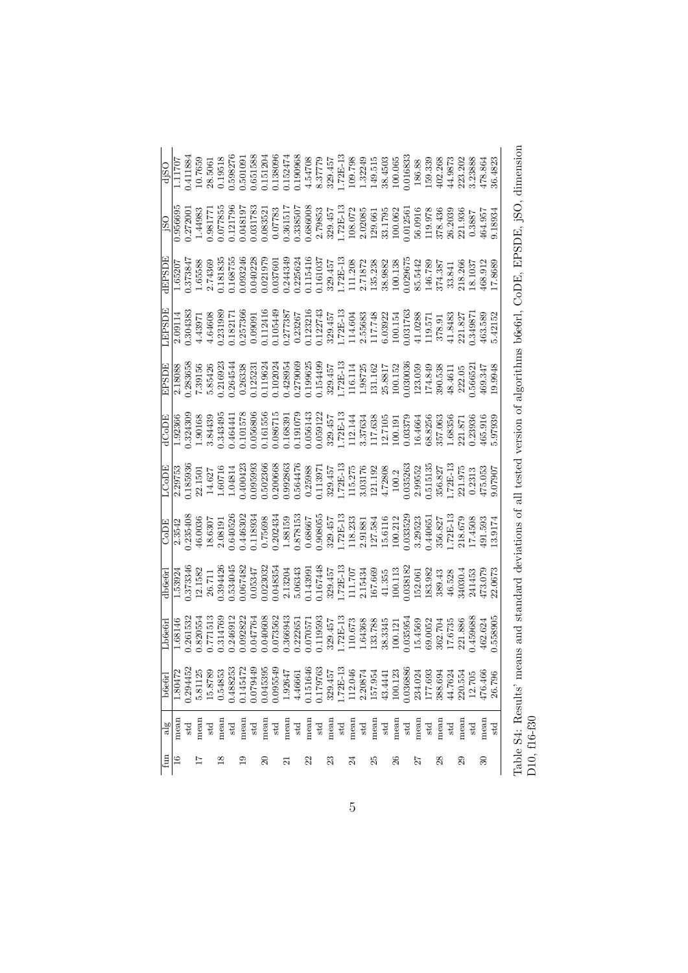| fun                     | alg          | b6e6r    | Lb6e6rl  | db6e6r     | <b>ECOD</b> | HCODE     | dCoDE     | EPSDE     | <b>GRAAT</b> | dEPSDE     | SS)        | djSO      |
|-------------------------|--------------|----------|----------|------------|-------------|-----------|-----------|-----------|--------------|------------|------------|-----------|
| ≌                       | mean         | 1.80472  | 1.68146  | 1.53924    | 2.3542      | 2.29753   | 1.92366   | 2.18088   | 2.09114      | 1.65207    | 0.956695   | 1.11707   |
|                         | std          | 0.294452 | 0.261532 | 0.373346   | 0.235408    | 0.185936  | 0.324309  | 0.283658  | 0.304383     | 1.373847   | 0.27200    | 0.411884  |
| 17                      | mean         | 5.81125  | 0.820554 | 12.1582    | 46.0036     | 22.1501   | 1.90168   | 7.39156   | 4.43971      | 1.65588    | 1.44983    | 10.7659   |
|                         | std          | 15.8789  | 0.771513 | 26.711     | 18.6307     | 14.627    | 3.84439   | 5.85426   | 4.64608      | 2.74369    | 1.98177    | 28.5061   |
| $^{8}$                  | mean         | 0.54853  | 0.314769 | 0.394426   | 2.08191     | 1.60716   | 0.343495  | 0.216923  | 0.231989     | 0.181835   | 0.077855   | 0.19518   |
|                         | std          | 0.488253 | 0.246912 | 0.534045   | 0.640526    | 1.04814   | 0.464441  | 0.264544  | 0.18217      | 0.168755   | 0.121796   | 0.598276  |
| $\mathbf{c}$            | mean         | 0.145472 | 0.092822 | 0.067482   | 0.446302    | 0.400423  | 0.101578  | 0.26338   | 0.257366     | 0.093246   | 0.048197   | 0.501091  |
|                         | std          | 0.079449 | 0.047764 | 0.05347    | 1.118934    | 0.95993   | 0.056806  | 0.12523   | 0.09091      | 0.040228   | 0.31783    | 0.651588  |
| $\Omega$                | mean         | 0.045395 | 0.040608 | 0.023032   | 0.75698     | 0.502366  | 0.161556  | 0.119624  | 0.112416     | 0.021979   | 0.08352    | 0.151204  |
|                         | std          | 0.095549 | 0.073562 | 0.048354   | 0.202434    | 0.200668  | 0.086715  | 0.102024  | 0.105449     | 0.037601   | 0.07783    | 1.138096  |
| $\overline{\mathbf{z}}$ | mean         | 1.92647  | 0.366943 | 2.13204    | 1.88159     | 0.992863  | 0.168391  | 1.428954  | 0.277387     | 0.244349   | 0.361517   | 0.152474  |
|                         | std          | 4.46661  | 0.222651 | 5.06343    | 0.878153    | 0.564476  | 0.191079  | 0.279069  | 0.23267      | 0.225624   | 0.33850    | 0.190968  |
| 22                      | mean         | 0.151646 | 0.070571 | 0.143991   | 0.68667     | 0.25988   | 0.056143  | 0.199625  | 0.123216     | 0.115416   | 0.686008   | 4.54708   |
|                         | $_{\rm std}$ | 0.179763 | 0.119593 | 0.167448   | 0.908055    | 0.11397   | 0.059122  | 0.154499  | 0.122743     | 0.161037   | 2.79853    | 8.37779   |
| 23                      | mean         | 329.457  | 329.457  | 329.457    | 329.457     | 329.457   | 329.457   | 329.457   | 329.457      | 329.457    | 329.457    | 329.457   |
|                         | std          | 1.72E-13 | 1.72E-13 | $1.72E-13$ | $.72E-13$   | L.72E-13  | $.72E-13$ | $.72E-13$ | 1.72E-13     | $1.72E-13$ | $1.72E-13$ | $.72E-13$ |
| $\mathbb{Z}$            | mean         | 112.046  | 110.673  | 111.707    | 118.233     | 115.275   | 112.144   | 116.114   | 114.604      | 111.208    | 108.072    | 109.798   |
|                         | std          | 2.20874  | 1.64368  | 2.15434    | 2.91881     | 3.03176   | 3.37634   | 1.98725   | 2.55683      | 2.71872    | 2.02085    | 1.32249   |
| 25                      | mean         | 157.954  | 133.788  | 167.669    | 127.584     | 121.192   | 117.638   | 131.162   | 117.748      | 135.238    | 129.661    | 149.515   |
|                         | $_{\rm std}$ | 43.4441  | 38.3345  | 41.355     | 15.6116     | 4.72808   | 12.7105   | 25.8817   | 6.03922      | 38.9882    | 33.1795    | 38.4503   |
| 26                      | mean         | 100.123  | 100.121  | 100.113    | 100.212     | 100.2     | 100.191   | 100.152   | 100.154      | 100.138    | 100.062    | 100.065   |
|                         | std          | 036886   | 0.035954 | 0.38182    | 0.033529    | 0.35263   | 0.3379    | 0.30036   | 0.31763      | 0.29675    | 0.1256     | 0.16833   |
| 27                      | mean         | 234.024  | 15.4569  | 152.061    | 3.29523     | 2.99552   | 16.4664   | 123.059   | 41.0288      | 85.5442    | 56.0916    | 186.88    |
|                         | std          | 177.693  | 69.0052  | 183.982    | 1.44065     | 0.515135  | 58.8256   | 174.849   | 119.571      | 146.789    | 119.978    | 159.339   |
| 28                      | mean         | 388.694  | 362.704  | 389.43     | 356.827     | 356.827   | 357.063   | 390.538   | 378.91       | 374.387    | 378.436    | 102.268   |
|                         | std          | 44.7624  | 17.6735  | 46.528     | $.72E-13$   | $.72E-13$ | 68356     | 18.4611   | 41.8483      | 33.841     | 26.2039    | 14.9873   |
| 29                      | mean         | 220.554  | 221.886  | 34030.4    | 218.679     | 221.975   | 221.871   | 222.05    | 221.827      | 218.266    | 221.936    | 223.202   |
|                         | std          | 12.705   | 0.459688 | 241453     | 7.4508      | 0.2313    | 0.23936   | 1.56652   | 1.34987      | 18.1037    | 0.3887     | 3.23888   |
| $\mathbb{S}^2$          | mean         | 476.466  | 462.624  | 473.079    | 191.593     | 475.053   | 465.916   | 169.347   | 463.589      | 168.912    | 164.957    | 478.864   |
|                         | std          | 26.796   | 0.558905 | 22.0673    | 13.9174     | 9.07907   | 5.97939   | 19.9948   | 5.42152      | 17.8689    | 9.18934    | 36.4823   |

| ֖֖֖֧ׅ֖֧֪ׅ֖֧֪ׅ֪֪֪ׅ֖֧֪֪ׅ֪֪֪ׅ֧֪ׅ֧֪ׅ֧֚֚֚֚֚֚֚֚֚֚֚֚֚֚֚֚֚֚֚֚֚֚֚֚֚֚֚֚֚֚֚֚֚֚֚֚֬֝֝֝֓֞֝֝<br>$\frac{1}{2}$<br>j |                      |
|-----------------------------------------------------------------------------------------------------|----------------------|
|                                                                                                     |                      |
| Contracted that is a second                                                                         |                      |
|                                                                                                     |                      |
|                                                                                                     |                      |
| ļ<br>١                                                                                              |                      |
| - これのことになる                                                                                          |                      |
| j<br>l                                                                                              |                      |
| 5<br>!                                                                                              |                      |
| $\ddot{\phantom{a}}$<br>;<br>;                                                                      |                      |
| $\frac{1}{2}$<br>てくら                                                                                |                      |
| )<br>}<br>}<br>c<br>Sepa<br>3<br>Stra                                                               |                      |
| l<br>)<br>)<br>)<br>)<br>j<br>$\overline{a}$<br>l<br>l                                              |                      |
|                                                                                                     |                      |
| こうこう<br>۱                                                                                           | ׇ֚֬֓֡<br>֧֚֚֬֝֬<br>I |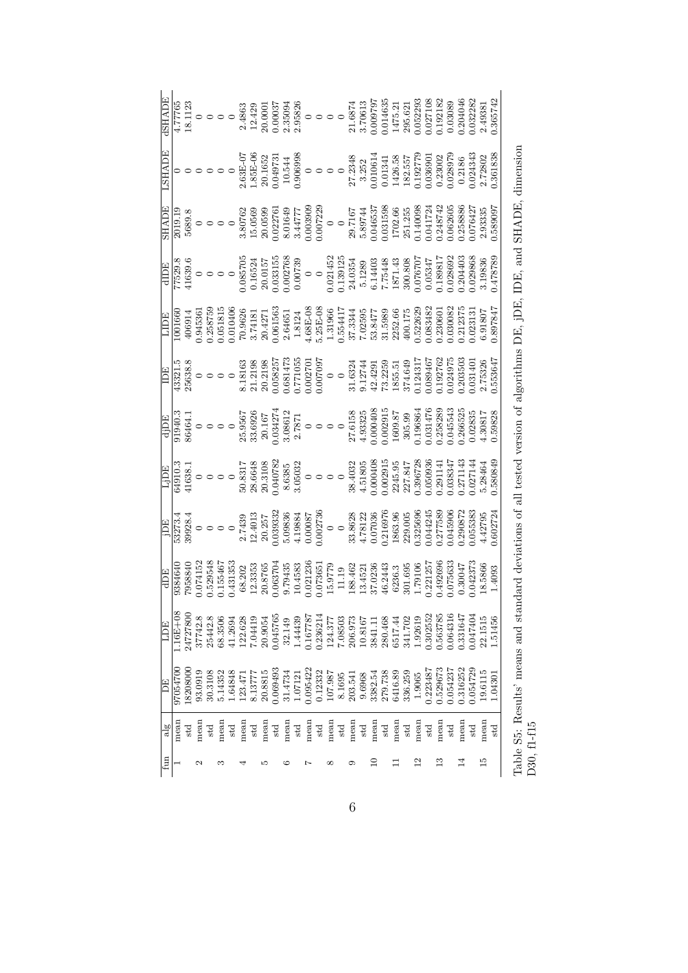| ISHADE      |              |          |                                                                                                                                                                                                                                                                                                                                                                      |         |         |         |         |              |         |          |         |              |          |          |         |              |         |         |         |              |         |         |         |          |          |          |          |        |         | 1.365742                                                                                                                                                                                                                                                                                                                                                        |  |
|-------------|--------------|----------|----------------------------------------------------------------------------------------------------------------------------------------------------------------------------------------------------------------------------------------------------------------------------------------------------------------------------------------------------------------------|---------|---------|---------|---------|--------------|---------|----------|---------|--------------|----------|----------|---------|--------------|---------|---------|---------|--------------|---------|---------|---------|----------|----------|----------|----------|--------|---------|-----------------------------------------------------------------------------------------------------------------------------------------------------------------------------------------------------------------------------------------------------------------------------------------------------------------------------------------------------------------|--|
| LSHADE      |              |          |                                                                                                                                                                                                                                                                                                                                                                      |         |         |         |         |              |         |          |         |              |          |          |         |              |         |         |         |              |         |         |         |          |          |          |          |        |         | .361838                                                                                                                                                                                                                                                                                                                                                         |  |
|             |              |          |                                                                                                                                                                                                                                                                                                                                                                      |         |         |         |         |              |         |          |         |              |          |          |         |              |         |         |         |              |         |         |         |          |          |          |          |        |         | 2.93335<br>0.589097                                                                                                                                                                                                                                                                                                                                             |  |
|             |              |          | $\begin{array}{r rrrr} &\text{dIDE} \\\hline \text{529.8} \\\hline \text{77529.8} \\\hline \text{41639.6} \\\hline \text{0.085705} \\\hline \text{0.08705} \\\hline \text{0.031155} \\\hline \text{0.002768} \\\hline \text{0.002768} \\\hline \text{0.002768} \\\hline \text{0.002768} \\\hline \text{0.002768} \\\hline \text{0.0021452} \\\hline \text{0.0021453$ |         |         |         |         |              |         |          |         |              |          |          |         |              |         |         |         |              |         |         |         |          |          |          |          |        |         |                                                                                                                                                                                                                                                                                                                                                                 |  |
|             |              |          |                                                                                                                                                                                                                                                                                                                                                                      |         |         |         |         |              |         |          |         |              |          |          |         |              |         |         |         |              |         |         |         |          |          |          |          |        |         | $\begin{array}{r} \text{LDE} \\ 1001660 \\ 0.945361 \\ 0.045361 \\ 0.05148 \\ 0.05148 \\ 0.05148 \\ 0.05148 \\ 0.061563 \\ 0.061563 \\ 0.061563 \\ 0.061563 \\ 1.3124 \\ 1.3124 \\ 0.070368 \\ 0.070368 \\ 0.070368 \\ 0.070368 \\ 0.070368 \\ 0.070368 \\ 0.070368 \\ 0.00000 \\ 0.000$                                                                        |  |
|             |              |          |                                                                                                                                                                                                                                                                                                                                                                      |         |         |         |         |              |         |          |         |              |          |          |         |              |         |         |         |              |         |         |         |          |          |          |          |        |         | $[\begin{array}{c} \text{DE} \\ \text{19321.5} \\ \text{2532.15} \\ \text{2533.8} \\ \text{2533.8} \\ \text{3533.8} \\ \text{5533.8} \\ \text{5533.8} \\ \text{5533.8} \\ \text{5533.8} \\ \text{5533.8} \\ \text{5533.8} \\ \text{6533.7} \\ \text{7533.8} \\ \text{7533.8} \\ \text{7533.8} \\ \text{7533.8} \\ \text{7533.8} \\ \text{7533.8} \\ \text{7533$ |  |
|             |              |          |                                                                                                                                                                                                                                                                                                                                                                      |         |         |         |         |              |         |          |         |              |          |          |         |              |         |         |         |              |         |         |         |          |          |          |          |        |         |                                                                                                                                                                                                                                                                                                                                                                 |  |
|             |              |          |                                                                                                                                                                                                                                                                                                                                                                      |         |         |         |         |              |         |          |         |              |          |          |         |              |         |         |         |              |         |         |         |          |          |          |          |        |         | 1.580849                                                                                                                                                                                                                                                                                                                                                        |  |
|             |              |          |                                                                                                                                                                                                                                                                                                                                                                      |         |         |         |         |              |         |          |         |              |          |          |         |              |         |         |         |              |         |         |         |          |          |          |          |        |         | .60272                                                                                                                                                                                                                                                                                                                                                          |  |
| <b>ADE</b>  |              |          | $\begin{array}{l} 9384640 \\ 00074152 \\ 0.0529548 \\ 0.155467 \\ 0.1531353 \\ 0.20876 \\ 0.320548 \\ 0.431353 \\ 0.20876 \\ 0.20876 \\ 0.14583 \\ 0.07365 \\ 0.073651 \\ 1.19 \\ 1.19 \\ 1.19 \\ 1.19 \\ 1.19 \\ 1.10 \\ 0.073651 \\ 1.19 \\ 1.10 \\ 1.11 \\ 1.19 \\ 1.10 \\ 1.11 \\ 1.12$                                                                          |         |         |         |         |              |         |          |         |              |          |          |         |              |         |         |         |              |         |         |         |          |          |          |          |        |         | 1.4093                                                                                                                                                                                                                                                                                                                                                          |  |
| LDE         | $1.16E + 08$ | 24727800 | 37742.8                                                                                                                                                                                                                                                                                                                                                              | 25442.8 | 68.3506 | 41.2694 | 122.628 | 7.04419      | 20.9054 | 0.045765 | 32.149  | 1.44439      | 0.167787 | 0.236214 | 124.377 | 7.08503      | 206.973 | 10.8167 | 3841.1  | 280.468      | 6517.44 | 341.702 | 1.92619 | 0.302552 | 0.563785 | 0.064316 | 1.331647 | 047404 | 22.1515 | 1.51456                                                                                                                                                                                                                                                                                                                                                         |  |
| E           | 97054700     | 18208000 | 93.0919                                                                                                                                                                                                                                                                                                                                                              | 30.3108 | 5.14352 | 1.64848 | 123.47  | 8.1377       | 20.8815 | 0.069493 | 31.4734 | 1.07121      | 0.95422  | 0.12332  | 107.987 | 8.1695       | 203.541 | 9.6968  | 3382.54 | 279.738      | 6416.89 | 336.259 | 1.9065  | 0.223487 | 0.529673 | 0.54237  | 1.316252 | 054729 | 19.6115 | 1.04301                                                                                                                                                                                                                                                                                                                                                         |  |
| $rac{8}{6}$ | mean         |          | mean                                                                                                                                                                                                                                                                                                                                                                 | std     | mean    | std     | mean    | $_{\rm std}$ | mean    | std      | mean    | $_{\rm std}$ | mean     | std      | mean    | $_{\rm std}$ | mean    | std     | mean    | $_{\rm std}$ | mean    | std     | mean    | std      | mean     | std      | mean     | std    | mean    |                                                                                                                                                                                                                                                                                                                                                                 |  |
| fun         |              |          | N                                                                                                                                                                                                                                                                                                                                                                    |         |         |         |         |              |         |          |         |              |          |          |         |              |         |         |         |              |         |         |         |          |          |          |          |        | Ю       |                                                                                                                                                                                                                                                                                                                                                                 |  |

Table S5: Results' means and standard deviations of all tested version of algorithms DE, jDE, IDE, and SHADE, dimension Table S5: Results' means and standard deviations of all tested version of algorithms DE, jDE, IDE, and SHADE, dimension D30, f1-f15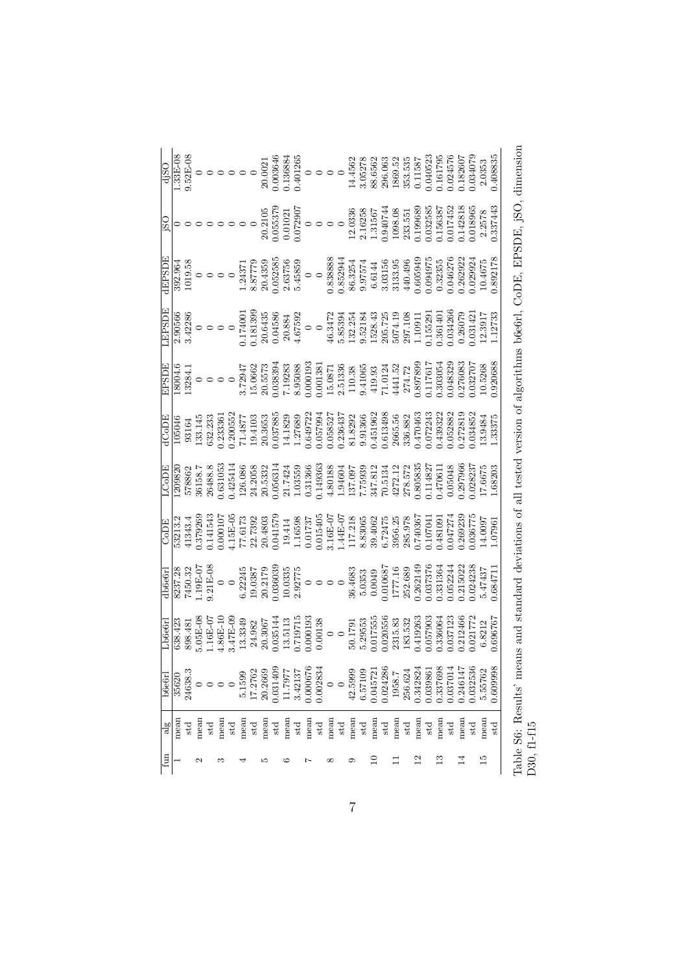| djSO          |       |              |                                 |              |                                  |              |        |              |                                                                                                                                                                                                                                                                                                                                                        |              |         |              |      |                          |         |              |         |              |          |              |        |              |          |              |          |          |          |              | 2.0353             | 0.408835 |
|---------------|-------|--------------|---------------------------------|--------------|----------------------------------|--------------|--------|--------------|--------------------------------------------------------------------------------------------------------------------------------------------------------------------------------------------------------------------------------------------------------------------------------------------------------------------------------------------------------|--------------|---------|--------------|------|--------------------------|---------|--------------|---------|--------------|----------|--------------|--------|--------------|----------|--------------|----------|----------|----------|--------------|--------------------|----------|
| jSO           |       |              |                                 |              | $\circ\circ\circ\circ\circ\circ$ |              |        |              |                                                                                                                                                                                                                                                                                                                                                        |              |         |              |      |                          |         |              |         |              |          |              |        |              |          |              |          |          |          |              |                    |          |
| <b>JEPSD</b>  |       |              |                                 |              |                                  |              |        |              | $\begin{array}{r} \bf{392.964} \\ \bf{1019.58} \\ \bf{1019.58} \\ \bf{0} \\ \bf{1019.59} \\ \bf{112.43771} \\ \bf{213.63756} \\ \bf{51.43859} \\ \bf{61.63756} \\ \bf{62.63756} \\ \bf{71.43771} \\ \bf{83.63756} \\ \bf{0} \\ \bf{0} \\ \bf{0} \\ \bf{0} \\ \bf{0} \\ \bf{0} \\ \bf{0} \\ \bf{0} \\ \bf{0} \\ \bf{0} \\ \bf{0} \\$                    |              |         |              |      |                          |         |              |         |              |          |              |        |              |          |              |          |          |          |              | 10.4675            | 1.892178 |
| <b>TESSDE</b> |       |              |                                 |              |                                  |              |        |              |                                                                                                                                                                                                                                                                                                                                                        |              |         |              |      |                          |         |              |         |              |          |              |        |              |          |              |          |          |          |              |                    |          |
|               |       |              |                                 |              |                                  |              |        |              | $\begin{array}{r} \text{EPSDE} \\ \text{18004.6} \\ \text{18004.7} \\ \text{18004.7} \\ \text{18004.8} \\ \text{18034.1} \\ \text{18034.1} \\ \text{18034.1} \\ \text{18034.1} \\ \text{1803333} \\ \text{180333} \\ \text{20.5573} \\ \text{21.2933} \\ \text{22.5133} \\ \text{23.5133} \\ \text{24.106} \\ \text{25.1124} \\ \text{26.117617} \\ \$ |              |         |              |      |                          |         |              |         |              |          |              |        |              |          |              |          |          |          |              | 10.5268            |          |
| dCoDE         |       |              |                                 |              |                                  |              |        |              | $\begin{array}{r} 105046 \\ 93164 \\ 93164 \\ 032,233 \\ 00.200552 \\ 0.037885 \\ 0.037885 \\ 141877 \\ 127689 \\ 0.057994 \\ 127689 \\ 0.057994 \\ 0.057994 \\ 0.057994 \\ 0.057994 \\ 0.058527 \\ 0.05437 \\ 0.0411966 \\ 0.05852 \\ 0.013498 \\ 0.0411966 \\ 0.013498 \\ 0.0134$                                                                    |              |         |              |      |                          |         |              |         |              |          |              |        |              |          |              |          |          |          |              | 13.9484<br>1.33375 |          |
| LCoDE         |       |              |                                 |              |                                  |              |        |              | $\begin{array}{l} 1209820 \\ 578862 \\ 56158.7 \\ 2643888 \\ 0.631053 \\ 0.425414 \\ 24.2035 \\ 25.7424 \\ 264.868 \\ 0.056313 \\ 27.7424 \\ 1.03559 \\ 0.0149366 \\ 0.149360 \\ 0.149360 \\ 1.031366 \\ 1.031366 \\ 1.031368 \\ 1.031360 \\ 1.031360 \\ 1.031360 \\ 1.031360 \\ 1$                                                                    |              |         |              |      |                          |         |              |         |              |          |              |        |              |          |              |          |          |          |              | 17.6675<br>1.68203 |          |
| CoDE          |       |              |                                 |              |                                  |              |        |              | $\begin{array}{r} \text{53213.2} \\ \text{53213.3} \\ \text{0.379269} \\ \text{0.141543} \\ \text{0.141543} \\ \text{0.141543} \\ \text{0.141543} \\ \text{0.141543} \\ \text{0.141543} \\ \text{0.14157} \\ \text{0.14157} \\ \text{1.1559} \\ \text{1.1559} \\ \text{1.1559} \\ \text{1.1559} \\ \text{1.1559} \\ \text{1.1559} \\ \text{1.157$      |              |         |              |      |                          |         |              |         |              |          |              |        |              |          |              |          |          |          | 1.036775     | 14.0097            | .0796    |
| 1b6e6rl       |       |              |                                 |              |                                  |              |        |              | $\begin{array}{r} \text{8237.28} \\ \text{7450.32} \\ \text{1.19E-O7} \\ \text{9.21E-08} \\ \text{1.9.3775} \\ \text{1.19E-07} \\ \text{1.19E-08} \\ \text{1.19.3775} \\ \text{1.19.3775} \\ \text{2.92775} \\ \text{2.92775} \\ \text{3.0353} \\ \text{5.0353} \\ \text{6.22245} \\ \text{7450.33775} \\ \text{8.4683} \\ \text{5.0353} \\ \text$     |              |         |              |      |                          |         |              |         |              |          |              |        |              |          |              |          |          |          |              |                    |          |
| Lb6e6r        |       |              |                                 |              |                                  |              |        |              | $\begin{array}{r} 638.423 \\ 638.481 \\ 5.05\text{E-NS} \\ 1.16\text{E-UT} \\ 24.86\text{E-UN} \\ 3.47\text{E-NS} \\ 24.982 \\ 20.3067 \\ 0.035144 \\ 13.113 \\ 24.982 \\ 0.000193 \\ 0.000193 \\ 0.000193 \\ 0.00171 \\ 0.000193 \\ 0.001755 \\ 5.29553 \\ 5.29553 \\ 5.23656 \\ 0.000006 \\ 0.$                                                      |              |         |              |      |                          |         |              |         |              |          |              |        |              |          |              |          |          |          |              |                    |          |
| b6e6r         | 35620 | 24638.3      | $\circ$ $\circ$ $\circ$ $\circ$ |              |                                  |              | 5.1599 | 17.2762      | 20.2669                                                                                                                                                                                                                                                                                                                                                | 0.031409     | 11.7977 | 3.42137      |      | $0.000676$<br>$0.002834$ | $\circ$ |              | 42.5999 | 6.57109      | 0.045721 | 0.024286     | 1958.7 | 256.624      | 0.342824 | 0.039861     | 0.337698 | 0.037014 | 0.246147 | 0.32536      | 5.55762            | 0.609998 |
| alg           | mean  | $_{\rm std}$ | mean                            | $_{\rm std}$ | mean                             | $_{\rm std}$ | mean   | $_{\rm std}$ | mean                                                                                                                                                                                                                                                                                                                                                   | $_{\rm std}$ | mean    | $_{\rm std}$ | mean | $_{\rm std}$             | mean    | $_{\rm std}$ | mean    | $_{\rm std}$ | mean     | $_{\rm std}$ | mean   | $_{\rm std}$ | mean     | $_{\rm std}$ | mean     | std      | mean     | $_{\rm std}$ | mean               | std      |
| $\lim$        |       |              |                                 |              |                                  |              |        |              |                                                                                                                                                                                                                                                                                                                                                        |              |         |              |      |                          |         |              |         |              |          |              |        |              | $^{2}$   |              |          |          |          |              | 10                 |          |

Table S6: Results' means and standard deviations of all tested version of algorithms b6e6rl, CoDE, EPSDE, jSO, dimension Table S6: Results' means and standard deviations of all tested version of algorithms b6e6rl, CoDE, EPSDE, jSO, dimension D30, f1-f15

7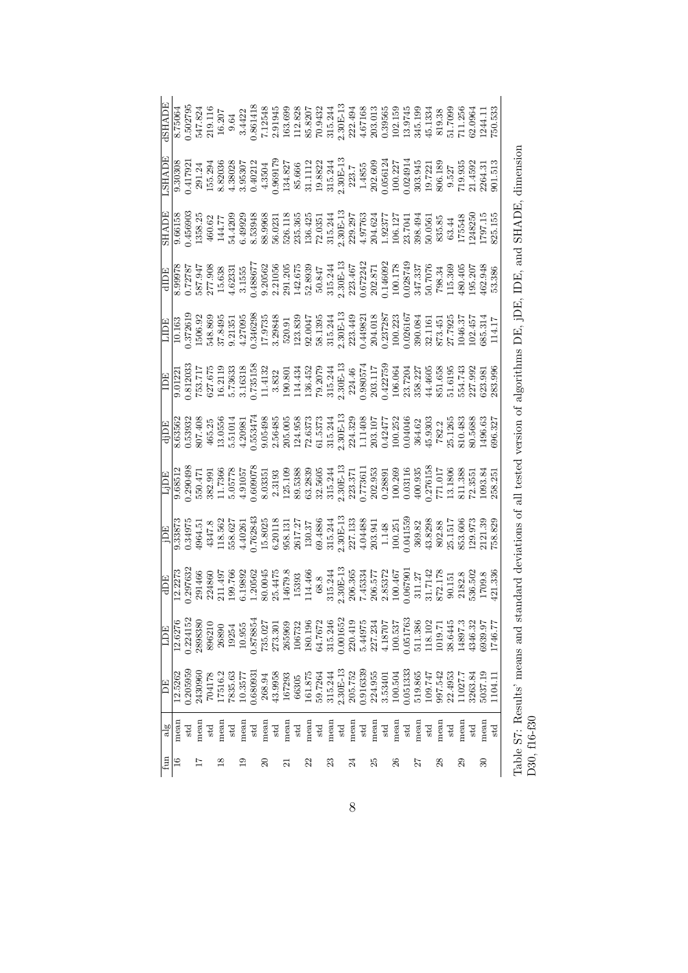| <b>IGAHS</b> |         |         |                                                                                                                                                                                                                                                                                                                                                    |              |         |              |        |                                                                                                         |                     |              |      |                           |              |    |                                                                   |  |                           |                                                                                                                                                                                                                                                                                       |         |              |      |              |      |              |                    |         |                 | $\begin{array}{l} 9.30308 \\ 9.417921 \\ 291.24 \\ 155.298 \\ 4.35036 \\ 6.417921 \\ 155.294 \\ 4.3507 \\ 6.43507 \\ 6.43507 \\ 6.43507 \\ 6.43507 \\ 6.43507 \\ 6.43507 \\ 6.43507 \\ 6.43507 \\ 6.43507 \\ 6.43507 \\ 6.43507 \\ 6.43507 \\ 6.43507 \\ 6.43507 \\ 6.43507 \\ 6.435$                |  |
|--------------|---------|---------|----------------------------------------------------------------------------------------------------------------------------------------------------------------------------------------------------------------------------------------------------------------------------------------------------------------------------------------------------|--------------|---------|--------------|--------|---------------------------------------------------------------------------------------------------------|---------------------|--------------|------|---------------------------|--------------|----|-------------------------------------------------------------------|--|---------------------------|---------------------------------------------------------------------------------------------------------------------------------------------------------------------------------------------------------------------------------------------------------------------------------------|---------|--------------|------|--------------|------|--------------|--------------------|---------|-----------------|------------------------------------------------------------------------------------------------------------------------------------------------------------------------------------------------------------------------------------------------------------------------------------------------------|--|
|              |         |         |                                                                                                                                                                                                                                                                                                                                                    |              |         |              |        |                                                                                                         |                     |              |      |                           |              |    |                                                                   |  |                           |                                                                                                                                                                                                                                                                                       |         |              |      |              |      |              |                    |         |                 | $\begin{array}{l} 9.66158 \\ 9.66159 \\ 1456903 \\ 14358.25 \\ 460.62 \\ 5444209 \\ 649939 \\ 6493939 \\ 6539368 \\ 653086 \\ 653086 \\ 653086 \\ 653086 \\ 653086 \\ 653086 \\ 653086 \\ 653086 \\ 653086 \\ 653086 \\ 653086 \\ 65309 \\ 65309 \\ 65309 \\ 65309 \\ 65309 \\ 65309 \\ 65$          |  |
|              |         |         |                                                                                                                                                                                                                                                                                                                                                    |              |         |              |        |                                                                                                         |                     |              |      |                           |              |    |                                                                   |  |                           |                                                                                                                                                                                                                                                                                       |         |              |      |              |      |              |                    |         |                 |                                                                                                                                                                                                                                                                                                      |  |
|              |         |         |                                                                                                                                                                                                                                                                                                                                                    |              |         |              |        |                                                                                                         |                     |              |      |                           |              |    |                                                                   |  |                           |                                                                                                                                                                                                                                                                                       |         |              |      |              |      |              |                    |         |                 |                                                                                                                                                                                                                                                                                                      |  |
|              |         |         |                                                                                                                                                                                                                                                                                                                                                    |              |         |              |        |                                                                                                         |                     |              |      |                           |              |    |                                                                   |  |                           |                                                                                                                                                                                                                                                                                       |         |              |      |              |      |              |                    |         |                 |                                                                                                                                                                                                                                                                                                      |  |
|              |         |         |                                                                                                                                                                                                                                                                                                                                                    |              |         |              |        |                                                                                                         |                     |              |      |                           |              |    |                                                                   |  |                           |                                                                                                                                                                                                                                                                                       |         |              |      |              |      |              |                    |         |                 | $\begin{array}{l} \hline \text{d} \text{1DE} \\ \hline 963562 \\ 8635832 \\ 967498 \\ 967498 \\ 15.05050 \\ 15.05050 \\ 15.0534 \\ 15.0534 \\ 15.0534 \\ 15.05048 \\ 15.05048 \\ 15.05048 \\ 15.05048 \\ 15.0508 \\ 15.0508 \\ 15.0508 \\ 15.0508 \\ 15.0508 \\ 15.0508 \\ 15.0508 \\ 15.0508 \\ 15$ |  |
|              |         |         | $\begin{array}{l} \text{Lip} \\ \text{158512} \\ \text{0.8512} \\ \text{0.290498} \\ \text{5.651.736} \\ \text{5.736} \\ \text{5.736} \\ \text{5.87} \\ \text{5.881.736} \\ \text{5.891.736} \\ \text{5.81.736} \\ \text{5.81.736} \\ \text{5.81.736} \\ \text{5.81.736} \\ \text{5.81.736} \\ \text{5.81.736} \\ \text{5.81.736} \\ \text{5.81.7$ |              |         |              |        |                                                                                                         |                     |              |      |                           |              |    |                                                                   |  |                           |                                                                                                                                                                                                                                                                                       |         |              |      |              |      |              |                    |         |                 |                                                                                                                                                                                                                                                                                                      |  |
|              |         |         | $[\![\frac{15}{100},\frac{15}{33873},\frac{15}{33873},\frac{15}{33873},\frac{15}{33873},\frac{15}{33873},\frac{15}{33873},\frac{15}{33873},\frac{15}{33873},\frac{15}{33873},\frac{15}{33873},\frac{15}{33873},\frac{15}{33873},\frac{15}{33873},\frac{15}{33873},\frac{15}{33873},\frac{15}{33873},\frac{15}{33873},\frac{1$                      |              |         |              |        |                                                                                                         |                     |              |      |                           |              |    |                                                                   |  |                           |                                                                                                                                                                                                                                                                                       |         |              |      |              |      |              |                    |         |                 |                                                                                                                                                                                                                                                                                                      |  |
|              |         |         |                                                                                                                                                                                                                                                                                                                                                    |              |         |              |        |                                                                                                         |                     |              |      |                           |              |    |                                                                   |  |                           |                                                                                                                                                                                                                                                                                       |         |              |      |              |      |              |                    |         |                 |                                                                                                                                                                                                                                                                                                      |  |
| E            | 12.6276 | .224152 | 2898380                                                                                                                                                                                                                                                                                                                                            | 896210       | 26890   | 19254        | 10.955 |                                                                                                         |                     |              |      |                           |              |    |                                                                   |  |                           | $\begin{array}{r} 0.878854 \\ 735.027 \\ 273.301 \\ 265969 \\ 106732 \\ 106732 \\ 1061.196 \\ 1061.7672 \\ 1061.7672 \\ 0.001652 \\ 0.001652 \\ 0.24.419 \\ 227.234 \\ 100.537 \\ 11.306 \\ 100.537 \\ 11.306 \\ 11.302 \\ 11.3102 \\ 11.3102 \\ 11.3102 \\ 11.3102 \\ 11.3102 \\ 11$ |         |              |      |              |      |              | 38.6445<br>14897.3 | 1346.32 | 5939.97         | 1746.77                                                                                                                                                                                                                                                                                              |  |
| 闾            | 12.5262 | .20595  | 2430960                                                                                                                                                                                                                                                                                                                                            | 704178       | 17516.2 |              |        | $\begin{array}{r} 7835.63 \\ 10.3577 \\ 0.680931 \\ 268.94 \\ 243.9958 \\ 167293 \\ 167293 \end{array}$ |                     |              |      |                           |              |    |                                                                   |  |                           | $\begin{array}{l} 161.875 \\ 59.7264 \\ 315.244 \\ 2.30E-13 \\ 2.905.752 \\ 2.915.243 \\ 2.915.752 \\ 2.916339 \\ 3.53401 \\ 0.01504 \\ 0.01503 \\ 0.01503 \\ 0.01503 \\ 0.01503 \\ 0.01503 \\ 0.01503 \\ 0.01503 \\ 0.01503 \\ 0.01503 \\ 0.01503 \\ 0.01503 \\ 0.01503 \\ 0.0150$   |         |              |      |              |      |              |                    |         | 5037.19         | 1104.11                                                                                                                                                                                                                                                                                              |  |
| alg          | mean    | std     | mean                                                                                                                                                                                                                                                                                                                                               | $_{\rm std}$ | mean    | $_{\rm std}$ | mean   | $_{\rm std}$                                                                                            | mean                | $_{\rm std}$ | mean | $_{\rm{mean}}^{\rm{std}}$ | $_{\rm std}$ |    | $\begin{array}{c} \rm{mean}\\ \rm{std}\\ \rm{mean}\\ \end{array}$ |  | $_{\rm{mean}}^{\rm{std}}$ | $_{\rm std}$                                                                                                                                                                                                                                                                          | mean    | $_{\rm std}$ | mean | $_{\rm std}$ | mean | $_{\rm std}$ | mean               | std     | mean            | std                                                                                                                                                                                                                                                                                                  |  |
| £            |         |         |                                                                                                                                                                                                                                                                                                                                                    |              |         |              |        |                                                                                                         | $\overline{\Omega}$ |              |      |                           |              | 23 |                                                                   |  |                           |                                                                                                                                                                                                                                                                                       | $^{26}$ |              |      |              |      |              |                    |         | $\overline{30}$ |                                                                                                                                                                                                                                                                                                      |  |

Table S7: Results' means and standard deviations of all tested version of algorithms DE, jDE, IDE, and SHADE, dimension Table S7: Results' means and standard deviations of all tested version of algorithms DE, jDE, IDE, and SHADE, dimension D30, f16-f30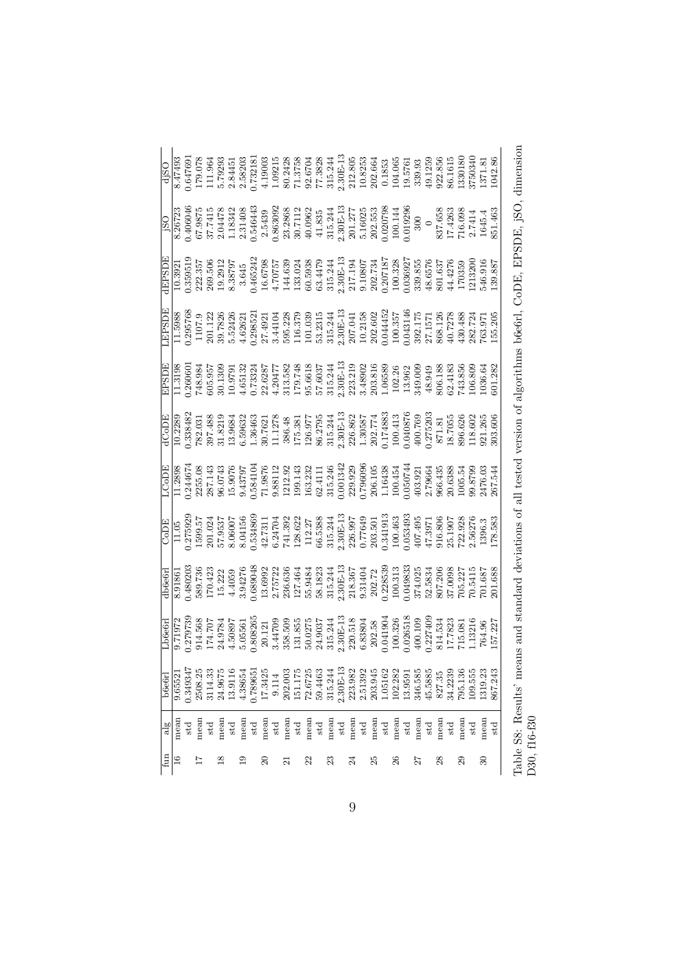| $\begin{array}{r} \text{180} \\ \text{1826723} \\ \text{826723} \\ \text{82673} \\ \text{194413} \\ \text{1955} \\ \text{19664} \\ \text{19764} \\ \text{19875} \\ \text{19883} \\ \text{1983} \\ \text{1983} \\ \text{1983} \\ \text{1983} \\ \text{1983} \\ \text{1983} \\ \text{1093} \\ \text{1093} \\ \text{1093} \\ \text{1093} \\ \text{1093} \\ \text{1093} \\ \text{1$<br>$\begin{array}{l} \text{dPSDIE} \\ 10.3921 \\ 0.39519 \\ 202.357 \\ 203.57 \\ 3.645 \\ 3.645 \\ 3.645 \\ 14.639 \\ 15.241 \\ 14.639 \\ 15.241 \\ 14.639 \\ 15.241 \\ 16.6798 \\ 16.7075 \\ 17.11 \\ 18.244 \\ 21.71 \\ 21.21 \\ 21.31 \\ 22.73 \\ 23.17 \\ 24.71 \\ 25.73 \\ 26.57 \\ 27.73 \\ 28.$<br>$\begin{array}{l} 11.5988 \\ 0.295768 \\ 0.107.9 \\ 201.121 \\ 301.122 \\ 301.23 \\ 302.33 \\ 303.521 \\ 312.33 \\ 323.521 \\ 334.41 \\ 34.41 \\ 35.231 \\ 36.331 \\ 37.331 \\ 38.31 \\ 39.321 \\ 301.41 \\ 301.41 \\ 302.30 \\ 303.52 \\ 303.52 \\ 304.41 \\ 305.41 \\ 306.41 \\ 307.41$<br>$[ \begin{array}{l} \text{EPSDE} \\ \text{11.3198} \\ \text{12.36960} \\ \text{13.378} \\ \text{14.389} \\ \text{15.392} \\ \text{16.313} \\ \text{17.319} \\ \text{18.323} \\ \text{19.333} \\ \text{10.353} \\ \text{11.319} \\ \text{13.38} \\ \text{14.393} \\ \text{15.394} \\ \text{16.393} \\ \text{17.393} \\ \text{18.393} \\ \text{19.393} \\ \text{1$<br>$\begin{array}{l} \vspace{2mm} \text{d} \text{C} \text{o} \text{D} \text{E} \\ \text{10,238,482} \\ \text{12,38,48} \\ \text{13,38,48} \\ \text{14,38,58} \\ \text{15,38,58} \\ \text{16,38,68} \\ \text{17,48} \\ \text{18,58} \\ \text{19,68} \\ \text{10,78} \\ \text{13,88} \\ \text{15,88} \\ \text{16,88} \\ \text{17,88} \\ \text{18,88} \\ \text{19,88} \\$<br>$\begin{array}{r} \begin{array}{l} \text{CODE} \\ \text{11.05} \\ \text{11.05} \\ \text{13.075928} \\ \text{1599.57} \\ \text{169.57} \\ \text{17.08} \\ \text{18.07486} \\ \text{19.07486} \\ \text{19.07486} \\ \text{19.0744} \\ \text{11.085486} \\ \text{19.074701} \\ \text{11.08622} \\ \text{11.097} \\ \text{11.097} \\ \text{11.097} \\ \text{11.$<br>$\begin{array}{l} \text{db6661} \\ \text{691863} \\ \text{801865} \\ \text{70.423} \\ \text{8189.78} \\ \text{170.423} \\ \text{181.23} \\ \text{192.85} \\ \text{10.43} \\ \text{11.532} \\ \text{12.533} \\ \text{13.63} \\ \text{14.533} \\ \text{15.63} \\ \text{16.63} \\ \text{17.63} \\ \text{18.63} \\ \text{18.63} \\ \text{18.63} \\ \text{18.63} \\ \$<br>$\begin{array}{l} \text{Lbesch} \\ 0.71972 \\ 0.14568 \\ 0.41707 \\ 0.5047 \\ 0.50561 \\ 0.8080 \\ 0.80826 \\ 0.80826 \\ 0.80826 \\ 0.80826 \\ 0.80826 \\ 0.8098 \\ 0.8098 \\ 0.8098 \\ 0.8077 \\ 0.8124 \\ 0.8380 \\ 0.8380 \\ 0.8380 \\ 0.8380 \\ 0.8380 \\ 0.8380 \\ 0.8380 \\ 0.8380 \\ 0.8$<br>$\begin{array}{l} 2.30\text{E-13}\\ 223.982\\ 2.51392\\ 2.51392\\ 203.945\\ 1.05162\\ 102.282\\ 1103.9591\\ 13.9591\\ \end{array}$<br>1.349347<br>$\begin{array}{c} 151.175 \\ 72.6725 \\ 59.4463 \\ 315.244 \end{array}$<br>202.003<br>2508.25<br>1.78965<br>346.585<br>795.136<br>109.555<br>$\begin{array}{c} 3114.33 \\ 24.9675 \\ 13.9116 \end{array}$<br>17.3425<br>9.114<br>$\frac{45.5885}{827.35}$<br>.319.23<br>4.38654<br>34.2239<br>9.6552<br>mean<br>nean<br>nean<br>mean<br>mean<br>$\begin{array}{c} \mathtt{std} \\ \mathtt{mean} \\ \mathtt{std} \end{array}$<br>mean<br>mean<br>mean<br>std<br>$_{\rm std}$<br>$_{\rm std}$<br>$_{\rm std}$<br>$_{\rm std}$<br>$_{\rm std}$<br>$\frac{8}{2}$<br>$\frac{9}{1}$<br>$\approx$ | fun | $\frac{1}{6}$ | b6e6rl  |  |  |  | EPSD <sub>1</sub> |  |                                                                                                                                                                                                                                                                                                 |
|-------------------------------------------------------------------------------------------------------------------------------------------------------------------------------------------------------------------------------------------------------------------------------------------------------------------------------------------------------------------------------------------------------------------------------------------------------------------------------------------------------------------------------------------------------------------------------------------------------------------------------------------------------------------------------------------------------------------------------------------------------------------------------------------------------------------------------------------------------------------------------------------------------------------------------------------------------------------------------------------------------------------------------------------------------------------------------------------------------------------------------------------------------------------------------------------------------------------------------------------------------------------------------------------------------------------------------------------------------------------------------------------------------------------------------------------------------------------------------------------------------------------------------------------------------------------------------------------------------------------------------------------------------------------------------------------------------------------------------------------------------------------------------------------------------------------------------------------------------------------------------------------------------------------------------------------------------------------------------------------------------------------------------------------------------------------------------------------------------------------------------------------------------------------------------------------------------------------------------------------------------------------------------------------------------------------------------------------------------------------------------------------------------------------------------------------------------------------------------------------------------------------------------------------------------------------------------------------------------------------------------------------------------------------------------------------------------------------------------------------------------------------------------------------------------------------------------------------------------------------------------------------------------------------------------------------------------------------------------------------------------------------------------------------------------------------------------------------------------------------------------------------------------------------------------------------------------------------------------------------------------------------------------------------------------------------------------------------------------------------------------------------------------------------------------------------------------------------------------------------------------------------------|-----|---------------|---------|--|--|--|-------------------|--|-------------------------------------------------------------------------------------------------------------------------------------------------------------------------------------------------------------------------------------------------------------------------------------------------|
|                                                                                                                                                                                                                                                                                                                                                                                                                                                                                                                                                                                                                                                                                                                                                                                                                                                                                                                                                                                                                                                                                                                                                                                                                                                                                                                                                                                                                                                                                                                                                                                                                                                                                                                                                                                                                                                                                                                                                                                                                                                                                                                                                                                                                                                                                                                                                                                                                                                                                                                                                                                                                                                                                                                                                                                                                                                                                                                                                                                                                                                                                                                                                                                                                                                                                                                                                                                                                                                                                                                         |     |               |         |  |  |  |                   |  | $\begin{array}{r} \text{d} 150 \\ \text{8} 47493 \\ \text{0.647691} \\ 179.078 \\ 1.11.964 \\ 1.7323 \\ 1.7323 \\ 2.58203 \\ 1.732181 \\ 1.11.9603 \\ 2.18203 \\ 1.19003 \\ 1.11.963 \\ 2.13758 \\ 2.13758 \\ 2.13758 \\ 2.1301 \\ 2.1301 \\ 2.1315.244 \\ 2.1301 \\ 2.1301 \\ 2.1301 \\ 2.130$ |
|                                                                                                                                                                                                                                                                                                                                                                                                                                                                                                                                                                                                                                                                                                                                                                                                                                                                                                                                                                                                                                                                                                                                                                                                                                                                                                                                                                                                                                                                                                                                                                                                                                                                                                                                                                                                                                                                                                                                                                                                                                                                                                                                                                                                                                                                                                                                                                                                                                                                                                                                                                                                                                                                                                                                                                                                                                                                                                                                                                                                                                                                                                                                                                                                                                                                                                                                                                                                                                                                                                                         |     |               |         |  |  |  |                   |  |                                                                                                                                                                                                                                                                                                 |
|                                                                                                                                                                                                                                                                                                                                                                                                                                                                                                                                                                                                                                                                                                                                                                                                                                                                                                                                                                                                                                                                                                                                                                                                                                                                                                                                                                                                                                                                                                                                                                                                                                                                                                                                                                                                                                                                                                                                                                                                                                                                                                                                                                                                                                                                                                                                                                                                                                                                                                                                                                                                                                                                                                                                                                                                                                                                                                                                                                                                                                                                                                                                                                                                                                                                                                                                                                                                                                                                                                                         |     |               |         |  |  |  |                   |  |                                                                                                                                                                                                                                                                                                 |
|                                                                                                                                                                                                                                                                                                                                                                                                                                                                                                                                                                                                                                                                                                                                                                                                                                                                                                                                                                                                                                                                                                                                                                                                                                                                                                                                                                                                                                                                                                                                                                                                                                                                                                                                                                                                                                                                                                                                                                                                                                                                                                                                                                                                                                                                                                                                                                                                                                                                                                                                                                                                                                                                                                                                                                                                                                                                                                                                                                                                                                                                                                                                                                                                                                                                                                                                                                                                                                                                                                                         |     |               |         |  |  |  |                   |  |                                                                                                                                                                                                                                                                                                 |
|                                                                                                                                                                                                                                                                                                                                                                                                                                                                                                                                                                                                                                                                                                                                                                                                                                                                                                                                                                                                                                                                                                                                                                                                                                                                                                                                                                                                                                                                                                                                                                                                                                                                                                                                                                                                                                                                                                                                                                                                                                                                                                                                                                                                                                                                                                                                                                                                                                                                                                                                                                                                                                                                                                                                                                                                                                                                                                                                                                                                                                                                                                                                                                                                                                                                                                                                                                                                                                                                                                                         |     |               |         |  |  |  |                   |  |                                                                                                                                                                                                                                                                                                 |
|                                                                                                                                                                                                                                                                                                                                                                                                                                                                                                                                                                                                                                                                                                                                                                                                                                                                                                                                                                                                                                                                                                                                                                                                                                                                                                                                                                                                                                                                                                                                                                                                                                                                                                                                                                                                                                                                                                                                                                                                                                                                                                                                                                                                                                                                                                                                                                                                                                                                                                                                                                                                                                                                                                                                                                                                                                                                                                                                                                                                                                                                                                                                                                                                                                                                                                                                                                                                                                                                                                                         |     |               |         |  |  |  |                   |  |                                                                                                                                                                                                                                                                                                 |
|                                                                                                                                                                                                                                                                                                                                                                                                                                                                                                                                                                                                                                                                                                                                                                                                                                                                                                                                                                                                                                                                                                                                                                                                                                                                                                                                                                                                                                                                                                                                                                                                                                                                                                                                                                                                                                                                                                                                                                                                                                                                                                                                                                                                                                                                                                                                                                                                                                                                                                                                                                                                                                                                                                                                                                                                                                                                                                                                                                                                                                                                                                                                                                                                                                                                                                                                                                                                                                                                                                                         |     |               |         |  |  |  |                   |  |                                                                                                                                                                                                                                                                                                 |
|                                                                                                                                                                                                                                                                                                                                                                                                                                                                                                                                                                                                                                                                                                                                                                                                                                                                                                                                                                                                                                                                                                                                                                                                                                                                                                                                                                                                                                                                                                                                                                                                                                                                                                                                                                                                                                                                                                                                                                                                                                                                                                                                                                                                                                                                                                                                                                                                                                                                                                                                                                                                                                                                                                                                                                                                                                                                                                                                                                                                                                                                                                                                                                                                                                                                                                                                                                                                                                                                                                                         |     |               |         |  |  |  |                   |  |                                                                                                                                                                                                                                                                                                 |
|                                                                                                                                                                                                                                                                                                                                                                                                                                                                                                                                                                                                                                                                                                                                                                                                                                                                                                                                                                                                                                                                                                                                                                                                                                                                                                                                                                                                                                                                                                                                                                                                                                                                                                                                                                                                                                                                                                                                                                                                                                                                                                                                                                                                                                                                                                                                                                                                                                                                                                                                                                                                                                                                                                                                                                                                                                                                                                                                                                                                                                                                                                                                                                                                                                                                                                                                                                                                                                                                                                                         |     |               |         |  |  |  |                   |  |                                                                                                                                                                                                                                                                                                 |
|                                                                                                                                                                                                                                                                                                                                                                                                                                                                                                                                                                                                                                                                                                                                                                                                                                                                                                                                                                                                                                                                                                                                                                                                                                                                                                                                                                                                                                                                                                                                                                                                                                                                                                                                                                                                                                                                                                                                                                                                                                                                                                                                                                                                                                                                                                                                                                                                                                                                                                                                                                                                                                                                                                                                                                                                                                                                                                                                                                                                                                                                                                                                                                                                                                                                                                                                                                                                                                                                                                                         |     |               |         |  |  |  |                   |  |                                                                                                                                                                                                                                                                                                 |
|                                                                                                                                                                                                                                                                                                                                                                                                                                                                                                                                                                                                                                                                                                                                                                                                                                                                                                                                                                                                                                                                                                                                                                                                                                                                                                                                                                                                                                                                                                                                                                                                                                                                                                                                                                                                                                                                                                                                                                                                                                                                                                                                                                                                                                                                                                                                                                                                                                                                                                                                                                                                                                                                                                                                                                                                                                                                                                                                                                                                                                                                                                                                                                                                                                                                                                                                                                                                                                                                                                                         | ಸ   |               |         |  |  |  |                   |  |                                                                                                                                                                                                                                                                                                 |
| 22                                                                                                                                                                                                                                                                                                                                                                                                                                                                                                                                                                                                                                                                                                                                                                                                                                                                                                                                                                                                                                                                                                                                                                                                                                                                                                                                                                                                                                                                                                                                                                                                                                                                                                                                                                                                                                                                                                                                                                                                                                                                                                                                                                                                                                                                                                                                                                                                                                                                                                                                                                                                                                                                                                                                                                                                                                                                                                                                                                                                                                                                                                                                                                                                                                                                                                                                                                                                                                                                                                                      |     |               |         |  |  |  |                   |  |                                                                                                                                                                                                                                                                                                 |
|                                                                                                                                                                                                                                                                                                                                                                                                                                                                                                                                                                                                                                                                                                                                                                                                                                                                                                                                                                                                                                                                                                                                                                                                                                                                                                                                                                                                                                                                                                                                                                                                                                                                                                                                                                                                                                                                                                                                                                                                                                                                                                                                                                                                                                                                                                                                                                                                                                                                                                                                                                                                                                                                                                                                                                                                                                                                                                                                                                                                                                                                                                                                                                                                                                                                                                                                                                                                                                                                                                                         |     |               |         |  |  |  |                   |  |                                                                                                                                                                                                                                                                                                 |
| 23<br>25<br>28<br>29<br>24                                                                                                                                                                                                                                                                                                                                                                                                                                                                                                                                                                                                                                                                                                                                                                                                                                                                                                                                                                                                                                                                                                                                                                                                                                                                                                                                                                                                                                                                                                                                                                                                                                                                                                                                                                                                                                                                                                                                                                                                                                                                                                                                                                                                                                                                                                                                                                                                                                                                                                                                                                                                                                                                                                                                                                                                                                                                                                                                                                                                                                                                                                                                                                                                                                                                                                                                                                                                                                                                                              |     |               |         |  |  |  |                   |  |                                                                                                                                                                                                                                                                                                 |
|                                                                                                                                                                                                                                                                                                                                                                                                                                                                                                                                                                                                                                                                                                                                                                                                                                                                                                                                                                                                                                                                                                                                                                                                                                                                                                                                                                                                                                                                                                                                                                                                                                                                                                                                                                                                                                                                                                                                                                                                                                                                                                                                                                                                                                                                                                                                                                                                                                                                                                                                                                                                                                                                                                                                                                                                                                                                                                                                                                                                                                                                                                                                                                                                                                                                                                                                                                                                                                                                                                                         |     |               |         |  |  |  |                   |  |                                                                                                                                                                                                                                                                                                 |
|                                                                                                                                                                                                                                                                                                                                                                                                                                                                                                                                                                                                                                                                                                                                                                                                                                                                                                                                                                                                                                                                                                                                                                                                                                                                                                                                                                                                                                                                                                                                                                                                                                                                                                                                                                                                                                                                                                                                                                                                                                                                                                                                                                                                                                                                                                                                                                                                                                                                                                                                                                                                                                                                                                                                                                                                                                                                                                                                                                                                                                                                                                                                                                                                                                                                                                                                                                                                                                                                                                                         |     |               |         |  |  |  |                   |  |                                                                                                                                                                                                                                                                                                 |
|                                                                                                                                                                                                                                                                                                                                                                                                                                                                                                                                                                                                                                                                                                                                                                                                                                                                                                                                                                                                                                                                                                                                                                                                                                                                                                                                                                                                                                                                                                                                                                                                                                                                                                                                                                                                                                                                                                                                                                                                                                                                                                                                                                                                                                                                                                                                                                                                                                                                                                                                                                                                                                                                                                                                                                                                                                                                                                                                                                                                                                                                                                                                                                                                                                                                                                                                                                                                                                                                                                                         |     |               |         |  |  |  |                   |  |                                                                                                                                                                                                                                                                                                 |
|                                                                                                                                                                                                                                                                                                                                                                                                                                                                                                                                                                                                                                                                                                                                                                                                                                                                                                                                                                                                                                                                                                                                                                                                                                                                                                                                                                                                                                                                                                                                                                                                                                                                                                                                                                                                                                                                                                                                                                                                                                                                                                                                                                                                                                                                                                                                                                                                                                                                                                                                                                                                                                                                                                                                                                                                                                                                                                                                                                                                                                                                                                                                                                                                                                                                                                                                                                                                                                                                                                                         |     |               |         |  |  |  |                   |  |                                                                                                                                                                                                                                                                                                 |
|                                                                                                                                                                                                                                                                                                                                                                                                                                                                                                                                                                                                                                                                                                                                                                                                                                                                                                                                                                                                                                                                                                                                                                                                                                                                                                                                                                                                                                                                                                                                                                                                                                                                                                                                                                                                                                                                                                                                                                                                                                                                                                                                                                                                                                                                                                                                                                                                                                                                                                                                                                                                                                                                                                                                                                                                                                                                                                                                                                                                                                                                                                                                                                                                                                                                                                                                                                                                                                                                                                                         |     |               |         |  |  |  |                   |  |                                                                                                                                                                                                                                                                                                 |
|                                                                                                                                                                                                                                                                                                                                                                                                                                                                                                                                                                                                                                                                                                                                                                                                                                                                                                                                                                                                                                                                                                                                                                                                                                                                                                                                                                                                                                                                                                                                                                                                                                                                                                                                                                                                                                                                                                                                                                                                                                                                                                                                                                                                                                                                                                                                                                                                                                                                                                                                                                                                                                                                                                                                                                                                                                                                                                                                                                                                                                                                                                                                                                                                                                                                                                                                                                                                                                                                                                                         |     |               |         |  |  |  |                   |  |                                                                                                                                                                                                                                                                                                 |
|                                                                                                                                                                                                                                                                                                                                                                                                                                                                                                                                                                                                                                                                                                                                                                                                                                                                                                                                                                                                                                                                                                                                                                                                                                                                                                                                                                                                                                                                                                                                                                                                                                                                                                                                                                                                                                                                                                                                                                                                                                                                                                                                                                                                                                                                                                                                                                                                                                                                                                                                                                                                                                                                                                                                                                                                                                                                                                                                                                                                                                                                                                                                                                                                                                                                                                                                                                                                                                                                                                                         | 26  |               |         |  |  |  |                   |  |                                                                                                                                                                                                                                                                                                 |
| 27<br>30                                                                                                                                                                                                                                                                                                                                                                                                                                                                                                                                                                                                                                                                                                                                                                                                                                                                                                                                                                                                                                                                                                                                                                                                                                                                                                                                                                                                                                                                                                                                                                                                                                                                                                                                                                                                                                                                                                                                                                                                                                                                                                                                                                                                                                                                                                                                                                                                                                                                                                                                                                                                                                                                                                                                                                                                                                                                                                                                                                                                                                                                                                                                                                                                                                                                                                                                                                                                                                                                                                                |     |               |         |  |  |  |                   |  |                                                                                                                                                                                                                                                                                                 |
|                                                                                                                                                                                                                                                                                                                                                                                                                                                                                                                                                                                                                                                                                                                                                                                                                                                                                                                                                                                                                                                                                                                                                                                                                                                                                                                                                                                                                                                                                                                                                                                                                                                                                                                                                                                                                                                                                                                                                                                                                                                                                                                                                                                                                                                                                                                                                                                                                                                                                                                                                                                                                                                                                                                                                                                                                                                                                                                                                                                                                                                                                                                                                                                                                                                                                                                                                                                                                                                                                                                         |     |               |         |  |  |  |                   |  |                                                                                                                                                                                                                                                                                                 |
|                                                                                                                                                                                                                                                                                                                                                                                                                                                                                                                                                                                                                                                                                                                                                                                                                                                                                                                                                                                                                                                                                                                                                                                                                                                                                                                                                                                                                                                                                                                                                                                                                                                                                                                                                                                                                                                                                                                                                                                                                                                                                                                                                                                                                                                                                                                                                                                                                                                                                                                                                                                                                                                                                                                                                                                                                                                                                                                                                                                                                                                                                                                                                                                                                                                                                                                                                                                                                                                                                                                         |     |               |         |  |  |  |                   |  |                                                                                                                                                                                                                                                                                                 |
|                                                                                                                                                                                                                                                                                                                                                                                                                                                                                                                                                                                                                                                                                                                                                                                                                                                                                                                                                                                                                                                                                                                                                                                                                                                                                                                                                                                                                                                                                                                                                                                                                                                                                                                                                                                                                                                                                                                                                                                                                                                                                                                                                                                                                                                                                                                                                                                                                                                                                                                                                                                                                                                                                                                                                                                                                                                                                                                                                                                                                                                                                                                                                                                                                                                                                                                                                                                                                                                                                                                         |     |               |         |  |  |  |                   |  |                                                                                                                                                                                                                                                                                                 |
|                                                                                                                                                                                                                                                                                                                                                                                                                                                                                                                                                                                                                                                                                                                                                                                                                                                                                                                                                                                                                                                                                                                                                                                                                                                                                                                                                                                                                                                                                                                                                                                                                                                                                                                                                                                                                                                                                                                                                                                                                                                                                                                                                                                                                                                                                                                                                                                                                                                                                                                                                                                                                                                                                                                                                                                                                                                                                                                                                                                                                                                                                                                                                                                                                                                                                                                                                                                                                                                                                                                         |     |               |         |  |  |  |                   |  |                                                                                                                                                                                                                                                                                                 |
|                                                                                                                                                                                                                                                                                                                                                                                                                                                                                                                                                                                                                                                                                                                                                                                                                                                                                                                                                                                                                                                                                                                                                                                                                                                                                                                                                                                                                                                                                                                                                                                                                                                                                                                                                                                                                                                                                                                                                                                                                                                                                                                                                                                                                                                                                                                                                                                                                                                                                                                                                                                                                                                                                                                                                                                                                                                                                                                                                                                                                                                                                                                                                                                                                                                                                                                                                                                                                                                                                                                         |     |               |         |  |  |  |                   |  |                                                                                                                                                                                                                                                                                                 |
|                                                                                                                                                                                                                                                                                                                                                                                                                                                                                                                                                                                                                                                                                                                                                                                                                                                                                                                                                                                                                                                                                                                                                                                                                                                                                                                                                                                                                                                                                                                                                                                                                                                                                                                                                                                                                                                                                                                                                                                                                                                                                                                                                                                                                                                                                                                                                                                                                                                                                                                                                                                                                                                                                                                                                                                                                                                                                                                                                                                                                                                                                                                                                                                                                                                                                                                                                                                                                                                                                                                         |     |               |         |  |  |  |                   |  |                                                                                                                                                                                                                                                                                                 |
|                                                                                                                                                                                                                                                                                                                                                                                                                                                                                                                                                                                                                                                                                                                                                                                                                                                                                                                                                                                                                                                                                                                                                                                                                                                                                                                                                                                                                                                                                                                                                                                                                                                                                                                                                                                                                                                                                                                                                                                                                                                                                                                                                                                                                                                                                                                                                                                                                                                                                                                                                                                                                                                                                                                                                                                                                                                                                                                                                                                                                                                                                                                                                                                                                                                                                                                                                                                                                                                                                                                         |     |               |         |  |  |  |                   |  |                                                                                                                                                                                                                                                                                                 |
|                                                                                                                                                                                                                                                                                                                                                                                                                                                                                                                                                                                                                                                                                                                                                                                                                                                                                                                                                                                                                                                                                                                                                                                                                                                                                                                                                                                                                                                                                                                                                                                                                                                                                                                                                                                                                                                                                                                                                                                                                                                                                                                                                                                                                                                                                                                                                                                                                                                                                                                                                                                                                                                                                                                                                                                                                                                                                                                                                                                                                                                                                                                                                                                                                                                                                                                                                                                                                                                                                                                         |     | $_{\rm std}$  | 867.243 |  |  |  |                   |  |                                                                                                                                                                                                                                                                                                 |

Table S8: Results' means and standard deviations of all tested version of algorithms b6e6rl, CoDE, EPSDE, jSO, dimension Table S8: Results' means and standard deviations of all tested version of algorithms b6e6rl, CoDE, EPSDE, jSO, dimension D30, f16-f30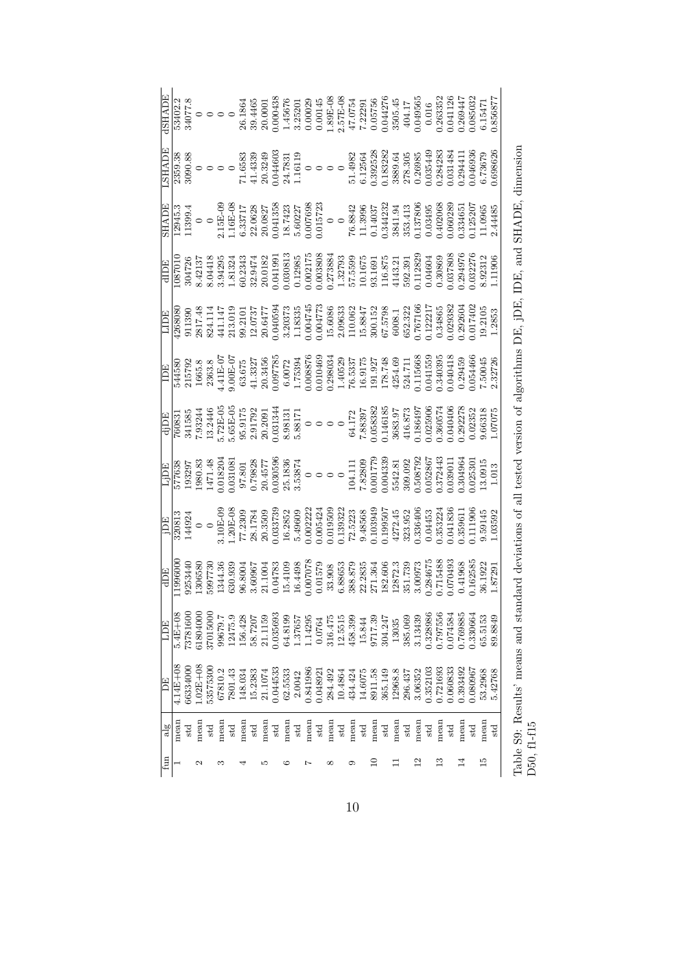| <b>ALAHS.</b>                                                                                                                                                                                                                                                                                                                                                                                                                          |                                    |          |             |          |         |         |         |              |         |                                                                                                                                                                                                                                                                                                                                                                                      |         |              |                       |       |         |         |                                                             |         |         |         |         |         |                 |          |               |          |          |          |                |                                                                                                                                                                                                                                                                           |  |
|----------------------------------------------------------------------------------------------------------------------------------------------------------------------------------------------------------------------------------------------------------------------------------------------------------------------------------------------------------------------------------------------------------------------------------------|------------------------------------|----------|-------------|----------|---------|---------|---------|--------------|---------|--------------------------------------------------------------------------------------------------------------------------------------------------------------------------------------------------------------------------------------------------------------------------------------------------------------------------------------------------------------------------------------|---------|--------------|-----------------------|-------|---------|---------|-------------------------------------------------------------|---------|---------|---------|---------|---------|-----------------|----------|---------------|----------|----------|----------|----------------|---------------------------------------------------------------------------------------------------------------------------------------------------------------------------------------------------------------------------------------------------------------------------|--|
|                                                                                                                                                                                                                                                                                                                                                                                                                                        |                                    |          |             |          |         |         |         |              |         | $\begin{tabular}{l l l l } \hline \text{SHADE} \\ \hline 12945.3 \\ 1399.4 \\ 11399.4 \\ 11399.4 \\ 11399.4 \\ 116&-0 \\ 116&-0 \\ 2135717 \\ 213587 \\ 2230627 \\ 2300727 \\ 2433722 \\ 2500728 \\ 260277 \\ 27308 \\ 2842 \\ 2843 \\ 2843 \\ 28441.3 \\ 2841.3 \\ 2841.3 \\ 2841.3 \\ 2841.3 \\ 284$                                                                               |         |              |                       |       |         |         |                                                             |         |         |         |         |         |                 |          |               |          |          |          |                |                                                                                                                                                                                                                                                                           |  |
|                                                                                                                                                                                                                                                                                                                                                                                                                                        |                                    |          |             |          |         |         |         |              |         | $\begin{array}{r} \text{dIDE} \\ \text{1087010} \\ \text{304726} \\ \text{304726} \\ \text{304418} \\ \text{504418} \\ \text{50433} \\ \text{50433} \\ \text{50433} \\ \text{601381} \\ \text{7010} \\ \text{7010} \\ \text{8123} \\ \text{713} \\ \text{813} \\ \text{723} \\ \text{831} \\ \text{731} \\ \text{8423} \\ \text{743} \\ \text{850} \\ \text{750} \\ \text{870} \\ \$ |         |              |                       |       |         |         |                                                             |         |         |         |         |         |                 |          |               |          |          |          |                |                                                                                                                                                                                                                                                                           |  |
|                                                                                                                                                                                                                                                                                                                                                                                                                                        |                                    |          |             |          |         |         |         |              |         | $\begin{array}{r} \text{IDE}\\ 111890\\ 911390\\ 9317.48\\ 2817.48\\ 29311\\ 14114\\ 21310\\ 12010\\ 13037\\ 20.647\\ 13335\\ 30373\\ 113335\\ 113335\\ 113335\\ 113335\\ 113335\\ 113335\\ 113335\\ 113335\\ 113335\\ 12000\\ 1300\\ 1120\\ 1213\\ 13335\\ 1200\\ 1300\\$                                                                                                           |         |              |                       |       |         |         |                                                             |         |         |         |         |         |                 |          |               |          |          |          |                |                                                                                                                                                                                                                                                                           |  |
| $[\begin{array}{l} \hline \text{1B} \\ \hline 14580 \\ 14580 \\ 165.8 \\ 165.8 \\ 215792 \\ 3363.8 \\ 44.1 \text{E}-07 \\ 63.675 \\ 20.97785 \\ 0.007785 \\ 0.007876 \\ 0.0008876 \\ 0.0008876 \\ 0.000834 \\ 1.75394 \\ 1.40523 \\ 1.40523 \\ 1.40523 \\ 1.40527 \\ 1.40528 \\ 1.40527 \\ 1.40528 \\ $                                                                                                                                |                                    |          |             |          |         |         |         |              |         |                                                                                                                                                                                                                                                                                                                                                                                      |         |              |                       |       |         |         |                                                             |         |         |         |         |         |                 |          |               |          |          |          |                |                                                                                                                                                                                                                                                                           |  |
|                                                                                                                                                                                                                                                                                                                                                                                                                                        |                                    |          |             |          |         |         |         |              |         |                                                                                                                                                                                                                                                                                                                                                                                      |         |              |                       |       |         |         |                                                             |         |         |         |         |         |                 |          |               |          |          |          |                | $\begin{tabular}{r c c c c c c c} \hline d DE\\ \hline Q(0831) & 0.000000 & 0.000000 & 0.000000\\ \hline 7(00831) & 0.000000 & 0.000000 & 0.000000\\ 7(083344466 & 0.0000000 & 0.000000 & 0.000000\\ 7(0834486 & 0.0000000 & 0.000000 & 0.000000\\ 7(0834446 & 0.0000000$ |  |
|                                                                                                                                                                                                                                                                                                                                                                                                                                        |                                    |          |             |          |         |         |         |              |         | $[\begin{array}{l} \text{L}]{\text{D}}{\text{E}}\\ \hline 577638\\ 193297\\ 193297\\ 193297\\ 2000\\ 0.0180\\ 0.0180\\ 0.0000\\ 0.0000\\ 0.0000\\ 0.0000\\ 0.0000\\ 0.0000\\ 0.0000\\ 0.0000\\ 0.0000\\ 0.0000\\ 0.0000\\ 0.0000\\ 0.0000\\ 0.0000\\ 0.0000\\ 0.0000\\ 0.0000\\ 0.$                                                                                                  |         |              |                       |       |         |         |                                                             |         |         |         |         |         |                 |          |               |          |          |          |                |                                                                                                                                                                                                                                                                           |  |
| $[\begin{array}{l} \fbox{\small{15E}}\ \hline \hbox{\small{15E}}\ \hline \hbox{\small{15E}}\ \hline \hbox{\small{15E}}\ \hline \hbox{\small{14924}}\ \hline \hbox{\small{14923}}\ \hline \hbox{\small{20813}}\ \hline \hbox{\small{320813}}\ \hline \hbox{\small{320813}}\ \hline \hbox{\small{44924}}\ \hline \hbox{\small{77}}\ \hline \hbox{\small{77}}\ \hline \hbox{\small{78}}\ \hline \hbox{\small{78}}\ \hline \hbox{\small{7$ |                                    |          |             |          |         |         |         |              |         |                                                                                                                                                                                                                                                                                                                                                                                      |         |              |                       |       |         |         |                                                             |         |         |         |         |         |                 |          |               |          |          |          |                |                                                                                                                                                                                                                                                                           |  |
|                                                                                                                                                                                                                                                                                                                                                                                                                                        | $\frac{\text{dDE}}{\text{199600}}$ |          |             |          |         |         |         |              |         | $\begin{array}{l} 9253440 \\ 1306580 \\ 1304.36 \\ 1304.36 \\ 134.43 \\ 134.36 \\ 130055 \\ 1344.36 \\ 13005 \\ 13005 \\ 134.100 \\ 134.100 \\ 134.100 \\ 134.100 \\ 134.100 \\ 134.100 \\ 135.108 \\ 135.136 \\ 136.60 \\ 137.38 \\ 138.5 \\ 136.60 \\ 137.3 \\ 136.60 \\ 138467 \\ 138$                                                                                            |         |              |                       |       |         |         |                                                             |         |         |         |         |         |                 |          |               |          |          |          |                |                                                                                                                                                                                                                                                                           |  |
| LDE                                                                                                                                                                                                                                                                                                                                                                                                                                    | $5.4E + 08$                        | 73781600 | 1804000     | 17015000 | 99679.7 | 12475.9 | 156.428 | 58.7207      | 21.1159 | 0.35693                                                                                                                                                                                                                                                                                                                                                                              | 64.8199 | 1.37657      | $1.14295$<br>$0.0764$ |       | 316.475 |         | $\begin{array}{c} 12.5515 \\ 458.399 \\ 15.844 \end{array}$ |         | 9717.39 | 304.247 | 13035   | 385.069 | 3.13439         | 0.328986 | 0.797556      | 1.074584 | 1.769885 | 0.330664 | 65.5153        | 89.8849                                                                                                                                                                                                                                                                   |  |
| PE <sub>i</sub>                                                                                                                                                                                                                                                                                                                                                                                                                        | $4.14E + 08$                       | 36334000 | $.02E + 08$ | 53575300 | 67810.2 | 7801.43 | 148.034 | 15.2383      | 21.1074 | 0.044533                                                                                                                                                                                                                                                                                                                                                                             | 62.5533 | 2.0042       | 0.841986              | 04892 | 284.492 | 10.4864 | 434.424                                                     | 14.6075 | 8911.58 | 365.149 | 12968.8 | 296.437 | 3.06352         | 0.352103 | 0.721693      | 0.060833 | 0.393492 | 0.080967 | 53.2968        | 5.42768                                                                                                                                                                                                                                                                   |  |
| alg                                                                                                                                                                                                                                                                                                                                                                                                                                    | mean                               | std      | mean        | std      | mean    | std     | mean    | $_{\rm std}$ | mean    | std                                                                                                                                                                                                                                                                                                                                                                                  | mean    | $_{\rm std}$ | mean                  | std   | mean    | std     | mean                                                        | std     | mean    | std     | mean    | std     | mean            | std      | mean          | std      | mean     | std      | mean           | std                                                                                                                                                                                                                                                                       |  |
| fun                                                                                                                                                                                                                                                                                                                                                                                                                                    |                                    |          | 2           |          | œ       |         |         |              | ٠ς      |                                                                                                                                                                                                                                                                                                                                                                                      |         |              |                       |       |         |         |                                                             |         | $\Xi$   |         |         |         | $\overline{12}$ |          | $\frac{3}{1}$ |          |          |          | $\frac{15}{2}$ |                                                                                                                                                                                                                                                                           |  |

Table S9: Results' means and standard deviations of all tested version of algorithms DE, jDE, IDE, and SHADE, dimension Table S9: Results' means and standard deviations of all tested version of algorithms DE, jDE, IDE, and SHADE, dimension D50, f1-f15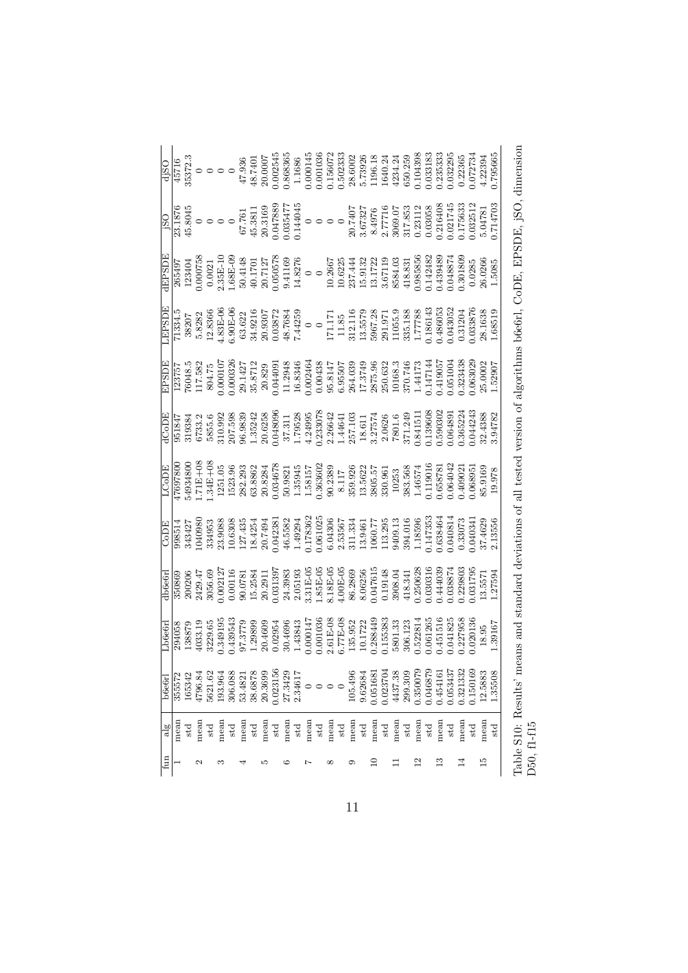|                |                                                                                                                                                                                                                                                                                                                                                       |                                                                                                                                                                                                                                                                                                                                                                                         |         |              |         |              |         |              |         |          |         |              |                  |     |                                 |     |         |              |       |              |         |         |                 |          |              |       |          |          |         | .795665 |
|----------------|-------------------------------------------------------------------------------------------------------------------------------------------------------------------------------------------------------------------------------------------------------------------------------------------------------------------------------------------------------|-----------------------------------------------------------------------------------------------------------------------------------------------------------------------------------------------------------------------------------------------------------------------------------------------------------------------------------------------------------------------------------------|---------|--------------|---------|--------------|---------|--------------|---------|----------|---------|--------------|------------------|-----|---------------------------------|-----|---------|--------------|-------|--------------|---------|---------|-----------------|----------|--------------|-------|----------|----------|---------|---------|
|                | $\begin{array}{r} \begin{array}{r} \text{180} \\ \text{181876} \\ \text{23.1876} \\ \text{44.8045} \\ \text{67.761} \\ \text{70.035477} \\ \text{80.3169} \\ \text{0.047888} \\ \text{20.3169} \\ \text{0.047888} \\ \text{0.047888} \\ \text{20.3169} \\ \text{0.044045} \\ \text{0.044045} \\ \text{21.77716} \\ \text{22.77716} \\ \text{23.77716$ |                                                                                                                                                                                                                                                                                                                                                                                         |         |              |         |              |         |              |         |          |         |              |                  |     |                                 |     |         |              |       |              |         |         |                 |          |              |       |          |          |         |         |
| EPSDE          |                                                                                                                                                                                                                                                                                                                                                       | $\begin{array}{l} 265497\\263494\\0.000758\\0.000758\\2.35E-101\\2.64E-101\\2.64E-101\\2.65E-101\\2.65E-101\\2.65E-101\\2.65E-101\\2.65E-101\\2.65E-101\\2.65E-101\\2.65E-101\\2.65E-101\\2.65E-101\\2.65E-101\\2.65E-101\\2.65E-101\\2.65E-101\\2.65E-101\\$                                                                                                                           |         |              |         |              |         |              |         |          |         |              |                  |     |                                 |     |         |              |       |              |         |         |                 |          |              |       |          |          |         |         |
| <b>EPSOI</b>   |                                                                                                                                                                                                                                                                                                                                                       | $\begin{array}{r} \hline \text{11334.15} \\ \text{38207} \\ \text{5.8282} \\ \text{6.90E-V} \\ \text{6.90E-V} \\ \text{6.90E-V} \\ \text{74425} \\ \text{74425} \\ \text{74425} \\ \text{836} \\ \text{74425} \\ \text{11.71} \\ \text{12.5572} \\ \text{13.5579} \\ \text{14.7788} \\ \text{15.5572} \\ \text{16.731} \\ \text{17.171} \\ \text{18.7788} \\ \text{$                    |         |              |         |              |         |              |         |          |         |              |                  |     |                                 |     |         |              |       |              |         |         |                 |          |              |       |          |          |         |         |
| EPSDE          |                                                                                                                                                                                                                                                                                                                                                       | $\begin{array}{l} 123757\\ 76048.5\\ 76048.5\\ 117.582\\ 0.000107\\ 0.000326\\ 0.000326\\ 0.000326\\ 0.000343\\ 0.00043\\ 0.00043\\ 0.00043\\ 0.00043\\ 0.00043\\ 0.00043\\ 0.00043\\ 0.00043\\ 0.00043\\ 0.00043\\ 0.00043\\ 0.00043\\ 0.00043\\ 0.00043\\ 0$                                                                                                                          |         |              |         |              |         |              |         |          |         |              |                  |     |                                 |     |         |              |       |              |         |         |                 |          |              |       |          |          |         |         |
| HCODE          |                                                                                                                                                                                                                                                                                                                                                       | $\begin{array}{l} 951847\\ 951384\\ 6733.2\\ 6733.2\\ 10.998\\ 20.655.6\\ 20.7598\\ 319384\\ 20.6233\\ 21.79528\\ 1.79528\\ 1.79528\\ 21.79528\\ 22.7571\\ 23.7571\\ 24.44641\\ 257.103\\ 21.2464\\ 23.7574\\ 24.1511\\ 257.124\\ 260.26\\ 27.249\\ 28.2757\\ $                                                                                                                         |         |              |         |              |         |              |         |          |         |              |                  |     |                                 |     |         |              |       |              |         |         |                 |          |              |       |          |          |         |         |
| HOOD           |                                                                                                                                                                                                                                                                                                                                                       | $\begin{array}{l} 47697800\\ 54934800\\ 1.711+0\\ 1.341+0\\ 1.523,9\\ 2.63,2.39\\ 1.523,9\\ 2.63,2.39\\ 3.63,862\\ 1.63,623\\ 1.63,623\\ 1.63,623\\ 1.63,623\\ 1.63,623\\ 1.63,623\\ 1.63,623\\ 1.63,623\\ 1.63,623\\ 1.63,623\\ 1.63,623\\ 1.63,623\\ 1.63$                                                                                                                            |         |              |         |              |         |              |         |          |         |              |                  |     |                                 |     |         |              |       |              |         |         |                 |          |              |       |          |          |         |         |
| CoDE           |                                                                                                                                                                                                                                                                                                                                                       |                                                                                                                                                                                                                                                                                                                                                                                         |         |              |         |              |         |              |         |          |         |              |                  |     |                                 |     |         |              |       |              |         |         |                 |          |              |       |          |          |         |         |
| db6e6rl        |                                                                                                                                                                                                                                                                                                                                                       | $\begin{array}{l} 350869\\ 200206\\ 200206\\ 0.002121\\ 0.00111\\ 0.00111\\ 0.00111\\ 0.001313\\ 0.03139\\ 2.0519\\ 2.0519\\ 3.111\\ 2.0519\\ 3.111\\ 3.112\\ 4.001\\ 0.04761\\ 3.112\\ 4.001\\ 0.04761\\ 4.181\\ 2.011\\ 3.11\\ 2.011\\ 3.11\\ 2.011\\ 3.11\\ 2.$                                                                                                                      |         |              |         |              |         |              |         |          |         |              |                  |     |                                 |     |         |              |       |              |         |         |                 |          |              |       |          |          |         |         |
| Lb6e6r         |                                                                                                                                                                                                                                                                                                                                                       | $\begin{array}{l} \textcolor{red}{[294058]} \textcolor{red}{[38873} \textcolor{red}{ \textbf{394058}}\\ \textcolor{red}{[138879} \textcolor{red}{[39491933.19} \textcolor{red}{[39491933.19} \textcolor{red}{[39491933.19} \textcolor{red}{[39491933.19} \textcolor{red}{[39491933.19} \textcolor{red}{[39491933.19} \textcolor{red}{[39491933.19} \textcolor{red}{[39491933.19} \text$ |         |              |         |              |         |              |         |          |         |              |                  |     |                                 |     |         |              |       |              |         |         |                 |          |              |       |          |          |         |         |
| b6e6r          | 355572                                                                                                                                                                                                                                                                                                                                                | .65342                                                                                                                                                                                                                                                                                                                                                                                  | 4796.84 | 5621.62      | 193.964 | 306.088      | 53.4821 | 38.6878      | 20.3699 | 0.023156 | 27.3429 | 2.34617      |                  |     | $\circ \circ \circ \circ \circ$ |     | 105.496 | 9.62684      | 05168 | 0.023704     | 4437.38 | 299.309 | 0.350079        | 1.046879 | .45416       | 05343 | 0.321332 | 1.150169 | 12.5883 | 1.35508 |
| $\frac{18}{2}$ | mean                                                                                                                                                                                                                                                                                                                                                  |                                                                                                                                                                                                                                                                                                                                                                                         | mean    | $_{\rm std}$ | mean    | $_{\rm std}$ | mean    | $_{\rm std}$ | mean    | std      | mean    | $_{\rm std}$ | mean             | std | mean                            | std | mean    | $_{\rm std}$ | mean  | $_{\rm std}$ | mean    | std     | mean            | std      | mean         | std   | mean     | std      | mean    | std     |
| $\lim$         |                                                                                                                                                                                                                                                                                                                                                       |                                                                                                                                                                                                                                                                                                                                                                                         | Z       |              | S       |              |         |              | S       |          | ం       |              | $\mathord{\sim}$ |     | ∞                               |     | ග       |              | $\Xi$ |              |         |         | $\overline{12}$ |          | $\mathbb{C}$ |       |          |          | 15      |         |

Table S10: Results' means and standard deviations of all tested version of algorithms b6e6rl, CoDE, EPSDE, jSO, dimension Table S10: Results' means and standard deviations of all tested version of algorithms b6e6rl, CoDE, EPSDE, jSO, dimension D50, f1-f15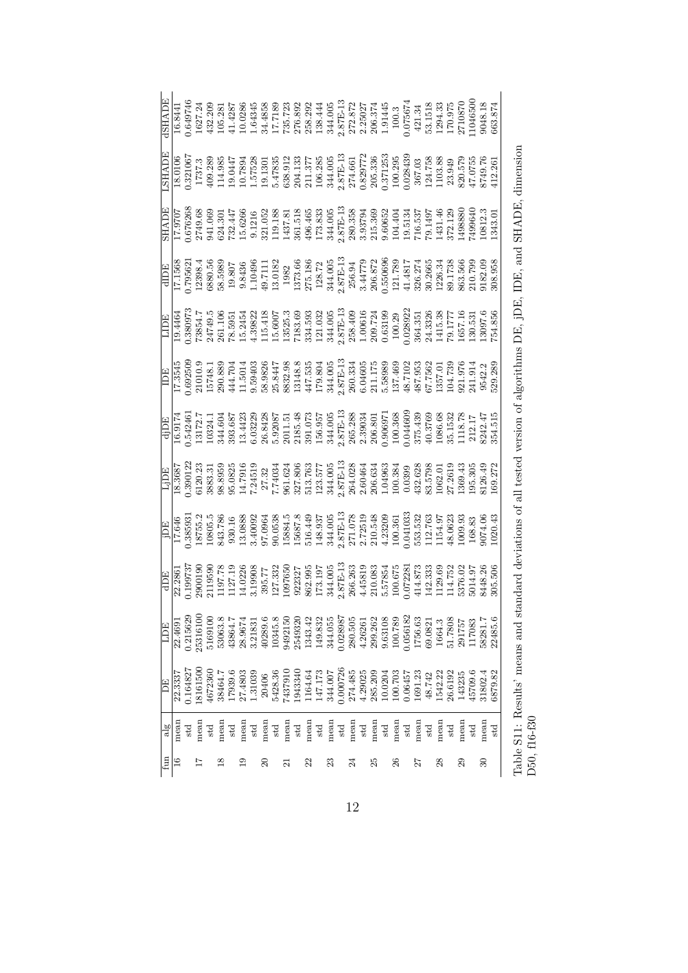|                |         |              | $\begin{array}{l} \underline{\mbox{H}}\underline{\mbox{H}}\underline{\mbox{H}}\underline{\mbox{H}}\underline{\mbox{H}}\underline{\mbox{H}}\underline{\mbox{H}}\underline{\mbox{H}}\underline{\mbox{H}}\underline{\mbox{H}}\underline{\mbox{H}}\underline{\mbox{H}}\underline{\mbox{H}}\underline{\mbox{H}}\underline{\mbox{H}}\underline{\mbox{H}}\underline{\mbox{H}}\underline{\mbox{H}}\underline{\mbox{H}}\underline{\mbox{H}}\underline{\mbox{H}}\underline{\mbox{H}}\underline{\mbox{H}}\underline{\mbox{H}}\underline{\mbox{H}}\underline{\mbox{H}}\underline{\mbox$ |              |         |              |         |              |                     |                    |                |              |      |              |         |                                                                                     |               |         |                  |                                                                          |         |              |                                                                                                                                                                                                |              |         |              |                  |              |         |                                                                                                                                                                                                                                                                                                     |  |
|----------------|---------|--------------|-----------------------------------------------------------------------------------------------------------------------------------------------------------------------------------------------------------------------------------------------------------------------------------------------------------------------------------------------------------------------------------------------------------------------------------------------------------------------------------------------------------------------------------------------------------------------------|--------------|---------|--------------|---------|--------------|---------------------|--------------------|----------------|--------------|------|--------------|---------|-------------------------------------------------------------------------------------|---------------|---------|------------------|--------------------------------------------------------------------------|---------|--------------|------------------------------------------------------------------------------------------------------------------------------------------------------------------------------------------------|--------------|---------|--------------|------------------|--------------|---------|-----------------------------------------------------------------------------------------------------------------------------------------------------------------------------------------------------------------------------------------------------------------------------------------------------|--|
|                |         |              |                                                                                                                                                                                                                                                                                                                                                                                                                                                                                                                                                                             |              |         |              |         |              |                     |                    |                |              |      |              |         |                                                                                     |               |         |                  |                                                                          |         |              |                                                                                                                                                                                                |              |         |              |                  |              |         |                                                                                                                                                                                                                                                                                                     |  |
|                |         |              |                                                                                                                                                                                                                                                                                                                                                                                                                                                                                                                                                                             |              |         |              |         |              |                     |                    |                |              |      |              |         |                                                                                     |               |         |                  |                                                                          |         |              |                                                                                                                                                                                                |              |         |              |                  |              |         |                                                                                                                                                                                                                                                                                                     |  |
|                |         |              | $\begin{array}{r l} \hline & \text{dID} \\ \hline 17.1568 \\ 0.795621 \\ 12398.4 \\ 12398.5 \\ 12398.5 \\ 13080.5 \\ 13080.5 \\ 130182 \\ 13137.6 \\ 130182 \\ 1373.66 \\ 138.7 \\ 1373.66 \\ 138.7 \\ 1373.66 \\ 138.7 \\ 1373.66 \\ 138.7 \\ 1373.66 \\ 138.7 \\ 1373.66 \\ 138.7 \\ 138.7 \\ 1373$                                                                                                                                                                                                                                                                       |              |         |              |         |              |                     |                    |                |              |      |              |         |                                                                                     |               |         |                  |                                                                          |         |              |                                                                                                                                                                                                |              |         |              |                  |              |         |                                                                                                                                                                                                                                                                                                     |  |
|                |         |              | $\begin{array}{l} \text{LID}_{\text{B}} \\ \text{19.4464} \\ \text{19.458972} \\ \text{19.5891} \\ \text{19.59972} \\ \text{19.59972} \\ \text{19.59972} \\ \text{19.59972} \\ \text{19.59972} \\ \text{19.5992} \\ \text{19.5992} \\ \text{19.5992} \\ \text{19.593} \\ \text{10.5005} \\ \text{11.5005} \\ \text{13.505} \\ \text{13.505} \\ \text{13$                                                                                                                                                                                                                    |              |         |              |         |              |                     |                    |                |              |      |              |         |                                                                                     |               |         |                  |                                                                          |         |              |                                                                                                                                                                                                |              |         |              |                  |              |         |                                                                                                                                                                                                                                                                                                     |  |
|                |         |              |                                                                                                                                                                                                                                                                                                                                                                                                                                                                                                                                                                             |              |         |              |         |              |                     |                    |                |              |      |              |         |                                                                                     |               |         |                  |                                                                          |         |              |                                                                                                                                                                                                |              |         |              |                  |              |         |                                                                                                                                                                                                                                                                                                     |  |
|                |         |              | $\begin{array}{r} \hline \text{d} \text{1D} \text{E} \\ \text{16.9174}} \\ \hline 1 & 172.7 \\ 0.54245 \\ 113.72.7 \\ 134.364 \\ 143.732 \\ 154.864 \\ 163.843 \\ 175.78 \\ 185.843 \\ 185.920 \\ 155.920 \\ 155.95 \\ 156.95 \\ 157.87 \\ 158.843 \\ 159.93 \\ 150.90 \\ 150.90 \\ 150.90 \\ 150.90 \\ 150.$                                                                                                                                                                                                                                                               |              |         |              |         |              |                     |                    |                |              |      |              |         |                                                                                     |               |         |                  |                                                                          |         |              |                                                                                                                                                                                                |              |         |              |                  |              |         |                                                                                                                                                                                                                                                                                                     |  |
|                |         |              |                                                                                                                                                                                                                                                                                                                                                                                                                                                                                                                                                                             |              |         |              |         |              |                     |                    |                |              |      |              |         |                                                                                     |               |         |                  |                                                                          |         |              |                                                                                                                                                                                                |              |         |              |                  |              |         |                                                                                                                                                                                                                                                                                                     |  |
|                |         |              |                                                                                                                                                                                                                                                                                                                                                                                                                                                                                                                                                                             |              |         |              |         |              |                     |                    |                |              |      |              |         |                                                                                     |               |         |                  |                                                                          |         |              |                                                                                                                                                                                                |              |         |              |                  |              |         | $\begin{array}{r l} \hline \text{1} \text{E} \\ \hline 17.646 \\ 0.385931 \\ 17.646 \\ 0.385931 \\ 18755.2 \\ 18755.2 \\ 18755.2 \\ 18009 \\ 1930.78 \\ 1930.78 \\ 1930.88 \\ 1930.88 \\ 1930.88 \\ 1930.88 \\ 1930.88 \\ 1930.88 \\ 1930.88 \\ 1930.87 \\ 1930.87 \\ 1930.89 \\ 1930.89 \\ 1930.8$ |  |
|                |         |              |                                                                                                                                                                                                                                                                                                                                                                                                                                                                                                                                                                             |              |         |              |         |              |                     |                    |                |              |      |              |         |                                                                                     |               |         |                  |                                                                          |         |              |                                                                                                                                                                                                |              |         |              |                  |              |         |                                                                                                                                                                                                                                                                                                     |  |
| <b>HOT</b>     | 22.4691 | 1.215629     | 15316100                                                                                                                                                                                                                                                                                                                                                                                                                                                                                                                                                                    | 516910       | 53063.8 | 43864.       | 28.9674 | 3.21831      |                     | 40289.6<br>10345.8 | 9492150        | 2549320      |      |              |         | $\begin{array}{c} 1343.42 \\ 149.832 \\ 344.055 \\ 0.028987 \\ 280.505 \end{array}$ |               | 4.26261 |                  | $\begin{array}{c} 299.262 \\ 9.63108 \\ 100.789 \\ 0.056182 \end{array}$ |         |              | 1756.63                                                                                                                                                                                        | 69.0821      | 1664.3  | 51.7808      | 291757<br>117083 |              | 18281.7 | 22485.6                                                                                                                                                                                                                                                                                             |  |
| E              | 22.333  | 1.164827     | 8161500                                                                                                                                                                                                                                                                                                                                                                                                                                                                                                                                                                     | 1672360      | 38464.7 | 17939.6      | 27.4803 | 1.31039      | 20406               | 5428.36<br>7437910 |                | 1943340      |      |              |         |                                                                                     |               |         |                  |                                                                          |         |              | $\begin{array}{l} 1164.64\\ 147.173\\ 344.007\\ 0.000726\\ 274.485\\ 285.209\\ 10.0204\\ 110.0204\\ 10.0345\\ 10.0345\\ 1691.23\\ 48.742\\ 48.742\\ 1542.22\\ 1542.22\\ 1542.22\\ \end{array}$ |              |         | 26.6192      | 143235           | 45709.6      | 31802.4 | 3879.82                                                                                                                                                                                                                                                                                             |  |
| $\frac{18}{2}$ | mean    | $_{\rm std}$ | mean                                                                                                                                                                                                                                                                                                                                                                                                                                                                                                                                                                        | $_{\rm std}$ | mean    | $_{\rm std}$ | mean    | $_{\rm std}$ | mean                | $_{\rm std}$       | mean           | $_{\rm std}$ | mean | $_{\rm std}$ |         | mean $_{\rm std}$                                                                   | $_{\rm mean}$ |         | $$\rm std$$ mean | $_{\rm std}$                                                             | mean    | $_{\rm std}$ | mean                                                                                                                                                                                           | $_{\rm std}$ | mean    | $_{\rm std}$ | mean             | $_{\rm std}$ | mean    | std                                                                                                                                                                                                                                                                                                 |  |
| $f_{\rm{un}}$  |         |              |                                                                                                                                                                                                                                                                                                                                                                                                                                                                                                                                                                             |              |         |              |         |              | $\overline{\Omega}$ |                    | $\bar{\Omega}$ |              | 22   |              | $^{23}$ |                                                                                     | $\mathbb{Z}$  |         | 25               |                                                                          | $^{26}$ |              | 27                                                                                                                                                                                             |              | $^{28}$ |              |                  |              | 30      |                                                                                                                                                                                                                                                                                                     |  |

Table S11: Results' means and standard deviations of all tested version of algorithms DE, jDE, IDE, and SHADE, dimension Table S11: Results' means and standard deviations of all tested version of algorithms DE, jDE, IDE, and SHADE, dimension D50, f16-f30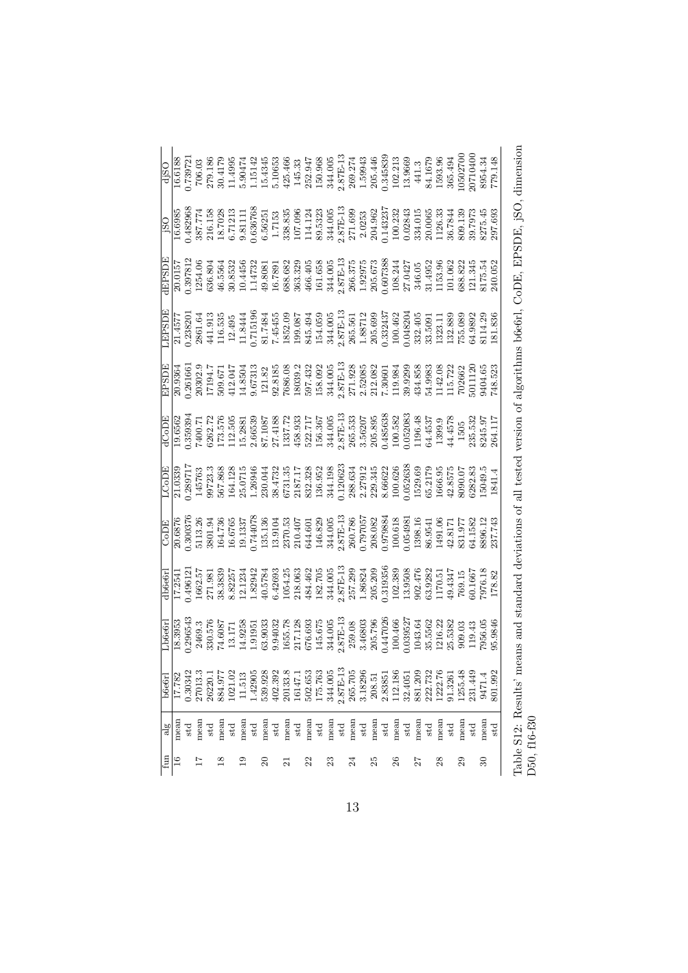| fun                 | $\frac{1}{8}$ | b6e6rl             |                                                                                                                                                                                                                                                                                                                                                           |                                                                                                                                                                                                                                                                                                                                                                           |                                                                                                                                                                                                                                                                                                                                                                                                               |                                                                                                                                                                                                                                                                                                                                                      |  |                                                                                                                                                                                                                                                                                                            |                                                                                                                                                                                                                                                                                              |                                                                                                                                                                                                                                                                                                                                   |
|---------------------|---------------|--------------------|-----------------------------------------------------------------------------------------------------------------------------------------------------------------------------------------------------------------------------------------------------------------------------------------------------------------------------------------------------------|---------------------------------------------------------------------------------------------------------------------------------------------------------------------------------------------------------------------------------------------------------------------------------------------------------------------------------------------------------------------------|---------------------------------------------------------------------------------------------------------------------------------------------------------------------------------------------------------------------------------------------------------------------------------------------------------------------------------------------------------------------------------------------------------------|------------------------------------------------------------------------------------------------------------------------------------------------------------------------------------------------------------------------------------------------------------------------------------------------------------------------------------------------------|--|------------------------------------------------------------------------------------------------------------------------------------------------------------------------------------------------------------------------------------------------------------------------------------------------------------|----------------------------------------------------------------------------------------------------------------------------------------------------------------------------------------------------------------------------------------------------------------------------------------------|-----------------------------------------------------------------------------------------------------------------------------------------------------------------------------------------------------------------------------------------------------------------------------------------------------------------------------------|
| $\frac{6}{1}$       | mean          | 17.782             |                                                                                                                                                                                                                                                                                                                                                           |                                                                                                                                                                                                                                                                                                                                                                           |                                                                                                                                                                                                                                                                                                                                                                                                               |                                                                                                                                                                                                                                                                                                                                                      |  |                                                                                                                                                                                                                                                                                                            |                                                                                                                                                                                                                                                                                              |                                                                                                                                                                                                                                                                                                                                   |
|                     | $_{\rm std}$  | 1.30342            |                                                                                                                                                                                                                                                                                                                                                           |                                                                                                                                                                                                                                                                                                                                                                           |                                                                                                                                                                                                                                                                                                                                                                                                               |                                                                                                                                                                                                                                                                                                                                                      |  |                                                                                                                                                                                                                                                                                                            |                                                                                                                                                                                                                                                                                              |                                                                                                                                                                                                                                                                                                                                   |
|                     | mean          |                    |                                                                                                                                                                                                                                                                                                                                                           |                                                                                                                                                                                                                                                                                                                                                                           |                                                                                                                                                                                                                                                                                                                                                                                                               |                                                                                                                                                                                                                                                                                                                                                      |  |                                                                                                                                                                                                                                                                                                            |                                                                                                                                                                                                                                                                                              |                                                                                                                                                                                                                                                                                                                                   |
|                     | $_{\rm std}$  | 26220.1            |                                                                                                                                                                                                                                                                                                                                                           |                                                                                                                                                                                                                                                                                                                                                                           |                                                                                                                                                                                                                                                                                                                                                                                                               |                                                                                                                                                                                                                                                                                                                                                      |  |                                                                                                                                                                                                                                                                                                            |                                                                                                                                                                                                                                                                                              |                                                                                                                                                                                                                                                                                                                                   |
| $\frac{8}{2}$       | mean          | 884.97             | $\begin{array}{l} \text{Lbe\'{e}61} \\ \text{18.3953} \\ \text{0.29654:} \\ \text{2469.3} \\ \text{7469.7} \\ \text{18.3954:} \\ \text{74.603} \\ \text{19.171} \\ \text{19.181} \\ \text{19.195} \\ \text{19.195} \\ \text{19.195} \\ \text{19.195} \\ \text{19.195} \\ \text{19.195} \\ \text{19.195} \\ \text{19.195} \\ \text{19.195} \\ \text{19.19$ | $\begin{array}{l} \begin{array}{l} \text{GODE}\\ \text{OOS76} \\ \text{O.30037} \\ \text{O.413.36} \\ \text{H.513.37} \\ \text{H.613.38} \\ \text{H.736} \\ \text{H.737} \\ \text{H.738} \\ \text{H.739} \\ \text{H.739} \\ \text{H.730} \\ \text{H.730} \\ \text{H.731} \\ \text{H.731} \\ \text{H.731} \\ \text{H.733} \\ \text{H.734} \\ \text{H.735} \\ \text{H.737}$ | $\begin{array}{l} \text{LloDB} \\ \text{Llo1339} \\ \text{Lip130} \\ \text{Lip20} \\ \text{Lip31} \\ \text{Lip32} \\ \text{Lip33} \\ \text{Lip33} \\ \text{Lip33} \\ \text{Lip33} \\ \text{Lip34} \\ \text{Lip35} \\ \text{Lip36} \\ \text{Lip36} \\ \text{Lip36} \\ \text{Lip36} \\ \text{Lip36} \\ \text{Lip36} \\ \text{Lip36} \\ \text{Lip36} \\ \text{Lip36} \\ \text{Lip36} \\ \text{Lip36} \\ \text{L$ | $\begin{array}{l} \vspace{0.1cm} \textbf{10.6562} \\ \textbf{10.65839343} \\ \textbf{11.73839353} \\ \textbf{12.73839353} \\ \textbf{13.738393} \\ \textbf{14.88393} \\ \textbf{15.74138} \\ \textbf{16.7413} \\ \textbf{17.7413} \\ \textbf{18.8393} \\ \textbf{19.7413} \\ \textbf{10.7413} \\ \textbf{11.7537} \\ \textbf{12.7413} \\ \textbf{13$ |  | $\begin{array}{l} \underline{\text{HPSDIE}} \\ 20.0157 \\ 0.397812 \\ 0.446 \\ 0.5854 \\ 0.6583 \\ 0.74472 \\ 0.8081 \\ 0.7801 \\ 0.7801 \\ 0.7801 \\ 0.7803 \\ 0.6583 \\ 0.68868 \\ 0.6333 \\ 0.6333 \\ 0.6333 \\ 0.6333 \\ 0.6333 \\ 0.6333 \\ 0.6333 \\ 0.6333 \\ 0.6333 \\ 0.6333 \\ 0.6333 \\ 0.6333$ | $\begin{array}{r} 180\\ -196985\\ -196985\\ -196985\\ -196985\\ -196985\\ -196985\\ -196985\\ -196985\\ -196985\\ -196985\\ -196985\\ -196985\\ -196985\\ -196985\\ -196985\\ -196985\\ -196985\\ -196985\\ -196985\\ -196985\\ -196985\\ -196985\\ -196985\\ -196985\\ -196985\\ -196985\\$ | $\begin{array}{r} 6150 \\ -165188 \\ -739721 \\ -82791 \\ -19518 \\ -19519 \\ -19519 \\ -19519 \\ -19519 \\ -19519 \\ -19519 \\ -19519 \\ -19519 \\ -19519 \\ -19519 \\ -19519 \\ -19519 \\ -19519 \\ -19519 \\ -19519 \\ -19519 \\ -19519 \\ -19519 \\ -19519 \\ -19519 \\ -19519 \\ -19519 \\ -19519 \\ -19519 \\ -19519 \\ -1$ |
|                     | $_{\rm std}$  | 1021.02            |                                                                                                                                                                                                                                                                                                                                                           |                                                                                                                                                                                                                                                                                                                                                                           |                                                                                                                                                                                                                                                                                                                                                                                                               |                                                                                                                                                                                                                                                                                                                                                      |  |                                                                                                                                                                                                                                                                                                            |                                                                                                                                                                                                                                                                                              |                                                                                                                                                                                                                                                                                                                                   |
| $\overline{19}$     | mean          | 11.513             |                                                                                                                                                                                                                                                                                                                                                           |                                                                                                                                                                                                                                                                                                                                                                           |                                                                                                                                                                                                                                                                                                                                                                                                               |                                                                                                                                                                                                                                                                                                                                                      |  |                                                                                                                                                                                                                                                                                                            |                                                                                                                                                                                                                                                                                              |                                                                                                                                                                                                                                                                                                                                   |
|                     | $_{\rm std}$  | 1.42905            |                                                                                                                                                                                                                                                                                                                                                           |                                                                                                                                                                                                                                                                                                                                                                           |                                                                                                                                                                                                                                                                                                                                                                                                               |                                                                                                                                                                                                                                                                                                                                                      |  |                                                                                                                                                                                                                                                                                                            |                                                                                                                                                                                                                                                                                              |                                                                                                                                                                                                                                                                                                                                   |
| $\mathcal{S}$       | mean          | 539.928            |                                                                                                                                                                                                                                                                                                                                                           |                                                                                                                                                                                                                                                                                                                                                                           |                                                                                                                                                                                                                                                                                                                                                                                                               |                                                                                                                                                                                                                                                                                                                                                      |  |                                                                                                                                                                                                                                                                                                            |                                                                                                                                                                                                                                                                                              |                                                                                                                                                                                                                                                                                                                                   |
|                     | $_{\rm std}$  | 402.392            |                                                                                                                                                                                                                                                                                                                                                           |                                                                                                                                                                                                                                                                                                                                                                           |                                                                                                                                                                                                                                                                                                                                                                                                               |                                                                                                                                                                                                                                                                                                                                                      |  |                                                                                                                                                                                                                                                                                                            |                                                                                                                                                                                                                                                                                              |                                                                                                                                                                                                                                                                                                                                   |
| $\overline{\Omega}$ | mean          | 20133.8            |                                                                                                                                                                                                                                                                                                                                                           |                                                                                                                                                                                                                                                                                                                                                                           |                                                                                                                                                                                                                                                                                                                                                                                                               |                                                                                                                                                                                                                                                                                                                                                      |  |                                                                                                                                                                                                                                                                                                            |                                                                                                                                                                                                                                                                                              |                                                                                                                                                                                                                                                                                                                                   |
|                     | $_{\rm std}$  | 16147.1            |                                                                                                                                                                                                                                                                                                                                                           |                                                                                                                                                                                                                                                                                                                                                                           |                                                                                                                                                                                                                                                                                                                                                                                                               |                                                                                                                                                                                                                                                                                                                                                      |  |                                                                                                                                                                                                                                                                                                            |                                                                                                                                                                                                                                                                                              |                                                                                                                                                                                                                                                                                                                                   |
| 22                  | mean          | 502.653<br>175.763 |                                                                                                                                                                                                                                                                                                                                                           |                                                                                                                                                                                                                                                                                                                                                                           |                                                                                                                                                                                                                                                                                                                                                                                                               |                                                                                                                                                                                                                                                                                                                                                      |  |                                                                                                                                                                                                                                                                                                            |                                                                                                                                                                                                                                                                                              |                                                                                                                                                                                                                                                                                                                                   |
|                     | $_{\rm std}$  |                    |                                                                                                                                                                                                                                                                                                                                                           |                                                                                                                                                                                                                                                                                                                                                                           |                                                                                                                                                                                                                                                                                                                                                                                                               |                                                                                                                                                                                                                                                                                                                                                      |  |                                                                                                                                                                                                                                                                                                            |                                                                                                                                                                                                                                                                                              |                                                                                                                                                                                                                                                                                                                                   |
| 23                  | mean          | 344.005            |                                                                                                                                                                                                                                                                                                                                                           |                                                                                                                                                                                                                                                                                                                                                                           |                                                                                                                                                                                                                                                                                                                                                                                                               |                                                                                                                                                                                                                                                                                                                                                      |  |                                                                                                                                                                                                                                                                                                            |                                                                                                                                                                                                                                                                                              |                                                                                                                                                                                                                                                                                                                                   |
|                     | $_{\rm std}$  | $2.87E-13$         |                                                                                                                                                                                                                                                                                                                                                           |                                                                                                                                                                                                                                                                                                                                                                           |                                                                                                                                                                                                                                                                                                                                                                                                               |                                                                                                                                                                                                                                                                                                                                                      |  |                                                                                                                                                                                                                                                                                                            |                                                                                                                                                                                                                                                                                              |                                                                                                                                                                                                                                                                                                                                   |
| 24                  | mean          | 265.705            |                                                                                                                                                                                                                                                                                                                                                           |                                                                                                                                                                                                                                                                                                                                                                           |                                                                                                                                                                                                                                                                                                                                                                                                               |                                                                                                                                                                                                                                                                                                                                                      |  |                                                                                                                                                                                                                                                                                                            |                                                                                                                                                                                                                                                                                              |                                                                                                                                                                                                                                                                                                                                   |
|                     | $_{\rm std}$  | 3.18296            |                                                                                                                                                                                                                                                                                                                                                           |                                                                                                                                                                                                                                                                                                                                                                           |                                                                                                                                                                                                                                                                                                                                                                                                               |                                                                                                                                                                                                                                                                                                                                                      |  |                                                                                                                                                                                                                                                                                                            |                                                                                                                                                                                                                                                                                              |                                                                                                                                                                                                                                                                                                                                   |
| 25                  | mean          | 208.51             |                                                                                                                                                                                                                                                                                                                                                           |                                                                                                                                                                                                                                                                                                                                                                           |                                                                                                                                                                                                                                                                                                                                                                                                               |                                                                                                                                                                                                                                                                                                                                                      |  |                                                                                                                                                                                                                                                                                                            |                                                                                                                                                                                                                                                                                              |                                                                                                                                                                                                                                                                                                                                   |
|                     | $_{\rm std}$  | 2.83851            |                                                                                                                                                                                                                                                                                                                                                           |                                                                                                                                                                                                                                                                                                                                                                           |                                                                                                                                                                                                                                                                                                                                                                                                               |                                                                                                                                                                                                                                                                                                                                                      |  |                                                                                                                                                                                                                                                                                                            |                                                                                                                                                                                                                                                                                              |                                                                                                                                                                                                                                                                                                                                   |
| 26                  | mean          | 112.186            |                                                                                                                                                                                                                                                                                                                                                           |                                                                                                                                                                                                                                                                                                                                                                           |                                                                                                                                                                                                                                                                                                                                                                                                               |                                                                                                                                                                                                                                                                                                                                                      |  |                                                                                                                                                                                                                                                                                                            |                                                                                                                                                                                                                                                                                              |                                                                                                                                                                                                                                                                                                                                   |
|                     | $_{\rm std}$  | 32.4051            |                                                                                                                                                                                                                                                                                                                                                           |                                                                                                                                                                                                                                                                                                                                                                           |                                                                                                                                                                                                                                                                                                                                                                                                               |                                                                                                                                                                                                                                                                                                                                                      |  |                                                                                                                                                                                                                                                                                                            |                                                                                                                                                                                                                                                                                              |                                                                                                                                                                                                                                                                                                                                   |
| 27                  | mean          | 881.209            |                                                                                                                                                                                                                                                                                                                                                           |                                                                                                                                                                                                                                                                                                                                                                           |                                                                                                                                                                                                                                                                                                                                                                                                               |                                                                                                                                                                                                                                                                                                                                                      |  |                                                                                                                                                                                                                                                                                                            |                                                                                                                                                                                                                                                                                              |                                                                                                                                                                                                                                                                                                                                   |
|                     | $_{\rm std}$  | 222.732            |                                                                                                                                                                                                                                                                                                                                                           |                                                                                                                                                                                                                                                                                                                                                                           |                                                                                                                                                                                                                                                                                                                                                                                                               |                                                                                                                                                                                                                                                                                                                                                      |  |                                                                                                                                                                                                                                                                                                            |                                                                                                                                                                                                                                                                                              |                                                                                                                                                                                                                                                                                                                                   |
| 28                  | mean          | 1222.76            |                                                                                                                                                                                                                                                                                                                                                           |                                                                                                                                                                                                                                                                                                                                                                           |                                                                                                                                                                                                                                                                                                                                                                                                               |                                                                                                                                                                                                                                                                                                                                                      |  |                                                                                                                                                                                                                                                                                                            |                                                                                                                                                                                                                                                                                              |                                                                                                                                                                                                                                                                                                                                   |
|                     | std           | 91.3261            |                                                                                                                                                                                                                                                                                                                                                           |                                                                                                                                                                                                                                                                                                                                                                           |                                                                                                                                                                                                                                                                                                                                                                                                               |                                                                                                                                                                                                                                                                                                                                                      |  |                                                                                                                                                                                                                                                                                                            |                                                                                                                                                                                                                                                                                              |                                                                                                                                                                                                                                                                                                                                   |
| 29                  | mean          |                    |                                                                                                                                                                                                                                                                                                                                                           |                                                                                                                                                                                                                                                                                                                                                                           |                                                                                                                                                                                                                                                                                                                                                                                                               |                                                                                                                                                                                                                                                                                                                                                      |  |                                                                                                                                                                                                                                                                                                            |                                                                                                                                                                                                                                                                                              |                                                                                                                                                                                                                                                                                                                                   |
|                     | $_{\rm std}$  |                    |                                                                                                                                                                                                                                                                                                                                                           |                                                                                                                                                                                                                                                                                                                                                                           |                                                                                                                                                                                                                                                                                                                                                                                                               |                                                                                                                                                                                                                                                                                                                                                      |  |                                                                                                                                                                                                                                                                                                            |                                                                                                                                                                                                                                                                                              |                                                                                                                                                                                                                                                                                                                                   |
| $\mathcal{S}$       | mean          | 9471.4             |                                                                                                                                                                                                                                                                                                                                                           |                                                                                                                                                                                                                                                                                                                                                                           |                                                                                                                                                                                                                                                                                                                                                                                                               |                                                                                                                                                                                                                                                                                                                                                      |  |                                                                                                                                                                                                                                                                                                            |                                                                                                                                                                                                                                                                                              |                                                                                                                                                                                                                                                                                                                                   |
|                     | std           | 801.992            |                                                                                                                                                                                                                                                                                                                                                           |                                                                                                                                                                                                                                                                                                                                                                           |                                                                                                                                                                                                                                                                                                                                                                                                               |                                                                                                                                                                                                                                                                                                                                                      |  |                                                                                                                                                                                                                                                                                                            |                                                                                                                                                                                                                                                                                              |                                                                                                                                                                                                                                                                                                                                   |
|                     |               |                    |                                                                                                                                                                                                                                                                                                                                                           |                                                                                                                                                                                                                                                                                                                                                                           |                                                                                                                                                                                                                                                                                                                                                                                                               |                                                                                                                                                                                                                                                                                                                                                      |  |                                                                                                                                                                                                                                                                                                            |                                                                                                                                                                                                                                                                                              |                                                                                                                                                                                                                                                                                                                                   |

Table S12: Results' means and standard deviations of all tested version of algorithms b6e6rl, CoDE, EPSDE, jSO, dimension Table S12: Results' means and standard deviations of all tested version of algorithms b6e6rl, CoDE, EPSDE, jSO, dimension D50, f16-f30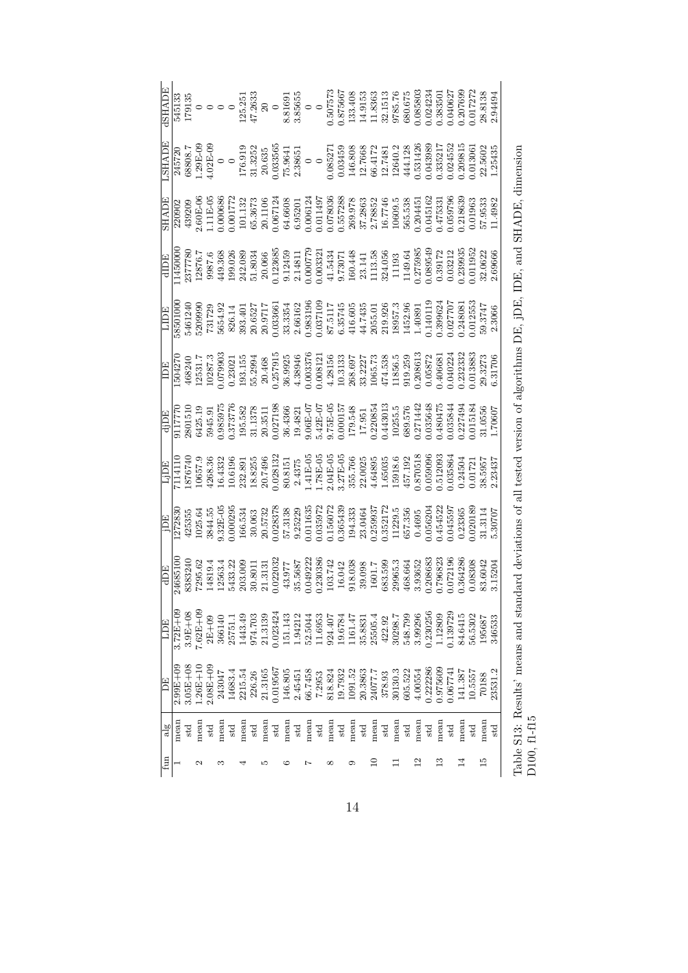| <b>RIANE</b><br><b>AREA</b> | $\begin{array}{r} \bf{545133} \\ \bf{179135} \\ \bf{0} \\ \bf{0} \\ \bf{185,251} \\ \bf{19135} \\ \bf{125,253} \\ \bf{20} \\ \bf{38565} \\ \bf{38565} \\ \bf{38565} \\ \bf{0.507573} \\ \bf{0.507573} \\ \bf{133.408} \\ \bf{195,251} \\ \bf{133.513} \\ \bf{149153} \\ \bf{3865} \\ \bf{55,76} \\ \bf{60.675} \\ \bf{61$ | $\begin{array}{r} \frac{245720}{245720} \\ 68808.7 \\ 1.29 \text{B}-09 \\ 0 \\ 0 \\ 0.0355 \\ 1.3252 \\ 2.3252 \\ 1.3252 \\ 2.5965 \\ 0 \\ 0.08527 \\ 1.768 \\ 0 \\ 0.03459 \\ 0 \\ 0.03459 \\ 1.0245 \\ 1.0243 \\ 1.0243 \\ 0 \\ 0.03439 \\ 0 \\ 0.03439 \\ 0 \\ 0.0335217 \\ 0 \\ 0.033521 \\ 0 \\ 0.033$ |              |              |        |         |         |         |         |              |         |         |         |              |          |                    |         |                    |         |        |         |         |              |          |               |          |         |         |               |                    |
|-----------------------------|---------------------------------------------------------------------------------------------------------------------------------------------------------------------------------------------------------------------------------------------------------------------------------------------------------------------------|-------------------------------------------------------------------------------------------------------------------------------------------------------------------------------------------------------------------------------------------------------------------------------------------------------------|--------------|--------------|--------|---------|---------|---------|---------|--------------|---------|---------|---------|--------------|----------|--------------------|---------|--------------------|---------|--------|---------|---------|--------------|----------|---------------|----------|---------|---------|---------------|--------------------|
| <b>SHADE</b>                |                                                                                                                                                                                                                                                                                                                           | $\begin{array}{l} 220902 \\ 239209 \\ 439209 \\ 2.60E-66 \\ 2.60E-66 \\ 2.60E-66 \\ 2.60E-66 \\ 2.60E-66 \\ 2.60E-66 \\ 2.60E-66 \\ 2.60E-66 \\ 2.60E-66 \\ 2.60E-66 \\ 2.60E-66 \\ 2.60E-66 \\ 2.60E-66 \\ 2.60E-66 \\ 2.60E-66 \\ 2.60E-66 \\ 2.60E-66 \\ 2.60E-66 \\ 2.60E-66$                           |              |              |        |         |         |         |         |              |         |         |         |              |          |                    |         |                    |         |        |         |         |              |          |               |          |         |         |               |                    |
|                             | $\begin{array}{r l} \hline \text{dID} \\ \hline 11450000 \\ 12377780 \\ 12876.7 \\ 12876.7 \\ 12876.7 \\ 2377780 \\ 149.368 \\ 242.089 \\ 243.086 \\ 20.066 \\ 20.123685 \\ 21.4811 \\ 21.4811 \\ 21.4314 \\ 21.4314 \\ 21.4314 \\ 21.4314 \\ 21.4314 \\ 21.4314 \\ 21.4314 \\ 21.4314 \\ 21.43$                          |                                                                                                                                                                                                                                                                                                             |              |              |        |         |         |         |         |              |         |         |         |              |          |                    |         |                    |         |        |         |         |              |          |               |          |         |         |               |                    |
|                             | LIDE<br>38501000                                                                                                                                                                                                                                                                                                          | $\begin{array}{l} 5461240 \\ 5209990 \\ 731729 \\ 5654.92 \\ 20.9936 \\ 20.93401 \\ 20.9717 \\ 20.9717 \\ 20.9717 \\ 20.93354 \\ 20.93354 \\ 20.93354 \\ 20.93196 \\ 20.93196 \\ 20.93196 \\ 20.93196 \\ 20.93196 \\ 20.93196 \\ 20.93196 \\ 20.93196 \\ 20.93195 \\ 20.9357 \\ 20$                         |              |              |        |         |         |         |         |              |         |         |         |              |          |                    |         |                    |         |        |         |         |              |          |               |          |         |         |               |                    |
|                             |                                                                                                                                                                                                                                                                                                                           |                                                                                                                                                                                                                                                                                                             |              |              |        |         |         |         |         |              |         |         |         |              |          |                    |         |                    |         |        |         |         |              |          |               |          |         |         |               |                    |
|                             | $\begin{array}{r} \text{d}\overline{\text{1DE}}\\ \hline 9117770\\ 9301510\\ 6425.19\\ 6425.19\\ 0.955776\\ 0.936151\\ 1378\\ 8045.91\\ 13511\\ 80435.91\\ 136138\\ 20.027198\\ 30.4366\\ 0.027198\\ 30.4366\\ 0.02719\\ 31.1378\\ 36.4366\\ 0.02719\\ 0.0313\\ 0.0313\\ 0.0313\\ $                                       |                                                                                                                                                                                                                                                                                                             |              |              |        |         |         |         |         |              |         |         |         |              |          |                    |         |                    |         |        |         |         |              |          |               |          |         |         |               |                    |
|                             |                                                                                                                                                                                                                                                                                                                           |                                                                                                                                                                                                                                                                                                             |              |              |        |         |         |         |         |              |         |         |         |              |          |                    |         |                    |         |        |         |         |              |          |               |          |         |         |               |                    |
|                             | $\begin{array}{r l} \hline \text{1D} \\ \hline 1272830 \\ 1272835 \\ 1025.64 \\ 1035.63 \\ 1035.64 \\ 1035.64 \\ 1035.63 \\ 1036.53 \\ 1037.32 \\ 1038378 \\ 1038378 \\ 1038378 \\ 1038378 \\ 11035.67 \\ 1103637 \\ 1103637 \\ 1103637 \\ 1103637 \\ 1103637 \\ 1103637 \\ 1103637 \\ 1103637$                           |                                                                                                                                                                                                                                                                                                             |              |              |        |         |         |         |         |              |         |         |         |              |          |                    |         |                    |         |        |         |         |              |          |               |          |         |         |               |                    |
| <b>HOP</b>                  |                                                                                                                                                                                                                                                                                                                           | $\begin{array}{r} \hline 24685100 \\ 72463240 \\ 14819.4 \\ 14819.4 \\ 14819.4 \\ 14819.4 \\ 14813.22 \\ 503.009 \\ 0.02203 \\ 0.012203 \\ 0.004922 \\ 0.01303 \\ 0.004922 \\ 0.004922 \\ 0.004922 \\ 0.004923 \\ 0.00493 \\ 0.00493 \\ 0.00493 \\ 0.00493 \\ 0.00493 \\ 0.00493 \\ 0.$                     |              |              |        |         |         |         |         |              |         |         |         |              |          |                    |         |                    |         |        |         |         |              |          |               |          |         | 0.08308 |               | 83.6042<br>3.15204 |
| <b>HUT</b>                  | $3.72E + 0.0$                                                                                                                                                                                                                                                                                                             | $3.9E+0$                                                                                                                                                                                                                                                                                                    | $7.62E + 09$ | $2E+09$      | 366140 | 25751.  | 1443.49 | 974.703 | 21.3139 | 0.023424     | 151.143 | 1.94212 | 52.5044 | 11.6953      | 924.407  | 19.6784<br>1161.47 |         | 35.8831<br>25505.4 |         | 422.92 | 30298.7 | 548.799 | 3.99296      | 0.230256 | 1.12809       | 1.139729 | 84.6415 | 56.5302 | 195687        | 346533             |
| E                           | $-99E + 0$                                                                                                                                                                                                                                                                                                                | $-0.5E + 0.$                                                                                                                                                                                                                                                                                                | $.26E + 10$  | $2.08E + 08$ | 243047 | 14683.4 | 2215.54 | 226.26  | 21.3165 | 0.019567     | 146.805 | 2.4545  | 66.7458 | 7.2953       | 818.824  | 19.7932            | 1091.52 | 20.3863            | 24077.7 | 378.93 | 30130.3 | 605.522 | 4.00554      | 0.222286 | 1.975609      | 1.067741 | 141.387 | 10.5557 | 70188         | 23531.2            |
| $\frac{8}{3}$               | mean                                                                                                                                                                                                                                                                                                                      | std                                                                                                                                                                                                                                                                                                         | mean         | $_{\rm std}$ | mean   | std     | mear    | std     | mean    | $_{\rm std}$ | mean    | std     | mean    | $_{\rm std}$ | mean     | std                | mear    | $_{\rm std}$       | mean    | std    | mean    | std     | mean         | std      | mean          | std      | mear    | std     | mean          | std                |
| fun                         |                                                                                                                                                                                                                                                                                                                           |                                                                                                                                                                                                                                                                                                             | N            |              | ∞      |         |         |         | ω       |              | ం       |         | N       |              | $\infty$ |                    | ౦       |                    | $\Xi$   |        |         |         | $\mathbf{r}$ |          | $\frac{3}{1}$ |          |         |         | $\frac{5}{1}$ |                    |

Table S13: Results' means and standard deviations of all tested version of algorithms DE, jDE, IDE, and SHADE, dimension Table S13: Results' means and standard deviations of all tested version of algorithms DE, jDE, IDE, and SHADE, dimension D100, f1-f15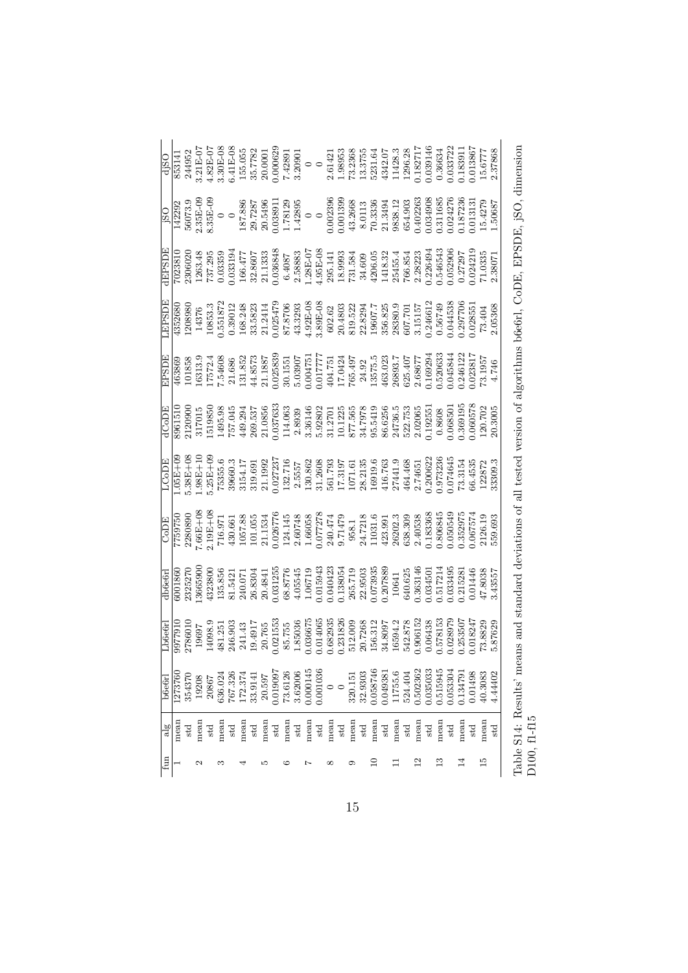|               |         |        |       |              |         |              |         |              |        |              |         |                                                    |      |              |         | $\begin{array}{r} \text{d} \text{350} \\ \text{353141} \\ \text{353141} \\ \text{353142} \\ \text{353143} \\ \text{35314} \\ \text{432E-CT} \\ \text{433E-CT} \\ \text{5550} \\ \text{5650} \\ \text{57782} \\ \text{74289} \\ \text{3631} \\ \text{37782} \\ \text{74281} \\ \text{3853} \\ \text{3953} \\ \text{3175} \\ \text{74281} \\ \text{73395} \\ \text{74395} \\$                     |        |              |          |              |         |              |                |              |          |              |         |          |                |              |  |
|---------------|---------|--------|-------|--------------|---------|--------------|---------|--------------|--------|--------------|---------|----------------------------------------------------|------|--------------|---------|-------------------------------------------------------------------------------------------------------------------------------------------------------------------------------------------------------------------------------------------------------------------------------------------------------------------------------------------------------------------------------------------------|--------|--------------|----------|--------------|---------|--------------|----------------|--------------|----------|--------------|---------|----------|----------------|--------------|--|
|               |         |        |       |              |         |              |         |              |        |              |         |                                                    |      |              |         | $\begin{array}{r} \text{180} \\ \text{142292} \\ \text{56073.3} \\ \text{23.35E-C} \\ \text{23.55E} \\ \text{142292} \\ \text{15.788} \\ \text{26.735E} \\ \text{18.788} \\ \text{29.7287} \\ \text{18.789} \\ \text{20.63891} \\ \text{178129} \\ \text{18.7895} \\ \text{18.7812} \\ \text{19.7812} \\ \text{10.0023363} \\ \text{20.0023363} \\ \$                                           |        |              |          |              |         |              |                |              |          |              |         |          |                |              |  |
| <b>IEPSDE</b> |         |        |       |              |         |              |         |              |        |              |         |                                                    |      |              |         | $\begin{array}{l} \hline \text{7023810} \\ \text{7023810} \\ \text{1263.48} \\ \text{737.295} \\ \text{737.295} \\ \text{737.295} \\ \text{138.33} \\ \text{138.35} \\ \text{139.471} \\ \text{139.583} \\ \text{130.36848} \\ \text{130.36848} \\ \text{130.487} \\ \text{131.495L-07} \\ \text{131.495L-07} \\ \text{131.495L-07} \\ \text{1$                                                 |        |              |          |              |         |              |                |              |          |              |         |          |                |              |  |
| <b>EPSDI</b>  |         |        |       |              |         |              |         |              |        |              |         |                                                    |      |              |         | $\begin{array}{l} 4352680\\ 1208980\\ 14376\\ 153533\\ 16351872\\ 176533\\ 183533\\ 213543\\ 223544\\ 235543\\ 24551\\ 25551\\ 26551\\ 27551\\ 2853\\ 2853\\ 2951\\ 2951\\ 2053\\ 2053\\ 2053\\ 2053\\ 2053\\ 2053\\ 2053\\ 2053\\ 2053\\ 2053\\ 2053\\ 2053\\ 2053\\$                                                                                                                          |        |              |          |              |         |              |                |              |          |              |         |          |                |              |  |
| HOSPE         |         |        |       |              |         |              |         |              |        |              |         |                                                    |      |              |         | $\begin{array}{l} 463869\\ 101836\\ 101852\\ 175724\\ 17460\\ 201333\\ 211362\\ 321357\\ 2131887\\ 211887\\ 210390\\ 100475\\ 110177\\ 17140\\ 201151\\ 11187\\ 210390\\ 100475\\ 111875\\ 210390\\ 101177\\ 171042\\ 2424\\ 25175\\ 151023\\ 131375\\ 21039\\ 21$                                                                                                                              |        |              |          |              |         |              |                |              |          |              |         |          |                |              |  |
| <b>HCODE</b>  | 3961510 |        |       |              |         |              |         |              |        |              |         |                                                    |      |              |         | $\begin{array}{l} 2120900\\ 317015\\ 1519850\\ 1495.38\\ 249.137\\ 249.294\\ 250.537\\ 21.0856\\ 21.0856\\ 21.0856\\ 21.0856\\ 21.0856\\ 21.0856\\ 21.0856\\ 21.0856\\ 21.0856\\ 21.0856\\ 21.0856\\ 21.027\\ 21.028\\ 22.0206\\ 21.0207\\ 22.0206\\ 21.0207\\$                                                                                                                                 |        |              |          |              |         |              |                |              |          |              |         |          |                |              |  |
|               |         |        |       |              |         |              |         |              |        |              |         |                                                    |      |              |         | $\begin{array}{l} \text{LOD1} \\ \text{LO5E+08} \\ \text{L38E+1} \\ \text{L38E+1} \\ \text{L38E+1} \\ \text{L38E+1} \\ \text{L38E+1} \\ \text{L38E+1} \\ \text{L38E+1} \\ \text{L38E+1} \\ \text{L38E+1} \\ \text{L38E+1} \\ \text{L38E+1} \\ \text{L38E+1} \\ \text{L38E+1} \\ \text{L38E+1} \\ \text{L38E+1} \\ \text{L38E+1} \\ \text{L38E+1} \\ \text{L38E$                                 |        |              |          |              |         |              |                |              |          |              |         |          |                | 3309.3       |  |
| CoDE          |         |        |       |              |         |              |         |              |        |              |         |                                                    |      |              |         | $\begin{array}{l} \hline \text{7759750} \\ \text{77684} \\ \text{788890} \\ \text{77664} \\ \text{7989} \\ \text{799} \\ \text{799} \\ \text{799} \\ \text{799} \\ \text{799} \\ \text{799} \\ \text{799} \\ \text{799} \\ \text{799} \\ \text{799} \\ \text{799} \\ \text{799} \\ \text{799} \\ \text{799} \\ \text{799} \\ \text{799} \\ \text{799} \\ \text{799} \\ \text{799} \\ \text{799$ |        |              |          |              |         |              |                |              |          |              |         |          |                |              |  |
| db6e6r        |         |        |       |              |         |              |         |              |        |              |         |                                                    |      |              |         | $\begin{array}{l} 6001860\\ 60018650\\ 2325270\\ 432530\\ 500180\\ 500180\\ 50013125\\ 601013125\\ 601013125\\ 601013125\\ 60101325\\ 6010133125\\ 601013431\\ 601013423\\ 6010134323\\ 601013433\\ 601013433\\ 601013433\\ 601013433\\ 601013431\\ 601013$                                                                                                                                     |        |              |          |              |         |              |                |              |          |              |         |          |                |              |  |
| Lb6e6r        | 1162266 |        |       |              |         |              |         |              |        |              |         |                                                    |      |              |         | $\begin{array}{l} 2786010\\ 19697\\ 14098.9\\ 244.251\\ 241.43\\ 241.44\\ 245.755\\ 0.0765\\ 0.036675\\ 0.036675\\ 0.036675\\ 0.036675\\ 0.03408\\ 0.0382935\\ 0.031826\\ 0.031826\\ 0.031826\\ 0.04065\\ 0.04065\\ 0.0408\\ 0.0438\\ 0.0438\\ 0.00438\\ 0.00$                                                                                                                                  |        |              |          |              |         |              |                |              |          |              |         |          | 73.8829        | 5.87629      |  |
| b6e6r1        | 1273761 | 354370 | 19208 | 20867        | 636.024 | 767.326      | 172.374 | 33.9141      | 20.597 | 0.019097     | 73.6126 | $\begin{array}{c} 3.62006 \\ 0.000145 \end{array}$ |      | 0.001036     | $\circ$ |                                                                                                                                                                                                                                                                                                                                                                                                 | 320.15 | 32.9303      | 0.058746 | 0.04938      | 11755.6 | 524.404      | 0.502362       | 0.035033     | 0.515945 | 0.053304     | 0.13479 | 0.01498  | 40.3083        | 4.44402      |  |
| alg           | mean    | std    | mean  | $_{\rm std}$ | mean    | $_{\rm std}$ | mean    | $_{\rm std}$ | mean   | $_{\rm std}$ | mean    | $_{\rm std}$                                       | mean | $_{\rm std}$ | mean    | $_{\rm std}$                                                                                                                                                                                                                                                                                                                                                                                    | mean   | $_{\rm std}$ | mean     | $_{\rm std}$ | mean    | $_{\rm std}$ | mean           | $_{\rm std}$ | mean     | $_{\rm std}$ | mean    | $_{std}$ | mean           | $_{\rm std}$ |  |
| $f_{\rm{un}}$ |         |        | 2     |              | ಌ       |              |         |              | ω      |              | ం       |                                                    |      |              | ∞       |                                                                                                                                                                                                                                                                                                                                                                                                 | ග      |              |          |              |         |              | $\overline{c}$ |              | ≌        |              |         |          | $\frac{15}{2}$ |              |  |

Table S14: Results' means and standard deviations of all tested version of algorithms b6e6rl, CoDE, EPSDE, jSO, dimension Table S14: Results' means and standard deviations of all tested version of algorithms b6e6rl, CoDE, EPSDE, jSO, dimension D100, f1-f15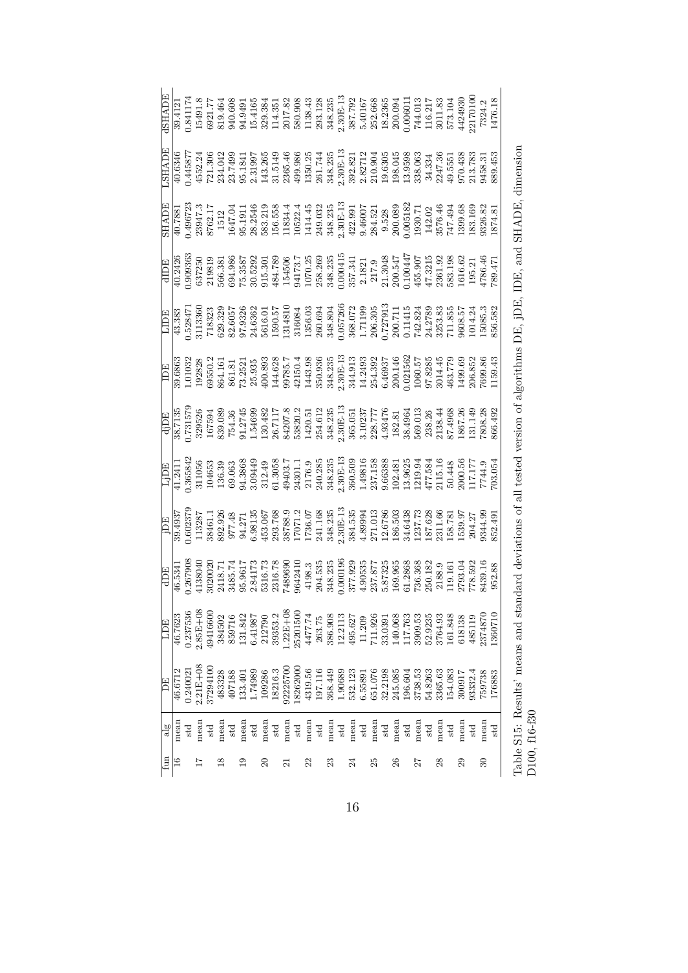|           |               |              | $\begin{array}{l} \hline \text{NHAID} \\ \hline \text{NHS 11, 308} \\ \text{NHS 21, 34, 35, 36, 37, 38}\\ \text{NHS 31, 308} \\ \text{NHS 32, 34}\\ \text{NHS 33, 36, 36, 38}\\ \text{NHS 33, 36, 36, 38}\\ \text{NHS 34, 36, 36, 38}\\ \text{NHS 35, 36, 38}\\ \text{NHS 36, 38, 32, 32}\\ \text{NHS 36, 38, 32, 32, 32}\\ \$                                                         |              |               |        |                 |              |                   |              |                 |              |                                                              |        |      |                                                                                                                   |      |              |      |     |      |         |                                                                    |              |         |                   |                   |        |                 |         |  |
|-----------|---------------|--------------|----------------------------------------------------------------------------------------------------------------------------------------------------------------------------------------------------------------------------------------------------------------------------------------------------------------------------------------------------------------------------------------|--------------|---------------|--------|-----------------|--------------|-------------------|--------------|-----------------|--------------|--------------------------------------------------------------|--------|------|-------------------------------------------------------------------------------------------------------------------|------|--------------|------|-----|------|---------|--------------------------------------------------------------------|--------------|---------|-------------------|-------------------|--------|-----------------|---------|--|
|           |               |              | $\begin{array}{l} \underline{\text{SHADE}} \\ 90.7881 \\ 93947.3 \\ 8722 \\ 8723 \\ 8721 \\ 1041 \\ 95.1911 \\ 1041 \\ 95.1911 \\ 10534.4 \\ 10534.4 \\ 10534.4 \\ 105324.4 \\ 1144.45 \\ 249.033 \\ 348.239 \\ 349.033 \\ 349.033 \\ 349.033 \\ 349.030 \\ 350.000 \\ 10518 \\ 114.00 \\ 114.00 \\ 114.$                                                                              |              |               |        |                 |              |                   |              |                 |              |                                                              |        |      |                                                                                                                   |      |              |      |     |      |         |                                                                    |              |         |                   |                   |        |                 |         |  |
|           |               |              |                                                                                                                                                                                                                                                                                                                                                                                        |              |               |        |                 |              |                   |              |                 |              |                                                              |        |      |                                                                                                                   |      |              |      |     |      |         |                                                                    |              |         |                   |                   |        |                 |         |  |
|           |               |              | $\begin{array}{r} \boxed{\text{1DE}} \\ \text{43.383} \\ \text{43.385} \\ \text{52847} \\ \text{713360} \\ \text{72847} \\ \text{8323} \\ \text{8333} \\ \text{8333} \\ \text{8333} \\ \text{95.33} \\ \text{13360} \\ \text{1430} \\ \text{1500.57} \\ \text{1630} \\ \text{1730} \\ \text{1830} \\ \text{1830} \\ \text{1830} \\ \text{1830} \\ \text{1830} \\ \text{1830} \\ \text$ |              |               |        |                 |              |                   |              |                 |              |                                                              |        |      |                                                                                                                   |      |              |      |     |      |         |                                                                    |              |         |                   |                   |        |                 |         |  |
|           |               |              |                                                                                                                                                                                                                                                                                                                                                                                        |              |               |        |                 |              |                   |              |                 |              |                                                              |        |      |                                                                                                                   |      |              |      |     |      |         |                                                                    |              |         |                   |                   |        |                 |         |  |
|           |               |              | $\begin{array}{l} \hline \text{d} \text{1DE} \\ \hline 367135 \\ 0.73157 \\ 0.73157 \\ 0.73157 \\ 0.73157 \\ 0.73157 \\ 0.73158 \\ 0.73158 \\ 0.73159 \\ 0.73159 \\ 0.73159 \\ 0.73159 \\ 0.73159 \\ 0.73159 \\ 0.73159 \\ 0.73159 \\ 0.73159 \\ 0.73159 \\ 0.73159 \\ 0.73159 \\ 0.73159 \\ 0.7315$                                                                                   |              |               |        |                 |              |                   |              |                 |              |                                                              |        |      |                                                                                                                   |      |              |      |     |      |         |                                                                    |              |         |                   |                   |        |                 |         |  |
|           |               |              | $\begin{array}{l} \text{Lip} \\ \text{Lip} \\ \text{1,241} \\ \text{1,341} \\ \text{1,342} \\ \text{1,433} \\ \text{1,444} \\ \text{1,453} \\ \text{1,463} \\ \text{1,474} \\ \text{1,485} \\ \text{1,493} \\ \text{1,403} \\ \text{1,414} \\ \text{1,424} \\ \text{1,433} \\ \text{1,453} \\ \text{1,463} \\ \text{1,474} \\ \text{1,485} \\ \text{1,493} \\ \text{1,403}$            |              |               |        |                 |              |                   |              |                 |              |                                                              |        |      |                                                                                                                   |      |              |      |     |      |         |                                                                    |              |         |                   |                   |        |                 |         |  |
|           |               |              | $\begin{array}{r l} \hline \text{15} \\ \hline 93.4937 \\ 0.602375 \\ 0.602375 \\ 113287 \\ 39.491.1 \\ 50.798 \\ 50.798 \\ 6.9813 \\ 6.9313 \\ 74.71 \\ 85.768 \\ 93.768 \\ 93.768 \\ 93.768 \\ 93.768 \\ 93.768 \\ 93.768 \\ 93.768 \\ 93.768 \\ 93.768 \\ 93.768 \\ 93.768 \\ 93.768 \\ 93.768 \\$                                                                                  |              |               |        |                 |              |                   |              |                 |              |                                                              |        |      |                                                                                                                   |      |              |      |     |      |         |                                                                    |              |         |                   |                   |        |                 |         |  |
|           |               |              | $\begin{array}{r} \hline \text{dDE} \\ \hline 46.5341 \\ 0.267908 \\ 0.267908 \\ 0.34138040 \\ 0.34138040 \\ 0.341381 \\ 0.341381 \\ 0.35101 \\ 0.36102 \\ 0.36103 \\ 0.36103 \\ 0.36309 \\ 0.36309 \\ 0.36309 \\ 0.36309 \\ 0.36309 \\ 0.36309 \\ 0.36309 \\ 0.36309 \\ 0.36309 \\ 0.36309 \\ $                                                                                       |              |               |        |                 |              |                   |              |                 |              |                                                              |        |      |                                                                                                                   |      |              |      |     |      |         |                                                                    |              |         |                   |                   |        |                 |         |  |
| E         | 46.7623       |              | 85E+08                                                                                                                                                                                                                                                                                                                                                                                 | 941660       | 384502        | 859716 | 131.842         | 6.41987      | 212790<br>39353.2 |              | $.22E + 08$     | 25201500     | 4477.74                                                      | 263.75 |      | $\begin{array}{r} 386.908 \\ 12.2113 \\ 495.627 \\ 11.209 \\ 11.209 \\ 711.926 \\ 33.0391 \\ 140.068 \end{array}$ |      |              |      |     |      |         | $\begin{array}{c} 3\,909.53 \\ 5\,2.9235 \\ 3\,764.93 \end{array}$ |              |         | 161.848<br>618138 |                   | 485119 | 374870          | 1360710 |  |
| <b>EC</b> | 46.6712       | 1.24002      | $2.21E + 0$                                                                                                                                                                                                                                                                                                                                                                            | 3729410      | 483328        | 407188 | 133.401         | 1.74989      | 109286<br>18216.3 |              | 92225700        | 18262000     | $\begin{array}{c} 4319.56 \\ 197.116 \\ 368.449 \end{array}$ |        |      | $\begin{array}{c} 1.90689 \\ 532.123 \\ 6.55891 \\ 651.076 \\ 651.076 \\ 32.2198 \\ 245.085 \end{array}$          |      |              |      |     |      | 196.604 | 3738.53<br>54.8263<br>3365.63                                      |              |         | 154.083           | 300917<br>93332.4 |        | 759738          | 176883  |  |
| alg       | mean          | $_{\rm std}$ | mean                                                                                                                                                                                                                                                                                                                                                                                   | $_{\rm std}$ | mean          | std    | mear            | $_{\rm std}$ | mean              | $_{\rm std}$ | mean            | $_{\rm std}$ | mean                                                         | std    | mean | $_{\rm std}$                                                                                                      | mean | $_{\rm std}$ | mean | std | mear | std     | mean                                                               | $_{\rm std}$ | mean    | $_{\rm std}$      | mean              | std    | mean            | std     |  |
| fun       | $\frac{6}{1}$ |              |                                                                                                                                                                                                                                                                                                                                                                                        |              | $\frac{8}{1}$ |        | $\overline{19}$ |              | $\overline{c}$    |              | $\overline{21}$ |              | 22                                                           |        | 23   |                                                                                                                   | 24   |              | 29   |     | 26   |         | 27                                                                 |              | $^{28}$ |                   | 29                |        | $\overline{30}$ |         |  |

Table S15: Results' means and standard deviations of all tested version of algorithms DE, jDE, IDE, and SHADE, dimension Table S15: Results' means and standard deviations of all tested version of algorithms DE, jDE, IDE, and SHADE, dimension D100, f16-f30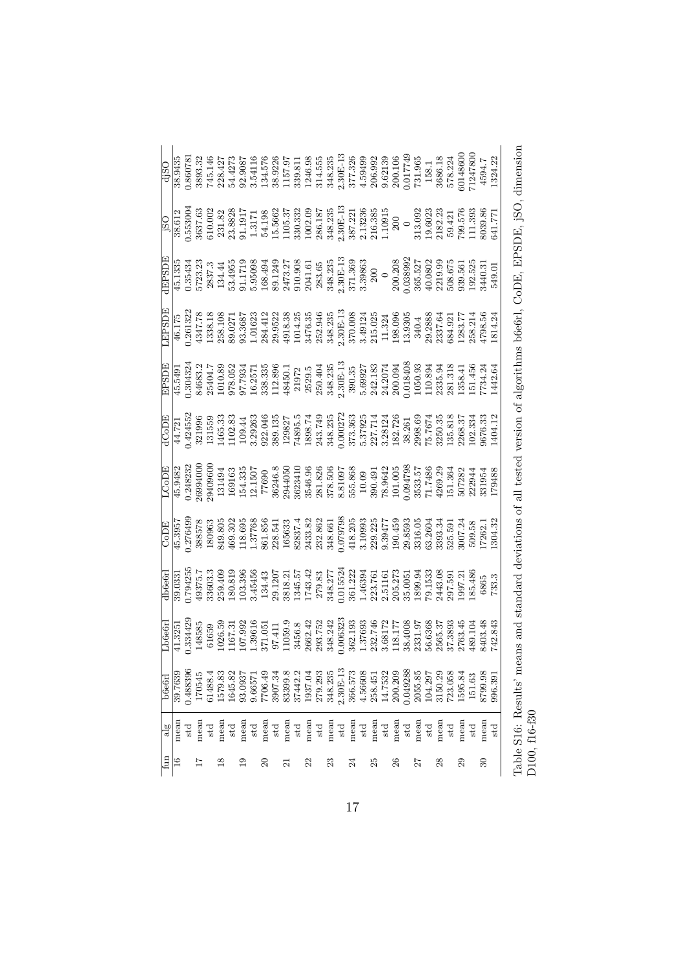|                          |         |              |                         |              |                       |              |                      |              |                  |              |           |              |            |         |            |              |            |              |            |              |            |          |            |              |            |              |            | $\begin{array}{l} -0.030 \\ -0.030 \\ -0.809 \\ -0.809 \\ -0.809 \\ -0.809 \\ -0.809 \\ -0.809 \\ -0.809 \\ -0.809 \\ -0.809 \\ -0.809 \\ -0.809 \\ -0.809 \\ -0.809 \\ -0.809 \\ -0.809 \\ -0.809 \\ -0.809 \\ -0.809 \\ -0.809 \\ -0.809 \\ -0.809 \\ -0.809 \\ -0.809 \\ -0.809 \\ -0.809 \\ -0.809 \\ -0.809 \\ -0.809 \\ -0.$                                    |                         |         |
|--------------------------|---------|--------------|-------------------------|--------------|-----------------------|--------------|----------------------|--------------|------------------|--------------|-----------|--------------|------------|---------|------------|--------------|------------|--------------|------------|--------------|------------|----------|------------|--------------|------------|--------------|------------|-----------------------------------------------------------------------------------------------------------------------------------------------------------------------------------------------------------------------------------------------------------------------------------------------------------------------------------------------------------------------|-------------------------|---------|
|                          |         |              |                         |              |                       |              |                      |              |                  |              |           |              |            |         |            |              |            |              |            |              |            |          |            |              |            |              |            | $\begin{array}{r} \text{180} \\ \text{185303} \\ \text{186312} \\ \text{187333} \\ \text{188333} \\ \text{18931} \\ \text{18131} \\ \text{18131} \\ \text{18131} \\ \text{18132} \\ \text{181333} \\ \text{18133} \\ \text{18133} \\ \text{18133} \\ \text{18133} \\ \text{18133} \\ \text{18133} \\ \text{18133} \\ \text{18133} \\ \text{18133} \\ \text{18133} \\$ |                         |         |
|                          |         |              |                         |              |                       |              |                      |              |                  |              |           |              |            |         |            |              |            |              |            |              |            |          |            |              |            |              |            |                                                                                                                                                                                                                                                                                                                                                                       |                         |         |
| <b>LEPSDI</b>            |         |              |                         |              |                       |              |                      |              |                  |              |           |              |            |         |            |              |            |              |            |              |            |          |            |              |            |              |            | $[4]^{12}_{13}{}^{12}_{17}{}^{18}_{18}{}^{18}_{18}{}^{18}_{18}{}^{18}_{18}{}^{18}_{18}{}^{18}_{18}{}^{18}_{18}{}^{18}_{18}{}^{18}_{18}{}^{18}_{18}{}^{18}_{18}{}^{18}_{18}{}^{18}_{18}{}^{18}_{18}{}^{18}_{18}{}^{18}_{18}{}^{18}_{18}{}^{18}_{18}{}^{18}_{18}{}^{18}_{18}{}^{18}_{18}{}^{18}_{18}{}^{18}_{18}{}^{18}_{18}{}^{18}_{18}{}^{$                           |                         |         |
| EPSDE                    |         |              |                         |              |                       |              |                      |              |                  |              |           |              |            |         |            |              |            |              |            |              |            |          |            |              |            |              |            | $[45,540] \begin{tabular}{l cccc} \hline 15,450 \\ 0.304324 & 0.504334 \\ 0.504334 & 0.504334 \\ 0.504324 & 0.504334 \\ 0.504324 & 0.504334 \\ 0.50435 & 0.5043445 \\ 0.50435 & 0.504345 \\ 0.50435 & 0.504345 \\ 0.50435 & 0.504345 \\ 0.50435 & 0.504345 \\ 0.50435 & 0.504$                                                                                        |                         |         |
|                          |         |              |                         |              |                       |              |                      |              |                  |              |           |              |            |         |            |              |            |              |            |              |            |          |            |              |            |              |            | $\frac{16}{4}$ $\frac{121}{4}$ $\frac{123}{45}$ $\frac{123}{45}$ $\frac{123}{45}$ $\frac{123}{45}$ $\frac{123}{45}$ $\frac{123}{45}$ $\frac{123}{45}$ $\frac{123}{45}$ $\frac{123}{45}$ $\frac{123}{45}$ $\frac{123}{45}$ $\frac{123}{45}$ $\frac{123}{45}$ $\frac{123}{45}$ $\frac{123}{45}$ $\frac$                                                                 |                         |         |
|                          |         |              |                         |              |                       |              |                      |              |                  |              |           |              |            |         |            |              |            |              |            |              |            |          |            |              |            |              |            | $\begin{array}{l} \text{LOD1} \\ \text{145.9482} \\ \text{0.248230} \\ \text{26994000} \\ \text{159483} \\ \text{161.483} \\ \text{17690} \\ \text{181.43} \\ \text{191.48} \\ \text{191.49} \\ \text{102.482} \\ \text{193.49} \\ \text{103.49} \\ \text{104.40} \\ \text{115.40} \\ \text{126.40} \\ \text{137.40} \\ \text{148.40} \\ \text{150.50} \\$            |                         |         |
| CoDE                     |         |              |                         |              |                       |              |                      |              |                  |              |           |              |            |         |            |              |            |              |            |              |            |          |            |              |            |              |            | $\begin{array}{l} 45.3957\\ 1276498578\\ 288578\\ 390963\\ 2699302\\ 389578\\ 45.376857\\ 48.98578\\ 499303\\ 28371\\ 1137768\\ 28371\\ 2831\\ 2832\\ 28332\\ 2832\\ 28332\\ 2832\\ 2832\\ 2832\\ 2832\\ 2832\\ 2832\\ 2832\\ 2832\\ 2832\\ 2832\\ 2832\\ 2832\\ 28$                                                                                                  |                         |         |
|                          |         |              |                         |              |                       |              |                      |              |                  |              |           |              |            |         |            |              |            |              |            |              |            |          |            |              |            |              |            | $\begin{array}{l} \vspace{2mm} \hline \text{db6661} \\ \vspace{2mm} 0.0331 \\ \vspace{2mm} 1.794255 \\ \vspace{2mm} 1.794255 \\ \vspace{2mm} 1.794255 \\ \vspace{2mm} 1.3343 \\ \vspace{2mm} 1.3443 \\ \vspace{2mm} 1.3443 \\ \vspace{2mm} 1.3455 \\ \vspace{2mm} 1.34342 \\ \vspace{2mm} 1.34342 \\ \vspace{2mm} 1.34343 \\ \vspace{2mm} 1.34342 \\ \vspace$         |                         |         |
| Lbc6                     |         |              |                         |              |                       |              |                      |              |                  |              |           |              |            |         |            |              |            |              |            |              |            |          |            |              |            |              |            | $[ \begin{array}{cccc} 1.32413955 \\ 0.33442885 \\ 0.1659 \\ 0.1659 \\ 0.1659 \\ 0.1659 \\ 0.1659 \\ 0.1659 \\ 0.1659 \\ 0.1651 \\ 0.1651 \\ 0.1651 \\ 0.1651 \\ 0.1653 \\ 0.1651 \\ 0.1653 \\ 0.1653 \\ 0.1653 \\ 0.1653 \\ 0.1653 \\ 0.1653 \\ 0.1653 \\ 0.1653 \\ 0.1653 \\ 0.1653 \\ 0.1$                                                                         |                         |         |
| b6e6r                    | 39.7639 | 1.488396     | 170545                  | 31488.4      | 1579.83               | 1645.82      | 93.0937              | 9.6657       | 7706.49          | 3907.34      | 83399.8   | 37442.2      | 1937.04    | 279.293 | 348.235    | $2.30E-13$   | 366.573    | 4.56608      | 258.451    | 14.7532      | 200.209    | 0.049288 | 2055.85    | 104.297      | 3150.29    | 723.058      | 1595.84    | 151.63                                                                                                                                                                                                                                                                                                                                                                | 8799.98                 | 996.391 |
| $\frac{18}{2}$<br>$\lim$ | mean    | $_{\rm std}$ | mean<br>$\overline{11}$ | $_{\rm std}$ | mean<br>$\frac{8}{2}$ | $_{\rm std}$ | mean<br>$\mathbf{5}$ | $_{\rm std}$ | mean<br>$\Omega$ | $_{\rm std}$ | mean<br>ដ | $_{\rm std}$ | mean<br>22 | std     | mean<br>23 | $_{\rm std}$ | mean<br>24 | $_{\rm std}$ | mean<br>25 | $_{\rm std}$ | mean<br>26 | std      | mean<br>27 | $_{\rm std}$ | mean<br>28 | $_{\rm std}$ | mean<br>29 | $_{\rm std}$                                                                                                                                                                                                                                                                                                                                                          | mean<br>$\overline{30}$ | std     |

Table S16: Results' means and standard deviations of all tested version of algorithms b6e6rl, CoDE, EPSDE, jSO, dimension Table S16: Results' means and standard deviations of all tested version of algorithms b6e6rl, CoDE, EPSDE, jSO, dimension D100, f16-f30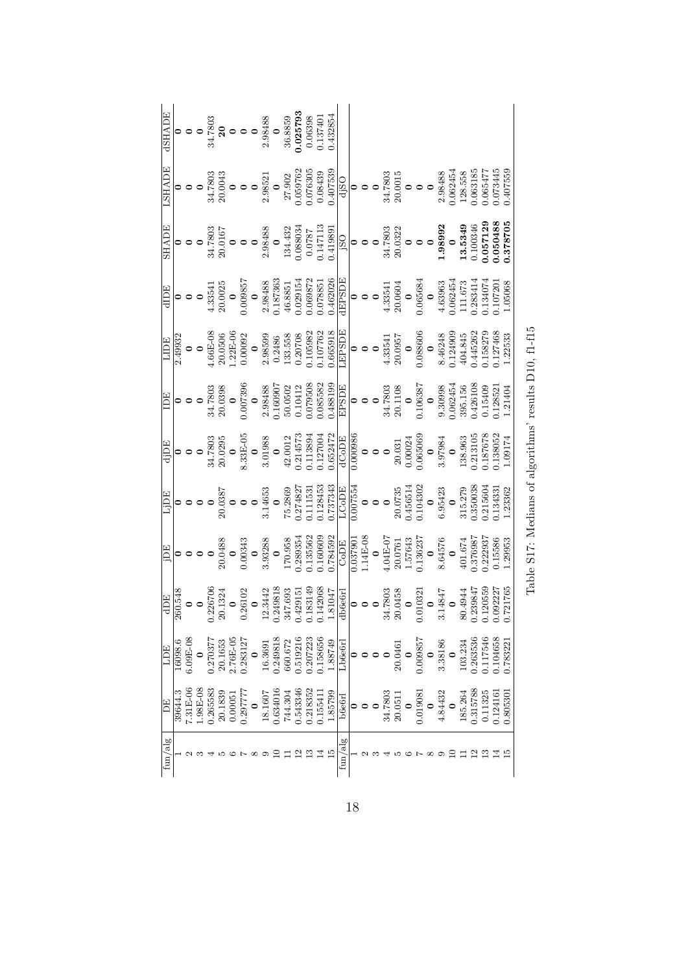| dSHADE       |                 |           |  |  |                                                                                          |  |  | $\begin{array}{c} {\textbf{0}}\\ {\textbf{0}}\\ {\textbf{0}}\\ {\textbf{0}}\\ {\textbf{1}}\\ {\textbf{20}}\\ {\textbf{34}}\\ {\textbf{50}}\\ {\textbf{1}}\\ {\textbf{20}}\\ {\textbf{1}}\\ {\textbf{39}}\\ {\textbf{19}}\\ {\textbf{19}}\\ {\textbf{19}}\\ {\textbf{19}}\\ {\textbf{19}}\\ {\textbf{19}}\\ {\textbf{19}}\\ {\textbf{19}}\\ {\textbf{19}}\\ {\textbf{19}}\\ {\textbf{19}}\\ {\textbf{19}}\\ {\textbf{19}}\\ {\textbf{19}}\\ {\textbf{19}}\\ {\textbf{$ |  |                                                                                                                                                                                                                                                                                                                                        |                      |  |  |                                                                                                          |  |  |  |  |                                                                                                                                                                                                                                                                                       |          |
|--------------|-----------------|-----------|--|--|------------------------------------------------------------------------------------------|--|--|-----------------------------------------------------------------------------------------------------------------------------------------------------------------------------------------------------------------------------------------------------------------------------------------------------------------------------------------------------------------------------------------------------------------------------------------------------------------------|--|----------------------------------------------------------------------------------------------------------------------------------------------------------------------------------------------------------------------------------------------------------------------------------------------------------------------------------------|----------------------|--|--|----------------------------------------------------------------------------------------------------------|--|--|--|--|---------------------------------------------------------------------------------------------------------------------------------------------------------------------------------------------------------------------------------------------------------------------------------------|----------|
| LSHADE       |                 |           |  |  |                                                                                          |  |  |                                                                                                                                                                                                                                                                                                                                                                                                                                                                       |  | $\begin{array}{c ccc} 0 & 0 & 0 & 0 \\ 0 & 0 & 0 & 0 \\ 0 & 0 & 0 & 0 \\ 0 & 0 & 0 & 0 \\ 0 & 0 & 0 & 0 \\ 0 & 0 & 0 & 0 \\ 0 & 0 & 0 & 0 \\ 0 & 0 & 0 & 0 \\ 0 & 0 & 0 & 0 \\ 0 & 0 & 0 & 0 \\ 0 & 0 & 0 & 0 \\ 0 & 0 & 0 & 0 \\ 0 & 0 & 0 & 0 \\ 0 & 0 & 0 & 0 \\ 0 & 0 & 0 & 0 \\ 0 & 0 & 0 & 0 \\ 0 & 0 & 0 & 0 \\ 0 & 0 & $       |                      |  |  |                                                                                                          |  |  |  |  | 0.065477<br>0.073445                                                                                                                                                                                                                                                                  | 0.407559 |
| <b>SHADE</b> |                 |           |  |  |                                                                                          |  |  |                                                                                                                                                                                                                                                                                                                                                                                                                                                                       |  | $\begin{array}{c c} 0 & 0 & 0\\ 0 & 0 & 0\\ 0 & 0 & 0\\ 20.0167 & 0\\ 0 & 0 & 0\\ 2.98488 & 0\\ 134.432 & 0\\ 0.088034 & 0\\ 0.0787 & 0\\ 0.0147113 & 0\\ 0.014113 & 0\\ 0.01419891 \\ \hline \end{array}$                                                                                                                             |                      |  |  |                                                                                                          |  |  |  |  |                                                                                                                                                                                                                                                                                       |          |
|              |                 |           |  |  |                                                                                          |  |  |                                                                                                                                                                                                                                                                                                                                                                                                                                                                       |  | $\begin{tabular}{r c c c} \hline dIDE \\ \hline 0 & 0 & 0 \\ 0 & 0 & 0 \\ 0.009857 & 2.00025 \\ 0.009857 & 2.98488 \\ 0.187363 & 46.8851 \\ 0.029154 & 46.8851 \\ 0.029154 & 0.02026 \\ 0.009872 & 0.029154 \\ 0.009872 & 0.00004 \\ 0.000085 & 0.00004 \\ 0.00000 & 0.0000454 \\ 0.000$                                               |                      |  |  |                                                                                                          |  |  |  |  |                                                                                                                                                                                                                                                                                       |          |
|              | LIDE<br>2.49932 |           |  |  |                                                                                          |  |  |                                                                                                                                                                                                                                                                                                                                                                                                                                                                       |  | $\begin{array}{c} 0 \\ 0 \\ 4.66\text{E}-08 \\ 20.05\,06 \\ 1.22\text{E}-06 \\ 0.00092 \\ 2.9859 \\ 0.2486 \\ 1.33.558 \\ 1.33.558 \\ 1.33.558 \\ 1.33.558 \\ 1.33.558 \\ 0.107762 \\ 0.107762 \\ 0.065918 \\ \text{LEPSDE} \end{array}$                                                                                               |                      |  |  |                                                                                                          |  |  |  |  | $\begin{array}{c} 0 \\ 0 \\ 0 \\ 20.0957 \\ 20.0957 \\ 0.088606 \\ 0.145262 \\ 0.145262 \\ 0.145262 \\ 0.158279 \\ 0.158279 \\ 0.158279 \\ 0.158279 \\ 0.158279 \\ 0.158279 \\ 0.15833 \\ 1.22533 \\ 1.23533 \\ \end{array}$                                                          |          |
|              |                 |           |  |  |                                                                                          |  |  |                                                                                                                                                                                                                                                                                                                                                                                                                                                                       |  |                                                                                                                                                                                                                                                                                                                                        |                      |  |  |                                                                                                          |  |  |  |  |                                                                                                                                                                                                                                                                                       |          |
|              |                 |           |  |  |                                                                                          |  |  |                                                                                                                                                                                                                                                                                                                                                                                                                                                                       |  | $\begin{tabular}{ c c c c c } \hline i DE\\ \hline $41.780395 \\ $20.0295 \\ $34.7803 \\ $3.01028 \\ $3.01988 \\ $42.0012 \\ $42.0012 \\ $1.13894 \\ $1.13894 \\ $1.13894 \\ $1.13894 \\ $1.13894 \\ $1.13770 \\ $1.13700 \\ $1.13700 \\ $1.13700 \\ $1.13700 \\ $1.13700 \\ $1.13700 \\ $1.13707 \\ $1.13707 \\ $$                    |                      |  |  |                                                                                                          |  |  |  |  |                                                                                                                                                                                                                                                                                       |          |
|              |                 |           |  |  |                                                                                          |  |  |                                                                                                                                                                                                                                                                                                                                                                                                                                                                       |  | $\begin{array}{r rrrr} \text{Lipp} \\ \hline 0 & 0 & 0 & 0 \\ 0 & 0 & 0 & 0 \\ 0 & 0 & 0 & 0 \\ 0 & 0 & 0 & 0 \\ 0 & 0 & 0 & 0 \\ 0 & 0 & 0 & 0 \\ 0 & 0 & 0 & 0 \\ 0 & 0 & 0 & 0 \\ 0 & 0 & 0 & 0 \\ 0 & 0 & 0 & 0 \\ 0 & 0 & 0 & 0 \\ 0 & 0 & 0 & 0 \\ 0 & 0 & 0 & 0 \\ 0 & 0 & 0 & 0 \\ 0 & 0 & 0 & 0 \\ 0 & 0 & 0 & 0 \\ 0 & 0 & $ |                      |  |  |                                                                                                          |  |  |  |  |                                                                                                                                                                                                                                                                                       |          |
|              |                 |           |  |  |                                                                                          |  |  |                                                                                                                                                                                                                                                                                                                                                                                                                                                                       |  |                                                                                                                                                                                                                                                                                                                                        |                      |  |  |                                                                                                          |  |  |  |  |                                                                                                                                                                                                                                                                                       |          |
|              |                 |           |  |  |                                                                                          |  |  |                                                                                                                                                                                                                                                                                                                                                                                                                                                                       |  | $\begin{array}{r l} {\rm dDE}\\ \hline 1060.548\\ \bf0.226706\\ \bf0.2301324\\ \bf0.301324\\ \bf0.26102\\ \bf0.240818\\ \bf0.240818\\ \bf0.249815\\ \bf0.429151\\ \bf0.142068\\ \bf0.183149\\ \bf0.142068\\ \bf0.142047\\ \bf0.142066\\ \bf0.142048\\ \end{array}$                                                                     |                      |  |  | $\begin{array}{c} 0 \\ 0 \\ 34.7803 \\ 20.0458 \\ 0 \\ 0.010321 \\ 0 \\ 0 \\ 0 \\ 0 \\ 0 \\ \end{array}$ |  |  |  |  | $\begin{array}{c} 80.4944 \\ 0.239847 \\ 0.120559 \\ 0.120559 \\ 0.092227 \\ \end{array}$                                                                                                                                                                                             |          |
| ECT          | 16098.6         | $.09E-0$  |  |  |                                                                                          |  |  |                                                                                                                                                                                                                                                                                                                                                                                                                                                                       |  | $\begin{array}{l} 0 \\ 0.270377 \\ 20.1653 \\ 2.76E - 0 \\ 0.283127 \\ 0.283127 \\ 0.249818 \\ 0.249818 \\ 0.01319216 \\ 0.01319216 \\ 0.0139723 \\ 0.138656 \\ 0.138749 \\ -1.88749 \\ \end{array}$                                                                                                                                   |                      |  |  |                                                                                                          |  |  |  |  | 0.104658<br>0.783221                                                                                                                                                                                                                                                                  |          |
| F            | 39644.3         | $.31E-00$ |  |  | $\begin{array}{c} 1.98\text{E-0}8\\ 0.265583\\ 20.1839\\ 0.00051\\ 0.297777 \end{array}$ |  |  |                                                                                                                                                                                                                                                                                                                                                                                                                                                                       |  | $\begin{array}{c} {\bf 0}\\ 18.1607\\ 0.634016\\ 744.304\\ 0.543346\\ 0.154334\\ 0.155411\\ 1.85799\\ \hline \end{array}$                                                                                                                                                                                                              |                      |  |  |                                                                                                          |  |  |  |  | $\begin{array}{c} 0 \\ 0 \\ 34.7803 \\ 20.0511 \\ 20.0511 \\ 20.0511 \\ 4.84432 \\ 4.84432 \\ 1185.264 \\ 1185.264 \\ 1185.264 \\ 113788 \\ 100.11325 \\ 0.011325 \\ 0.011325 \\ 0.011325 \\ 0.011325 \\ 0.011325 \\ 0.011325 \\ 0.011325 \\ 0.011325 \\ 0.011325 \\ 0.011325 \\ 0.0$ |          |
| alg<br>fun/  |                 |           |  |  |                                                                                          |  |  |                                                                                                                                                                                                                                                                                                                                                                                                                                                                       |  |                                                                                                                                                                                                                                                                                                                                        | ${\rm fun}/{\rm al}$ |  |  |                                                                                                          |  |  |  |  |                                                                                                                                                                                                                                                                                       |          |

| l<br>١<br>ı<br>ě<br>י                        |
|----------------------------------------------|
| ۱                                            |
| i                                            |
| l<br>i<br>١<br>١<br>I<br>I<br>$\overline{a}$ |
| $\sim$<br>۱<br>Ì<br>I                        |
| l<br>ļ                                       |
| ֕<br>I                                       |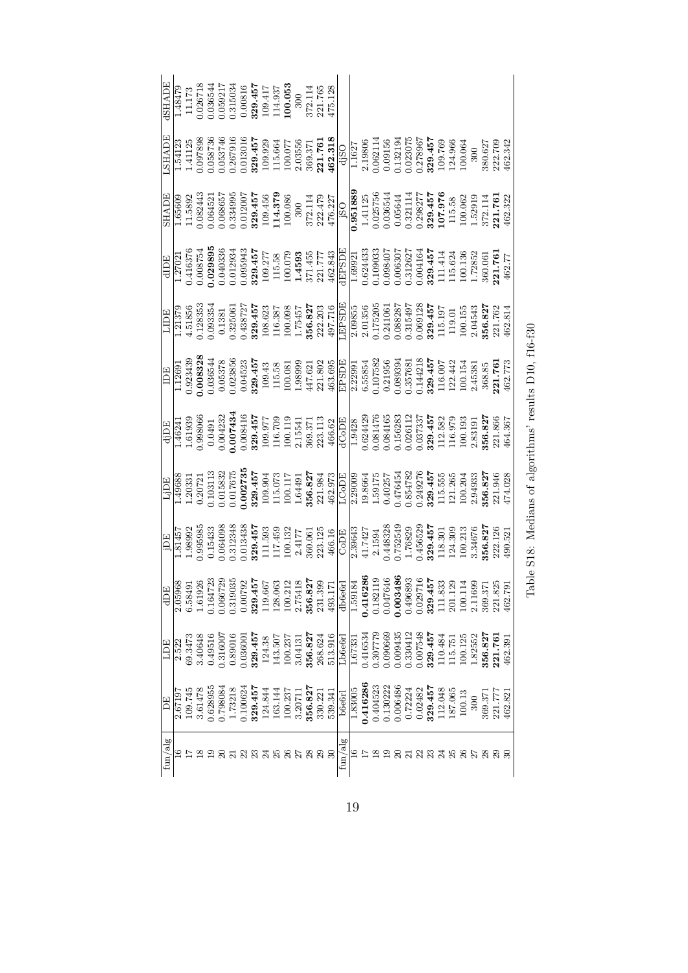| <b>RUARE</b> | 1.48479                                 | 11.173  |         |                      |  |  | $\begin{array}{r} 0.026718 \\ 0.036544 \\ 0.0369217 \\ 0.0315034 \\ 0.00816 \\ 0.00816 \\ 109.417 \\ 114.937 \\ 114.937 \\ 114.937 \\ 109.417 \\ 114.937 \\ 114.937 \\ 123.765 \\ 372.114 \\ 475.128 \\ 475.128 \end{array}$                                                                                                                                 |        |  |  |                |         |  |  |                                                                                                                                                                                                                      |  |  |         |         |                               |         |
|--------------|-----------------------------------------|---------|---------|----------------------|--|--|--------------------------------------------------------------------------------------------------------------------------------------------------------------------------------------------------------------------------------------------------------------------------------------------------------------------------------------------------------------|--------|--|--|----------------|---------|--|--|----------------------------------------------------------------------------------------------------------------------------------------------------------------------------------------------------------------------|--|--|---------|---------|-------------------------------|---------|
| LSHADE       |                                         |         |         |                      |  |  | $\begin{array}{r} 1.54123 \\ 1.41125 \\ 0.097888 \\ 0.058736 \\ 0.058736 \\ 0.030306 \\ 0.030306 \\ 0.005746 \\ 0.00789 \\ 0.00078 \\ 0.0007 \\ 0.0007 \\ 0.0007 \\ 0.00007 \\ 0.00000 \\ 0.00000 \\ 0.00010 \\ 0.00010 \\ 0.00010 \\ 0.00010 \\ 0.00010 \\ 0.00010 \\ 0.00010 \\ 0.$                                                                        |        |  |  |                |         |  |  |                                                                                                                                                                                                                      |  |  |         |         | 380.627<br>222.709<br>462.342 |         |
| <b>SHADE</b> | 1.65609                                 |         |         |                      |  |  | $\begin{array}{r} 11.5892\\ 0.082443\\ 0.06455\\ 0.06455\\ 0.004521\\ 0.00455\\ 0.00045\\ 0.00000\\ 0.00000\\ 0.00000\\ 0.00000\\ 0.00000\\ 0.00000\\ 0.00000\\ 0.00000\\ 0.00000\\ 0.00000\\ 0.00000\\ 0.00000\\ 0.00000\\ 0.0000\\ 0.0000\\ 0.0000\\ 0.0000$                                                                                               |        |  |  |                |         |  |  |                                                                                                                                                                                                                      |  |  |         |         |                               |         |
|              |                                         |         |         |                      |  |  | $\begin{tabular}{r c c} \hline d{{\rm{1}}} & {\rm{1}} \\ \hline 1,77021 & 0.416376 & 0.008754 & 0.008754 & 0.008754 & 0.008754 & 0.000000 & 0.000000 & 0.000000 & 0.000000 & 0.000000 & 0.000000 & 0.000000 & 0.000000 & 0.000000 & 0.000000 & 0.000000 & 0.000000 & 0.000000$                                                                               |        |  |  |                |         |  |  |                                                                                                                                                                                                                      |  |  |         |         |                               |         |
|              |                                         |         |         |                      |  |  |                                                                                                                                                                                                                                                                                                                                                              |        |  |  |                |         |  |  |                                                                                                                                                                                                                      |  |  |         |         |                               |         |
|              | $\frac{\overline{\text{IDE}}}{1.12691}$ |         |         |                      |  |  | $\begin{array}{r} 0.923439\\ 0.0083288\\ 0.008378\\ 0.03578\\ 0.033856\\ 0.033856\\ 0.033856\\ 0.00442\\ 0.00378\\ 0.00452\\ 0.00378\\ 0.00452\\ 0.00378\\ 0.00452\\ 0.0003\\ 0.0003\\ 0.0003\\ 0.00003\\ 0.00003\\ 0.00003\\ 0.00003\\ 0.00003\\ 0.00003\\ 0$                                                                                               |        |  |  |                |         |  |  |                                                                                                                                                                                                                      |  |  |         |         |                               | co cran |
|              |                                         |         |         |                      |  |  | $\begin{tabular}{ c c c c c c c c c c } \hline d DE\\ \hline 1.46241 & 0.998066 & 0.0421 & 0.03806 & 0.0421 & 0.03806 & 0.00421 & 0.00421 & 0.00421 & 0.00421 & 0.00421 & 0.00421 & 0.00421 & 0.00421 & 0.00421 & 0.00421 & 0.00421 & 0.00421 & 0.00421 & 0.00421 & 0.$                                                                                      |        |  |  |                |         |  |  |                                                                                                                                                                                                                      |  |  |         |         |                               |         |
|              |                                         |         |         |                      |  |  | $\begin{array}{r} \begin{array}{r} \text{LjDE} \\ \text{1.49688} \\ \text{1.20331} \\ \text{0.20721} \\ \text{0.103113} \\ \text{0.10312} \\ \text{0.10313} \\ \text{0.10313} \\ \text{0.017675} \\ \text{0.02735} \\ \text{1.03332} \\ \text{1.00313} \\ \text{1.00313} \\ \text{1.0034} \\ \text{1.0034} \\ \text{1.00117} \\ \text{1.0034} \\ \text{2.03$ |        |  |  |                |         |  |  | $\begin{array}{r} 2.29009 \\ 19.8664 \\ 1.59175 \\ 0.476454 \\ 0.347827 \\ 0.349276 \\ 0.249276 \\ 0.3457 \\ 329.457 \\ 121.265 \\ 100.204 \\ 121.265 \\ 2.94933 \\ 356.827 \\ 2.94933 \\ \end{array}$               |  |  |         |         | 474.028                       |         |
|              |                                         |         |         |                      |  |  | $\begin{array}{r l} \hline \text{1B} & \text{1B} \\ \hline 1.81457 & \text{0.995985} \\ 0.95985 & \text{0.15433} \\ 0.15433 & \text{0.15433} \\ 0.013438 & \text{1.1553} \\ 0.01348 & \text{1.1553} \\ 0.01348 & \text{1.1553} \\ 0.01348 & \text{1.1553} \\ 0.01348 & \text{1.1553} \\ 0.01348 & \text{1.1553} \\ 0.013$                                    |        |  |  |                |         |  |  |                                                                                                                                                                                                                      |  |  |         |         |                               |         |
|              |                                         |         |         |                      |  |  |                                                                                                                                                                                                                                                                                                                                                              |        |  |  |                |         |  |  |                                                                                                                                                                                                                      |  |  |         |         |                               |         |
| EUT          | 2.522                                   | 69.3473 |         |                      |  |  | $\begin{array}{c} 3.40648 \\ 0.49516 \\ 0.316007 \\ 0.030016 \\ 0.030001 \\ 124.38 \\ 124.38 \\ 143.507 \\ 143.507 \\ 143.507 \\ 3.04131 \\ 3.04131 \\ 3.04132 \\ 3.05.824 \\ 3.05.624 \\ \end{array}$                                                                                                                                                       |        |  |  | Lb6e6r         |         |  |  | $\begin{array}{r} 1.67331 \\ 0.416534 \\ 0.307779 \\ 0.000669 \\ 0.000435 \\ 0.030412 \\ 0.30412 \\ 0.30443 \\ 0.030435 \\ 0.030436 \\ 1.0484 \\ 110,125 \\ 110,125 \\ 110,125 \\ 110,125 \\ 1.23552 \\ \end{array}$ |  |  | 356.827 | 221.761 | 462.391                       |         |
| F)F,         | 2.6719                                  | 109.745 | 3.61478 | 0.628955<br>0.798084 |  |  | $\begin{array}{r} 1.73218 \\ 0.100624 \\ \textbf{329.451} \\ 124.844 \\ \textbf{163.144} \\ 163.144 \\ \textbf{350.827} \\ 3.20711 \\ \textbf{356.827} \\ \textbf{377} \\ 330.221 \\ \textbf{386.827} \\ \textbf{39.341} \end{array}$                                                                                                                        |        |  |  | <b>b</b> 6e6rl | 1.83005 |  |  | $\begin{array}{l} 0.416286\\ 0.404523\\ 0.130222\\ 0.130222\\ 0.006486\\ 0.72224\\ 0.00486\\ 0.02482\\ 0.02482\\ 123.457\\ 137.063\\ 138.706\\ 139.13\\ 137.063\\ 2100.13\\ \end{array}$                             |  |  |         |         | 369.371<br>221.777<br>462.821 |         |
| fun/alg      |                                         |         |         |                      |  |  |                                                                                                                                                                                                                                                                                                                                                              | 858888 |  |  | fun/alg        |         |  |  |                                                                                                                                                                                                                      |  |  |         |         |                               |         |

| es o<br>I<br>ς<br>Σ<br>$\overline{ }$<br>l                                                                               |
|--------------------------------------------------------------------------------------------------------------------------|
| ֧֧֧ׅ֧֧֧֛ׅ֧֧֛֚֚֚֚֚֚֚֚֚֚֚֚֚֚֚֚֚֚֚֚֚֚֚֚֚֝֝֝֝֝֝֝֝֝֝֜֝֝֓֝֜֝֬֝<br>֧֧֧֧֧֧֧֧֧֚֚֚֚֚֚֚֚֚֚֚֚֚֚֚֚֚֝֝֝֝֝<br>į<br>$\ddot{\phantom{a}}$ |
| $\sim$<br>Í<br>J<br>֖֖֧֧ׅ֧֧֧֧ׅ֧֛֛֖֧ׅ֧ׅ֧֛֚֚֚֚֚֚֚֚֚֚֚֚֚֚֚֚֚֚֚֚֚֬֡֡֘֜֡֓֜֓֡֝֬֜֩֓֓֜֓֜֜<br>Í                                   |
| $\overline{\phantom{a}}$<br>$\frac{1}{2}$<br>i<br>Í                                                                      |
| ؟<br>ح                                                                                                                   |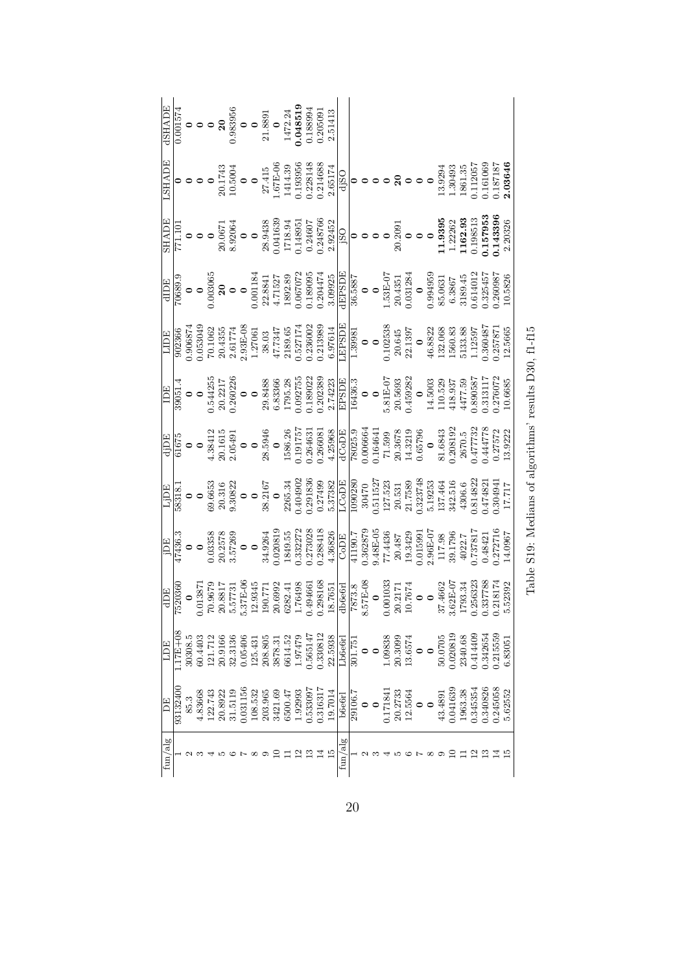| LSHADE                                                                                                                                                                                                                                                                                                                                                                                                                                                |           |         |         |         |  |  |  |  |  |                                                                                                                                                                                                                                                                                                                                                                                                                              |         |  |                     |  |                                             |  |  | 1861.35<br>0.112057<br>0.161069<br>0.187187                                                   |  |          | 2.03646 |
|-------------------------------------------------------------------------------------------------------------------------------------------------------------------------------------------------------------------------------------------------------------------------------------------------------------------------------------------------------------------------------------------------------------------------------------------------------|-----------|---------|---------|---------|--|--|--|--|--|------------------------------------------------------------------------------------------------------------------------------------------------------------------------------------------------------------------------------------------------------------------------------------------------------------------------------------------------------------------------------------------------------------------------------|---------|--|---------------------|--|---------------------------------------------|--|--|-----------------------------------------------------------------------------------------------|--|----------|---------|
|                                                                                                                                                                                                                                                                                                                                                                                                                                                       |           |         |         |         |  |  |  |  |  | $\begin{tabular}{ c c c c } \hline \text{SHADE} & \text{SHADE} \\ \hline \text{ST1.101} & \text{O} & \text{O} & \text{O} \\ \text{O} & \text{O} & \text{O} & \text{O} \\ \text{O} & \text{O} & \text{O} & \text{O} \\ \text{O} & \text{O} & \text{O} & \text{O} \\ \text{O} & \text{O} & \text{O} & \text{O} \\ \text{O} & \text{O} & \text{O} & \text{O} \\ \text{O} & \text{O} & \text{O} & \text{O} \\ \text{O} & \text{$ |         |  |                     |  |                                             |  |  |                                                                                               |  |          | 2.20326 |
|                                                                                                                                                                                                                                                                                                                                                                                                                                                       |           |         |         |         |  |  |  |  |  |                                                                                                                                                                                                                                                                                                                                                                                                                              |         |  |                     |  |                                             |  |  |                                                                                               |  |          |         |
|                                                                                                                                                                                                                                                                                                                                                                                                                                                       |           |         |         |         |  |  |  |  |  |                                                                                                                                                                                                                                                                                                                                                                                                                              |         |  |                     |  |                                             |  |  |                                                                                               |  |          |         |
|                                                                                                                                                                                                                                                                                                                                                                                                                                                       |           |         |         |         |  |  |  |  |  |                                                                                                                                                                                                                                                                                                                                                                                                                              |         |  |                     |  |                                             |  |  |                                                                                               |  |          | 10.6685 |
| $\begin{array}{r rrrr} \hline d {\overline{\rm{DE}}} \\ \hline 61675\\ 0&0\\ 0&0\\ 20.1615\\ 20.1615\\ 21.5\\ 22.6\\ 23.5\\ 4.384.21\\ 24.3949\\ 25.5946\\ 26.50\\ 27.57\\ 7\\ 1586.26\\ 28.596\\ 29.483\\ 23.596\\ 20.0066\\ 20.0066\\ 21.599\\ 22.51\\ 23.597\\ 24.77\\ 25.77\\ 26.77$                                                                                                                                                              |           |         |         |         |  |  |  |  |  |                                                                                                                                                                                                                                                                                                                                                                                                                              |         |  |                     |  |                                             |  |  |                                                                                               |  |          |         |
|                                                                                                                                                                                                                                                                                                                                                                                                                                                       |           |         |         |         |  |  |  |  |  | $\begin{array}{r rrrr} \hline 1 & \text{D} & \text{D} & \text{D} \\ \hline 1 & \text{D} & \text{D} & \text{D} \\ 0 & 0 & 0 & 0 \\ 0 & 0 & 0 & 0 \\ 0 & 0 & 0 & 0 \\ 0 & 0 & 0 & 0 \\ 0 & 0 & 0 & 0 \\ 0 & 0 & 0 & 0 \\ 0 & 0 & 0 & 0 \\ 0 & 0 & 0 & 0 \\ 0 & 0 & 0 & 0 \\ 0 & 0 & 0 & 0 \\ 0 & 0 & 0 & 0 \\ 0 & 0 & 0 & 0 \\ 0 & 0 & 0 & 0 \\ 0 & 0 &$                                                                       |         |  |                     |  |                                             |  |  |                                                                                               |  | 1.304941 |         |
| $\begin{array}{r rrrr} \hline & {\rm  DE}\\ \hline & {\rm  DE}\\ \hline & {\rm 0} & {\rm 0}\\ \hline & {\rm 0} & {\rm 0}\\ \hline & {\rm 0} & {\rm 0}\\ \hline & {\rm 0} & {\rm 0}\\ \hline & {\rm 0} & {\rm 0}\\ \hline & {\rm 0} & {\rm 0}\\ \hline & {\rm 0} & {\rm 0}\\ \hline & {\rm 0} & {\rm 0}\\ \hline & {\rm 0} & {\rm 0}\\ \hline & {\rm 0} & {\rm 0}\\ \hline & {\rm 0} & {\rm 0}\\ \hline & {\rm 0} & {\rm 0}\\ \hline & {\rm 0} & {\rm$ |           |         |         |         |  |  |  |  |  |                                                                                                                                                                                                                                                                                                                                                                                                                              |         |  |                     |  |                                             |  |  |                                                                                               |  |          | 14.0967 |
|                                                                                                                                                                                                                                                                                                                                                                                                                                                       |           |         |         |         |  |  |  |  |  |                                                                                                                                                                                                                                                                                                                                                                                                                              |         |  |                     |  |                                             |  |  | $\begin{array}{c} 37.4662 \\ 3.62 \text{E}-07 \\ 1793.34 \\ 0.256323 \\ 0.337788 \end{array}$ |  | 0.218174 | 5.52392 |
| LDE                                                                                                                                                                                                                                                                                                                                                                                                                                                   | $17E + 0$ | 30308.5 | 50.4403 |         |  |  |  |  |  | $\begin{array}{l} 20.9166\\ 20.3136\\ 0.05406\\ 0.05406\\ 20.8363\\ 20.837\\ 21.914,12\\ 22.59308\\ 22.5938\\ 23.5938\\ 24.59511\\ 25.5147\\ 26.5147\\ 27.51\\ 28.5938\\ 29.5938\\ 20.774\\ 21.791\\ 22.5938\\ 23.674\\ 24.693\\ 25.600\\ 26.000\\ 27.4440\\ 2$                                                                                                                                                              |         |  |                     |  |                                             |  |  |                                                                                               |  | .215559  | .8305   |
| $\overline{H}$                                                                                                                                                                                                                                                                                                                                                                                                                                        | 93132400  |         | 1.83668 | 122.743 |  |  |  |  |  | $\begin{array}{l} 20.8922\\ 31.5119\\ 31.5119\\ 108.532\\ 203.965\\ 2421.69\\ 53421.69\\ 6500.47\\ 1.92993\\ 0.533097\\ 1.9316317\\ 0.316317\\ \end{array}$                                                                                                                                                                                                                                                                  |         |  | $\frac{29106.7}{0}$ |  | $1.171841$<br>20.2733<br>12.5564<br>12.5564 |  |  | $\begin{array}{c} 43.4891 \\ 0.041639 \\ 1963.38 \\ 0.345354 \\ 0.340826 \end{array}$         |  | .245058  | 5.62552 |
| fun/alg                                                                                                                                                                                                                                                                                                                                                                                                                                               |           |         |         |         |  |  |  |  |  |                                                                                                                                                                                                                                                                                                                                                                                                                              | fun/alg |  |                     |  |                                             |  |  |                                                                                               |  |          |         |

Table S19: Medians of algorithms' results D30, f1-f15  $\,$ Table S19: Medians of algorithms' results D30, f1-f15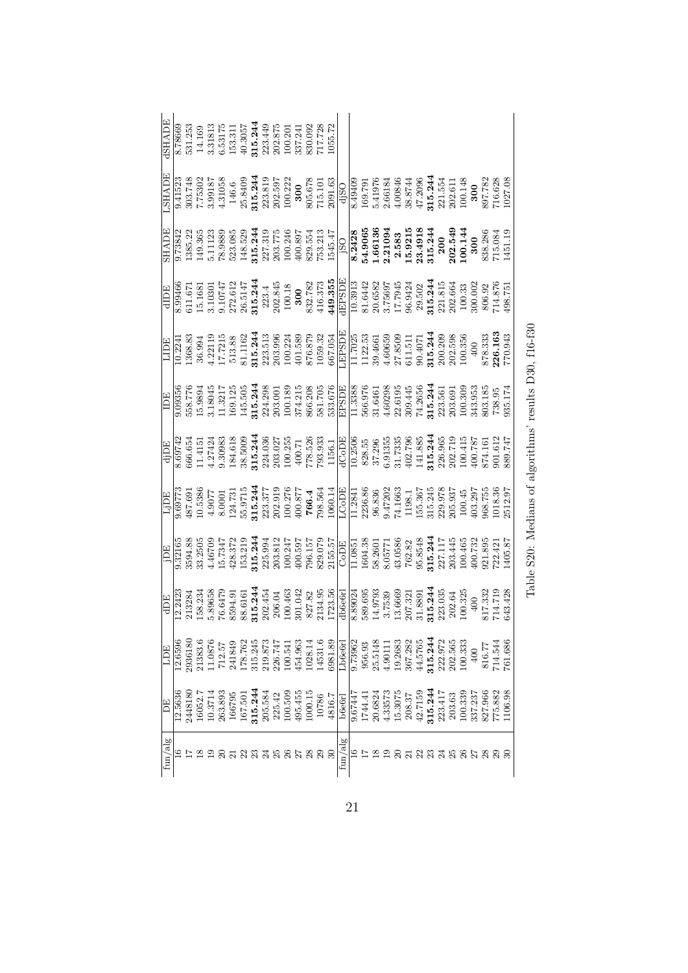| BHADE                 | 8.78669              | 531.253            |         |         |                                                            |         |         | $\begin{array}{c} 14.169\\ 3.31813\\ 6.53175\\ 153.311\\ 40.3057\\ 215.2449\\ 215.2449\\ 202.875\\ 202.875\\ 337.241\\ 100.201\\ 100.201\\ 337.241\\ 337.241\\ 337.241\\ 337.241\\ 337.241\\ 337.241\\ 337.242\\ 337.241\\ 337.242\\ 337.242\\ 337.243\\ 337.$ |  |  | 717.728<br>1055.72 |         |                                                                                                                                                                                                                                                                                                   |         |         |                   |         |                                                                         |                       |                           |         |         |         |                                          |        |                                                                                                                                                                                                                                                                     |
|-----------------------|----------------------|--------------------|---------|---------|------------------------------------------------------------|---------|---------|----------------------------------------------------------------------------------------------------------------------------------------------------------------------------------------------------------------------------------------------------------------|--|--|--------------------|---------|---------------------------------------------------------------------------------------------------------------------------------------------------------------------------------------------------------------------------------------------------------------------------------------------------|---------|---------|-------------------|---------|-------------------------------------------------------------------------|-----------------------|---------------------------|---------|---------|---------|------------------------------------------|--------|---------------------------------------------------------------------------------------------------------------------------------------------------------------------------------------------------------------------------------------------------------------------|
| <b>AUVHST</b>         | 9.41523              |                    |         |         |                                                            |         |         |                                                                                                                                                                                                                                                                |  |  |                    |         | $\begin{array}{l} 303.748 \\ 7.75302 \\ 4.31058 \\ 4.31058 \\ 205.8409 \\ 100.527 \\ 200.528 \\ 200.528 \\ 200.522 \\ 200.538 \\ 200.579 \\ 200.532 \\ 200.579 \\ 200.579 \\ 200.791 \\ 200.791 \\ 200.791 \\ 200.791 \\ 200.791 \\ 200.791 \\ 200.844 \\ 200.791 \\ 200.791 \\ 200.$             |         |         |                   |         |                                                                         |                       |                           |         |         |         |                                          |        | 1027.08                                                                                                                                                                                                                                                             |
| <b>HADE</b>           |                      |                    |         |         |                                                            |         |         |                                                                                                                                                                                                                                                                |  |  |                    |         | $\begin{array}{l} 1385.22 \\ 149.365 \\ 5.11123 \\ 6.3688 \\ 78.389 \\ 148.529 \\ 217.31 \\ 3215.244 \\ 2315.248 \\ 243.213 \\ 253.213 \\ 260.89 \\ 543.213 \\ 1545.47 \\ 1545.47 \\ 184.9065 \\ 161386 \\ 161386 \\ 161386 \\ 161386 \\ 2.21094 \\ 2.3911 \\ 2.3911 \\ 2.3911 \\ 2.39$           |         |         |                   |         |                                                                         |                       |                           |         |         |         |                                          |        | 838.286<br>715.084<br>1451.19                                                                                                                                                                                                                                       |
| HIDE                  | 8.99466              | 611.67             |         |         |                                                            |         |         |                                                                                                                                                                                                                                                                |  |  |                    |         |                                                                                                                                                                                                                                                                                                   |         |         |                   |         |                                                                         |                       |                           |         |         |         |                                          |        | $\begin{array}{l} 15.1681\\ 3.10301\\ 272.612\\ 28.5147\\ 31.23.4\\ 20.845\\ 20.845\\ 20.845\\ 20.845\\ 20.845\\ 20.845\\ 20.845\\ 20.85\\ 20.85\\ 20.85\\ 20.85\\ 20.85\\ 20.85\\ 20.85\\ 20.85\\ 20.85\\ 20.85\\ 20.85\\ 20.85\\ 20.85\\ 20.85\\ 20.85\\ 20.85\\$ |
| HUTI                  | 10.224               |                    |         |         |                                                            |         |         |                                                                                                                                                                                                                                                                |  |  |                    |         |                                                                                                                                                                                                                                                                                                   |         |         |                   |         |                                                                         |                       |                           |         |         |         |                                          |        |                                                                                                                                                                                                                                                                     |
| IDE                   | $9.\overline{09356}$ |                    |         |         |                                                            |         |         |                                                                                                                                                                                                                                                                |  |  |                    |         | $\begin{array}{l} 768.76 \\ 15.9894 \\ 15.111 \\ 15.211 \\ 16.321 \\ 17.43 \\ 18.45 \\ 19.54 \\ 15.45 \\ 18.54 \\ 19.63 \\ 10.61 \\ 10.61 \\ 10.62 \\ 11.63 \\ 12.64 \\ 13.65 \\ 10.63 \\ 10.65 \\ 10.66 \\ 10.66 \\ 10.66 \\ 10.66 \\ 11.33 \\ 12.66 \\ 13.66 \\ 14.66 \\ 15.66 \\ 16.66 \\ 16.$ |         |         |                   |         |                                                                         |                       |                           |         |         |         |                                          |        | 935.174                                                                                                                                                                                                                                                             |
| ECC                   | 8.69742              |                    |         |         |                                                            |         |         |                                                                                                                                                                                                                                                                |  |  |                    |         | $\begin{array}{l} 666.654\\ 11.4151\\ 4.37424\\ 9.30983\\ 234.636\\ 365.600\\ 374.636\\ 385.600\\ 303.61\\ 71.51\\ 224.63\\ 234.63\\ 244.63\\ 254.63\\ 255.7\\ 256.83\\ 256.1\\ 256.5\\ 256.5\\ 256.5\\ 256.5\\ 256.5\\ 256.5\\ 256.5\\ 256.5\\ 256.5\\ 256.5\\ 2$                                |         |         |                   |         |                                                                         |                       |                           |         |         |         |                                          |        |                                                                                                                                                                                                                                                                     |
| Edip                  | 9.69773              |                    |         |         |                                                            |         |         |                                                                                                                                                                                                                                                                |  |  |                    |         | $\begin{array}{l} 487.691 \\ 49.077 \\ 49.077 \\ 53.3337 \\ 54.731 \\ 55.244 \\ 63.3337 \\ 766.4 \\ 768.56 \\ 768.5 \\ 1000 \\ 1000 \\ 11.284 \\ 233.337 \\ 244 \\ 254.4 \\ 264.4 \\ 274.4 \\ 284.4 \\ 298.5 \\ 243.6 \\ 266.4 \\ 272.8 \\ 283.6 \\ 283.6 \\ 298.7 \\ 2000 \\ 11.284 \\ 283.6 \\$ |         |         |                   |         |                                                                         |                       |                           |         |         |         |                                          |        |                                                                                                                                                                                                                                                                     |
| ECI                   | 9.32165              | 3594.88<br>33.2505 |         |         |                                                            |         |         |                                                                                                                                                                                                                                                                |  |  |                    |         |                                                                                                                                                                                                                                                                                                   |         |         |                   |         |                                                                         |                       |                           |         |         |         |                                          |        |                                                                                                                                                                                                                                                                     |
| dDE                   | 12.2423              |                    |         |         |                                                            |         |         |                                                                                                                                                                                                                                                                |  |  |                    |         |                                                                                                                                                                                                                                                                                                   |         |         |                   |         |                                                                         |                       |                           |         |         |         |                                          |        |                                                                                                                                                                                                                                                                     |
|                       |                      | 2936180            | 21383.6 |         | $\begin{array}{c} 11.0876 \\ 712.57 \\ 241849 \end{array}$ | 178.762 | 315.245 | 219.873<br>226.747<br>100.541<br>454.963<br>1028.14<br>14531.6                                                                                                                                                                                                 |  |  |                    | 3981.89 | Lb6e6r                                                                                                                                                                                                                                                                                            | 9.73962 |         | 956.93<br>25.5148 |         | $\begin{array}{c} 4.90111 \\ 19.2683 \\ 367.282 \\ 44.5765 \end{array}$ |                       | 315.244                   | 222.972 | 202.565 | 100.333 |                                          | 14.544 | 61.686                                                                                                                                                                                                                                                              |
| Ë                     | .2.5636              | 144818             | 16052.7 | 10.3714 | 263.893                                                    |         |         | $\begin{array}{l} 166795 \\ 167.501 \\ \textbf{315.244} \\ 205.584 \\ 225.42 \\ 100.509 \\ 100.509 \\ \end{array}$                                                                                                                                             |  |  | 10786              | 4816.7  | <b>b</b> 6e6r                                                                                                                                                                                                                                                                                     | 9.67447 | 1744.41 | 20.6824           | 4.33573 | 15.3075                                                                 | $208.37$<br>$42.7159$ | <b>315.244</b><br>223.417 |         | 203.63  |         | 100.339<br>337.237<br>827.966<br>775.882 |        | 1106.98                                                                                                                                                                                                                                                             |
| ${\rm fun}/{\rm alg}$ |                      |                    |         |         |                                                            |         |         |                                                                                                                                                                                                                                                                |  |  |                    |         | fun/alg                                                                                                                                                                                                                                                                                           |         |         |                   |         |                                                                         |                       |                           |         |         |         |                                          |        |                                                                                                                                                                                                                                                                     |

Table S20: Medians of algorithms' results D30,  $\mathrm{f}16\text{-}f30$ Table S20: Medians of algorithms' results D30, f16-f30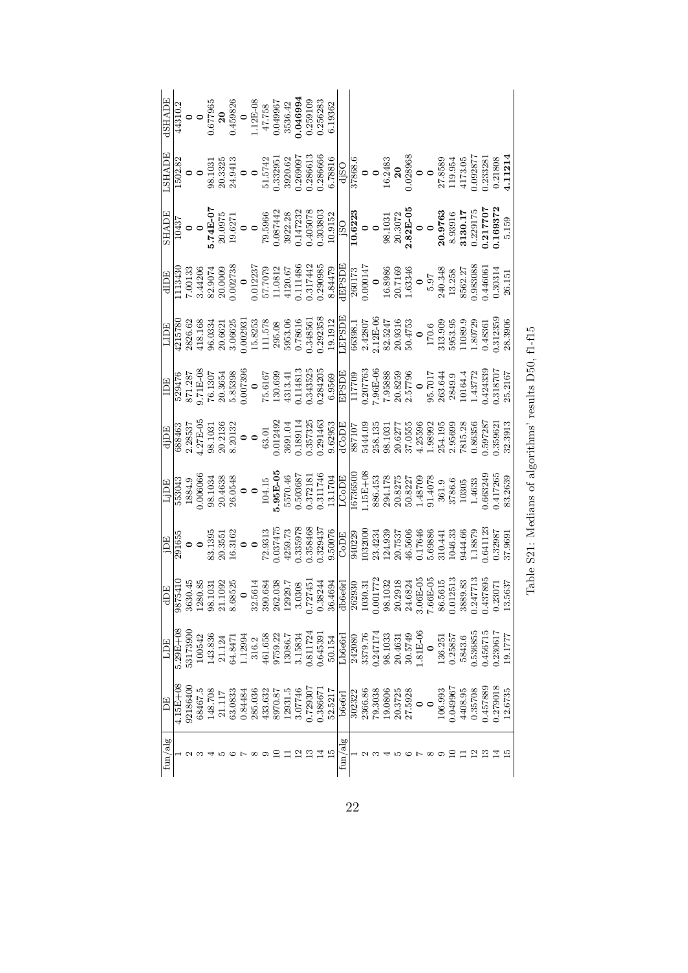|         |              |          |         |         |        |         |         |         |         |         |         |         |          |          | $\begin{array}{r} \frac{\text{dSHADE}}{44310.2} \\ \text{0} \\ \text{0.677965} \\ \text{0.677965} \\ \text{0.459826} \\ \text{1.12 F8} \\ \text{1.17 F8} \\ \text{0.0459842} \\ \text{3536.42} \\ \text{3536.42} \\ \text{0.046994} \\ \text{0.046994} \\ \text{0.046994} \\ \text{0.046994} \\ \text{0.046994} \\ \text{0.256283} \end{array}$                        |                       |        |         |          |         |                    |         |           |         |         |          |         |          |          |          |         |
|---------|--------------|----------|---------|---------|--------|---------|---------|---------|---------|---------|---------|---------|----------|----------|------------------------------------------------------------------------------------------------------------------------------------------------------------------------------------------------------------------------------------------------------------------------------------------------------------------------------------------------------------------------|-----------------------|--------|---------|----------|---------|--------------------|---------|-----------|---------|---------|----------|---------|----------|----------|----------|---------|
|         |              |          |         |         |        |         |         |         |         |         |         |         |          |          | $\begin{array}{r} \text{LSHADE} \\ \text{1502.82} \\ \text{98.1031} \\ \text{99.13335} \\ \text{20.3335} \\ \text{21.574} \\ \text{32.6333} \\ \text{51.574} \\ \text{50.33295} \\ \text{51.574} \\ \text{51.574} \\ \text{60.38966} \\ \text{78806} \\ \text{80.666} \\ \text{60.78806} \\ \text{7881} \\ \text{80.78806} \\ \text{90.7886} \\ \text{10$              |                       |        |         |          |         |                    |         |           |         |         |          |         |          |          |          |         |
|         |              |          |         |         |        |         |         |         |         |         |         |         |          |          | $\begin{array}{r rrrr} \hline\text{SHADE} & \text{O}& \text{O} & \text{O} & \text{O} & \text{O} \\ \hline 10437 & \text{O} & \text{O} & \text{O} & \text{O} \\ \text{5.74E-CT} & \text{0.9972} & \text{3.88} & \text{3.92.28} \\ \text{5.74E-CT} & \text{0.99742} & \text{0.99742} & \text{0.99742} \\ \text{79.5966} & \text{0.99742} & \text{0.9972.28} & \text{0.9$ |                       |        |         |          |         |                    |         |           |         |         |          |         |          |          |          |         |
|         |              |          |         |         |        |         |         |         |         |         |         |         |          |          |                                                                                                                                                                                                                                                                                                                                                                        |                       |        |         |          |         |                    |         |           |         |         |          |         |          |          |          |         |
|         |              |          |         |         |        |         |         |         |         |         |         |         |          |          |                                                                                                                                                                                                                                                                                                                                                                        |                       |        |         |          |         |                    |         |           |         |         |          |         |          |          |          |         |
|         |              |          |         |         |        |         |         |         |         |         |         |         |          |          |                                                                                                                                                                                                                                                                                                                                                                        |                       |        |         |          |         |                    |         |           |         |         |          |         |          |          |          |         |
|         |              |          |         |         |        |         |         |         |         |         |         |         |          |          |                                                                                                                                                                                                                                                                                                                                                                        |                       |        |         |          |         |                    |         |           |         |         |          |         |          |          |          |         |
|         |              |          |         |         |        |         |         |         |         |         |         |         |          |          |                                                                                                                                                                                                                                                                                                                                                                        |                       |        |         |          |         |                    |         |           |         |         |          |         |          |          |          |         |
|         |              |          |         |         |        |         |         |         |         |         |         |         |          |          |                                                                                                                                                                                                                                                                                                                                                                        |                       |        |         |          |         |                    |         |           |         |         |          |         |          |          |          |         |
|         |              |          |         |         |        |         |         |         |         |         |         |         |          |          |                                                                                                                                                                                                                                                                                                                                                                        |                       |        |         |          |         |                    |         |           |         |         |          |         |          |          |          |         |
| LDE     | $5.29E + 08$ | 53173900 | 100542  | 143.836 | 21.124 | 64.847  | 1.12994 | 316.2   | 461.658 | 9759.22 | 13086.7 | 3.15834 | 0.811724 | 0.645391 | 50.154                                                                                                                                                                                                                                                                                                                                                                 | Lb6e6r                | 242080 | 3379.76 | 0.247174 |         | 98.1033<br>20.4631 | 30.5749 | $.81E-06$ |         | 136.25  | 0.25857  | 5843.6  | 0.536855 | 1.456715 | 1.230617 | 19.177  |
| E       | $4.15E + 08$ | 92186400 | 68467.5 | 148.708 | 21.117 | 53.0833 | 1.84484 | 285.036 | 433.632 | 8970.87 | 12931.5 | 3.07746 | 0.729307 | 1.38667  | 52.5217                                                                                                                                                                                                                                                                                                                                                                | b6e6rl                | 302322 | 2366.86 | 79.3038  | 19.0806 | 20.3725<br>27.5928 |         | $\circ$   | $\circ$ | 106.993 | 1.049967 | 4408.95 | 0.35708  | 457889   | .279018  | 12.6735 |
| fun/alg |              |          |         |         |        |         |         |         |         |         |         |         |          |          |                                                                                                                                                                                                                                                                                                                                                                        | ${\rm fun}/{\rm alg}$ |        |         |          |         |                    |         |           |         |         |          |         |          |          |          |         |

Table S21: Medians of algorithms' results D50, f1-f15  $\,$ 

Table S21: Medians of algorithms' results D50, f1-f15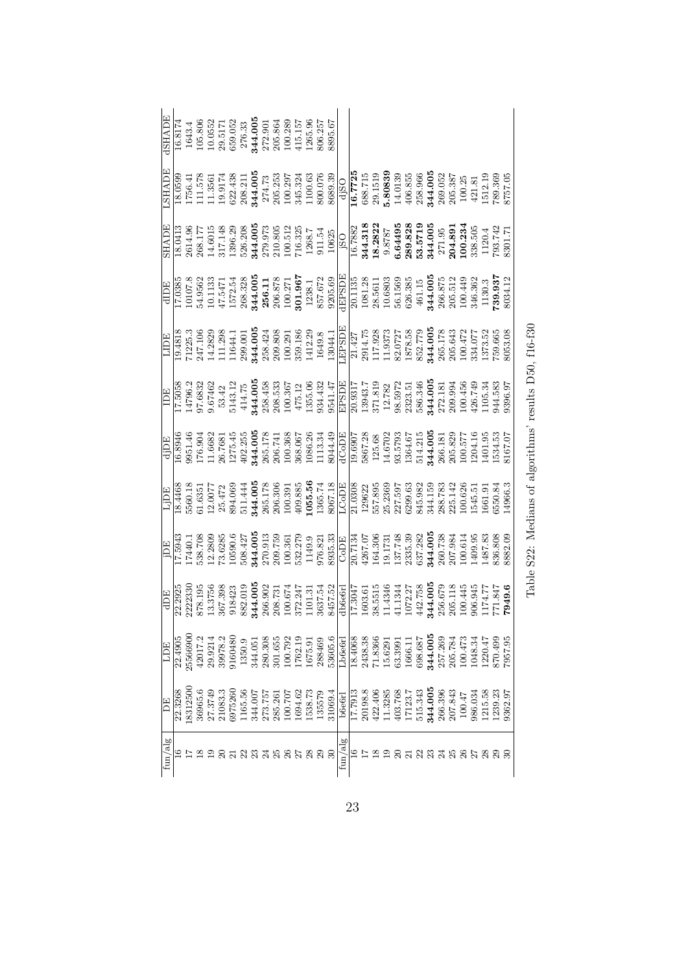| HADE         | 16.8174 | 1643.4             |         |         |         |                               |         |                   | $\begin{array}{r} 105.806 \\ 10.0552 \\ 29.5171 \\ 659.052 \\ 276.33 \\ 276.33 \\ 272.901 \\ 205.864 \\ 205.864 \\ 100.289 \\ 100.289 \\ \end{array}$ |  | 1265.96 | 806.257           | 1895.67                                                                                                                                                                                                                                                        |                                                                                                                                                                                                                                                                                                                                                             |  |                                                                                                                                                                                                                                     |  |                                                                                               |         |                           |                         |         |         |          |                               |
|--------------|---------|--------------------|---------|---------|---------|-------------------------------|---------|-------------------|-------------------------------------------------------------------------------------------------------------------------------------------------------|--|---------|-------------------|----------------------------------------------------------------------------------------------------------------------------------------------------------------------------------------------------------------------------------------------------------------|-------------------------------------------------------------------------------------------------------------------------------------------------------------------------------------------------------------------------------------------------------------------------------------------------------------------------------------------------------------|--|-------------------------------------------------------------------------------------------------------------------------------------------------------------------------------------------------------------------------------------|--|-----------------------------------------------------------------------------------------------|---------|---------------------------|-------------------------|---------|---------|----------|-------------------------------|
| HALPE        | 18.0599 |                    |         |         |         |                               |         |                   |                                                                                                                                                       |  |         |                   |                                                                                                                                                                                                                                                                | $\begin{array}{l} 1756.41 \\ 111.578 \\ 111.3561 \\ 113.3561 \\ 1202.438 \\ 622.438 \\ 208.211 \\ 274.73 \\ 274.73 \\ 274.73 \\ 200.297 \\ 1100.63 \\ 345.324 \\ 1100.63 \\ 800.076 \\ 8089.39 \\ \hline \end{array}$                                                                                                                                       |  | $\begin{array}{r} \textbf{16.7725} \\ 688.715 \\ \textbf{58.715} \\ \textbf{5.80839} \\ \textbf{5.40139} \\ 406.855 \\ \textbf{258.966} \\ \textbf{344.005} \\ \textbf{344.005} \\ \textbf{258.96} \\ \textbf{369.387} \end{array}$ |  |                                                                                               |         |                           | $\frac{100.25}{421.81}$ |         |         |          | 1512.19<br>789.369<br>8757.05 |
| <b>SHADE</b> | 18.0413 |                    |         |         |         |                               |         |                   |                                                                                                                                                       |  |         |                   |                                                                                                                                                                                                                                                                |                                                                                                                                                                                                                                                                                                                                                             |  |                                                                                                                                                                                                                                     |  |                                                                                               |         |                           |                         |         |         |          |                               |
| <b>HUTP</b>  | 17.0385 |                    |         |         |         |                               |         |                   |                                                                                                                                                       |  |         |                   |                                                                                                                                                                                                                                                                |                                                                                                                                                                                                                                                                                                                                                             |  |                                                                                                                                                                                                                                     |  |                                                                                               |         |                           |                         |         |         |          |                               |
| HUT          | 19.481  |                    |         |         |         |                               |         |                   |                                                                                                                                                       |  |         |                   | $\begin{array}{l} 71225.3\\ 247.106\\ 247.106\\ 243.283\\ 111.238\\ 239.001\\ 114.283\\ 244.00\\ 200.201\\ 200.291\\ 200.291\\ 200.291\\ 200.291\\ 200.291\\ 200.291\\ 200.291\\ 200.291\\ 200.291\\ 200.291\\ 200.291\\ 200.291\\ 200.291\\ 200.291\\ 200.29$ | $\begin{array}{r} \underline{\text{LEFSDB}}\\[-2.1427\\[-2.1475\\[-2.1480]\\[-2.14]{\text{11}}17.9373\\[-2.14]{\text{12}}17.9373\\[-2.14]{\text{13}}17.9373\\[-2.14]{\text{14}}17.9377\\[-2.14]{\text{15}}18.779\\[-2.14]{\text{16}}36.779\\[-2.14]{\text{17}}36.178\\[-2.14]{\text{18}}36.178\\[-2.14]{\text{18}}36.177\\[-2.$                             |  |                                                                                                                                                                                                                                     |  |                                                                                               |         |                           |                         |         |         |          | 8053.08                       |
| IDE          | 17.5058 |                    |         |         |         |                               |         |                   |                                                                                                                                                       |  |         |                   |                                                                                                                                                                                                                                                                | $\begin{array}{l} 14796.2\\ 9674632\\ 967462\\ 144.75\\ 144.75\\ 244.005\\ 384.98\\ 208.45\\ 100.367\\ 100.367\\ 124.7\\ 135.06\\ 934.47\\ 135.08\\ 934.14\\ \hline \text{EBDDE}\\ \hline \text{ED} \\ \hline \text{D} \\ \hline \text{D} \\ \hline \text{D} \\ \hline \text{D} \\ \hline \text{D} \\ \hline \text{D} \\ \hline \text{D} \\ \hline \text{D$ |  |                                                                                                                                                                                                                                     |  |                                                                                               |         |                           |                         |         |         |          | 9396.97                       |
| ECEP         | 16.8946 | 9951.46            |         |         |         |                               |         |                   |                                                                                                                                                       |  |         |                   |                                                                                                                                                                                                                                                                | $\begin{array}{l} 176.90 \\ 176.96 \\ 275.78 \\ 344.00 \\ 286.78 \\ 365.17 \\ 492.25 \\ 366.17 \\ 566.17 \\ 566.17 \\ 566.17 \\ 566.17 \\ 566.17 \\ 566.17 \\ 566.17 \\ 566.17 \\ 566.17 \\ 566.17 \\ 566.17 \\ 566.17 \\ 566.17 \\ 566.17 \\ 566.17 \\ 566.17 \\ 566.17 \\ 566.17 \\ 566.$                                                                 |  |                                                                                                                                                                                                                                     |  |                                                                                               |         |                           |                         |         |         |          |                               |
| ECÍ!         | 18.4468 |                    |         |         |         |                               |         |                   |                                                                                                                                                       |  |         |                   |                                                                                                                                                                                                                                                                |                                                                                                                                                                                                                                                                                                                                                             |  |                                                                                                                                                                                                                                     |  |                                                                                               |         |                           |                         |         |         |          | 14966.3                       |
| ECI          | 17.5943 | 17440.1<br>538.708 |         |         |         |                               |         |                   |                                                                                                                                                       |  |         |                   |                                                                                                                                                                                                                                                                | $\begin{array}{l} 12.2809\\ 73.6285\\ 10590.6\\ 10590.6\\ 270.913\\ 2844.005\\ 290.759\\ 2103.759\\ 21149.9\\ 1149.9\\ 1149.81\\ 1149.81\\ 121.73\\ 131.73\\ 24267.07\\ 200.51\\ 213.74\\ 224.39\\ 233.53\\ 234.39\\ 244.00\\ 251.74\\ 253.39\\ 254.39\\ 254.3$                                                                                             |  |                                                                                                                                                                                                                                     |  |                                                                                               |         |                           |                         |         |         | 836.808  | 882.09                        |
| dDE          | 22.2925 | 222330             | 878.195 | 13.3756 | 367.398 |                               |         |                   |                                                                                                                                                       |  |         |                   |                                                                                                                                                                                                                                                                | $\begin{array}{l} 918423 \\ 932.019 \\ 844.005 \\ 206.902 \\ 208.731 \\ 100.674 \\ 302.247 \\ 101.31 \\ 1101.31 \\ 3637.54 \\ \hline \end{array} \quad \begin{array}{l} 1842 \\ 184 \\ 195 \\ 150 \\ 160 \\ 170 \\ 184 \\ 111.34 \\ 160 \\ 172.27 \\ 161.32 \\ 161.33 \\ 161.34 \\ 161.34 \\ 161.34 \\ 161.36 \\ 16$                                        |  |                                                                                                                                                                                                                                     |  |                                                                                               | 344.005 | $\frac{256.679}{205.118}$ |                         | 906.945 | 1174.77 | 771.847  | 7949.6                        |
|              | 22.4905 | 25566900           | 42017.2 | 29.9214 | 39978.2 | 160480                        |         | 1350.9<br>344.051 | $\begin{array}{c} 280.308 \\ 301.655 \\ 100.792 \\ 1762.19 \end{array}$                                                                               |  |         | 1675.91<br>288469 | 53605.6                                                                                                                                                                                                                                                        | Lb6e6r                                                                                                                                                                                                                                                                                                                                                      |  | $\begin{array}{r} \hline 18.4068 \\ 2438.38 \\ 71.8366 \\ 15.6291 \\ 63.3991 \\ 63.3991 \\ 1666.11 \end{array}$                                                                                                                     |  | $\begin{array}{l} 698.687 \\ 344.005 \\ 257.269 \\ 205.784 \\ 205.784 \\ 100.473 \end{array}$ |         |                           |                         | 1048.34 | 1220.47 | \$70.499 | 7957.95                       |
| Ë            | 22.3268 | 8312500            | 36965.6 |         |         | 27.3749<br>21083.3<br>6975260 | 1165.56 |                   | $\begin{array}{c} 344.007\\ 273.757\\ 285.261\\ 100.707\\ 100.707\\ 1694.62 \end{array}$                                                              |  |         | 1538.73<br>135579 | 31069.4                                                                                                                                                                                                                                                        | <b>b</b> 6e6rl                                                                                                                                                                                                                                                                                                                                              |  | $\begin{array}{l} 17.7913 \\ 20198.8 \\ 20198.8 \\ 422.406 \\ 413.785 \\ 171.23.7 \\ 171.23.7 \\ 544.343 \\ 344.005 \\ 2007.843 \\ 109.61 \\ 100.47 \\ 100.47 \\ 100.47 \\ 100.47 \\ 101.538 \\ 1215.58 \\ 1239.23 \\ \end{array}$  |  |                                                                                               |         |                           |                         |         |         |          | 362.97                        |
| fun/al       |         |                    |         |         |         |                               |         |                   |                                                                                                                                                       |  |         | $\frac{28}{29}$   | 30                                                                                                                                                                                                                                                             | ${\rm fun}/{\rm al}$                                                                                                                                                                                                                                                                                                                                        |  |                                                                                                                                                                                                                                     |  |                                                                                               |         |                           |                         |         |         |          |                               |

Table S22: Medians of algorithms' results D50,  $\mathrm{f}16\text{-}f30$ Table S22: Medians of algorithms' results D50, f16-f30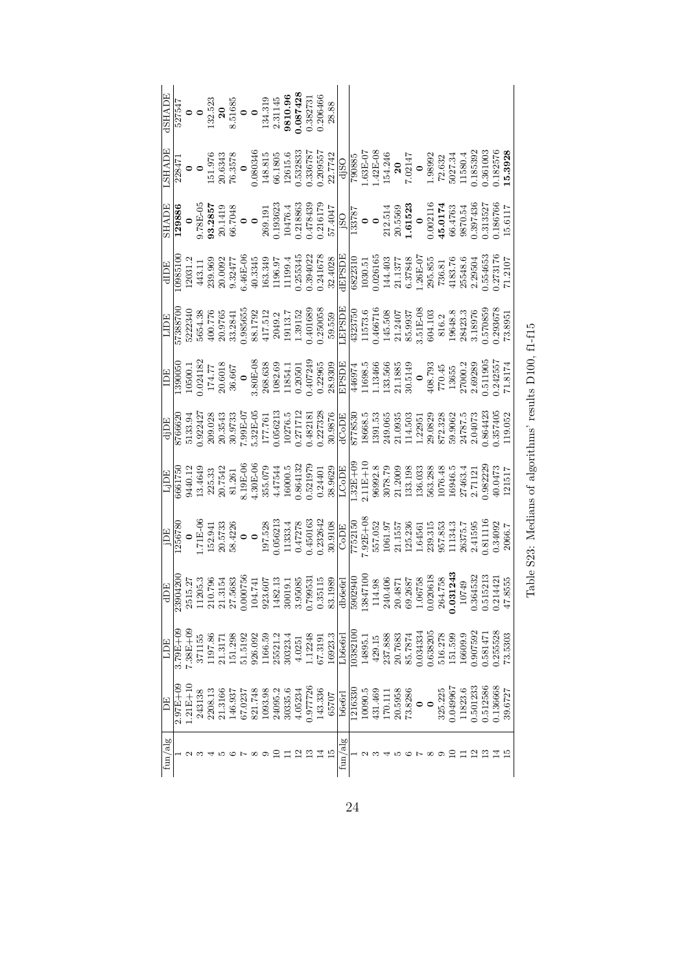|                                                                                                                                                                                                                                                                                                                                                             |               |              |         |         |         |         |         |         |         |         |         |          |         | $\begin{array}{r} \mathrm{dSHADE} \ \mathrm{527547} \ \mathrm{527547} \ \mathrm{132.523} \ \mathrm{132.523} \ \mathrm{851685} \ \mathrm{851685} \ \mathrm{132.3145} \ \mathrm{133.319} \ \mathrm{134.319} \ \mathrm{134.319} \ \mathrm{134.319} \ \mathrm{2310.96} \ \mathrm{361.087428} \ \mathrm{0.087428} \ \mathrm{0.087428} \ \mathrm{0.087428} \ \mathrm{2.3014$           |         |          |         |         |         |                    |         |          |          |         |          |         |         |          |          |         |
|-------------------------------------------------------------------------------------------------------------------------------------------------------------------------------------------------------------------------------------------------------------------------------------------------------------------------------------------------------------|---------------|--------------|---------|---------|---------|---------|---------|---------|---------|---------|---------|----------|---------|----------------------------------------------------------------------------------------------------------------------------------------------------------------------------------------------------------------------------------------------------------------------------------------------------------------------------------------------------------------------------------|---------|----------|---------|---------|---------|--------------------|---------|----------|----------|---------|----------|---------|---------|----------|----------|---------|
|                                                                                                                                                                                                                                                                                                                                                             |               |              |         |         |         |         |         |         |         |         |         |          |         | $\begin{array}{r} \underline{\text{LSHADE}} \\ \text{151.976} \\ \text{163471} \\ \text{1738471} \\ \text{18343} \\ \text{1956} \\ \text{108034} \\ \text{108034} \\ \text{11956} \\ \text{108034} \\ \text{11956} \\ \text{11956} \\ \text{11956} \\ \text{11956} \\ \text{11956} \\ \text{11956} \\ \text{11956} \\ \text{11956} \\ \text{11956} \\ \text{11956} \\ \text{119$ |         |          |         |         |         |                    |         |          |          |         |          |         |         |          |          |         |
|                                                                                                                                                                                                                                                                                                                                                             |               |              |         |         |         |         |         |         |         |         |         |          |         | $\begin{array}{r rrrr} \hline\text{SHADE} \cr \hline 129886 & & & & & \\ \hline 129886 & & & & & \\ \hline 9.78E-05 & & & & & \\ \hline 9.78E-05 & & & & & \\ \hline 9.0.1419 & & & & & \\ \hline 10.01363633 & & & & \\ \hline 10.01363633 & & & & \\ \hline 10.0188633 & & & & \\ \hline 11.01764 & & & & \\ \hline 11.01784 & & & & \\ \hline 11.01784 & & & & \\ \h$         |         |          |         |         |         |                    |         |          |          |         |          |         |         |          |          |         |
|                                                                                                                                                                                                                                                                                                                                                             |               |              |         |         |         |         |         |         |         |         |         |          |         |                                                                                                                                                                                                                                                                                                                                                                                  |         |          |         |         |         |                    |         |          |          |         |          |         |         |          |          |         |
|                                                                                                                                                                                                                                                                                                                                                             |               |              |         |         |         |         |         |         |         |         |         |          |         |                                                                                                                                                                                                                                                                                                                                                                                  |         |          |         |         |         |                    |         |          |          |         |          |         |         |          |          |         |
| $\begin{array}{r l} \hline \text{1050050} \\ \text{1390050} \\ \text{10500.1} \\ \text{174.77} \\ \text{174.77} \\ \text{20.6018} \\ \text{3605} \\ \text{380888} \\ \text{38089} \\ \text{38089} \\ \text{1082.63} \\ \text{11854.1} \\ \text{11854.1} \\ \text{11854.1} \\ \text{11854.1} \\ \text{11854.1} \\ \text{11854.1} \\ \text{11854.1} \\ \text$ |               |              |         |         |         |         |         |         |         |         |         |          |         |                                                                                                                                                                                                                                                                                                                                                                                  |         |          |         |         |         |                    |         |          |          |         |          |         |         |          |          |         |
|                                                                                                                                                                                                                                                                                                                                                             |               |              |         |         |         |         |         |         |         |         |         |          |         | $\begin{array}{r l} \hline \text{dip} \\ \hline 6766620 \\ 0.922427 \\ 0.92343 \\ 209.03543 \\ 209.03543 \\ 209.03542 \\ 209.03542 \\ 209.03543 \\ 209.03542 \\ 209.03543 \\ 209.03543 \\ 209.03543 \\ 209.03543 \\ 209.03543 \\ 209.03543 \\ 209.03543 \\ 209.03543 \\ 209.03543 \\ 209.$                                                                                       |         |          |         |         |         |                    |         |          |          |         |          |         |         |          |          |         |
|                                                                                                                                                                                                                                                                                                                                                             |               |              |         |         |         |         |         |         |         |         |         |          |         |                                                                                                                                                                                                                                                                                                                                                                                  |         |          |         |         |         |                    |         |          |          |         |          |         |         |          |          |         |
|                                                                                                                                                                                                                                                                                                                                                             |               |              |         |         |         |         |         |         |         |         |         |          |         |                                                                                                                                                                                                                                                                                                                                                                                  |         |          |         |         |         |                    |         |          |          |         |          |         |         |          |          |         |
|                                                                                                                                                                                                                                                                                                                                                             |               |              |         |         |         |         |         |         |         |         |         |          |         |                                                                                                                                                                                                                                                                                                                                                                                  |         |          |         |         |         |                    |         |          |          |         |          |         |         |          |          |         |
| <b>HOLI</b>                                                                                                                                                                                                                                                                                                                                                 | $3.79E + 0$   |              | 197.86  |         | .51.298 | 51.5192 | 926.092 | 1166.59 | 25521.2 | 30323.4 | 4.0251  | 1.12248  | 67.3191 | 16923.3                                                                                                                                                                                                                                                                                                                                                                          | Lb6e6r  | 10382100 | 14895.1 | 429.15  | 237.888 | 20.7683            | 85.7874 | 0.034334 | 1.638205 | 516.278 | 151.599  | 16609.9 | .907592 | 58147    | 1.255528 | 73.5303 |
| F)F,                                                                                                                                                                                                                                                                                                                                                        | $2.97E + 0.5$ | $1.21E + 10$ | 2208.13 | 21.3166 | 146.937 | 67.0237 | 821.748 | 1093.98 | 24095.2 | 30335.6 | 4.05234 | 0.977726 | 143.336 | 65707                                                                                                                                                                                                                                                                                                                                                                            | b6e6rl  | 121633   | 10090.5 | 431.469 | 170.111 | 20.5958<br>73.8286 |         |          | $\circ$  | 325.225 | 1.049967 | 11823.6 | .501233 | 1.512586 | 1.136668 | 39.6727 |
| ${\rm fun}/{\rm alg}$                                                                                                                                                                                                                                                                                                                                       |               |              |         |         |         |         |         |         |         |         |         |          |         |                                                                                                                                                                                                                                                                                                                                                                                  | fun/alg |          |         |         |         |                    |         |          |          |         |          |         |         |          |          |         |

Table S23: Medians of algorithms' results D100, f1-f15 Table S23: Medians of algorithms' results D100, f1-f15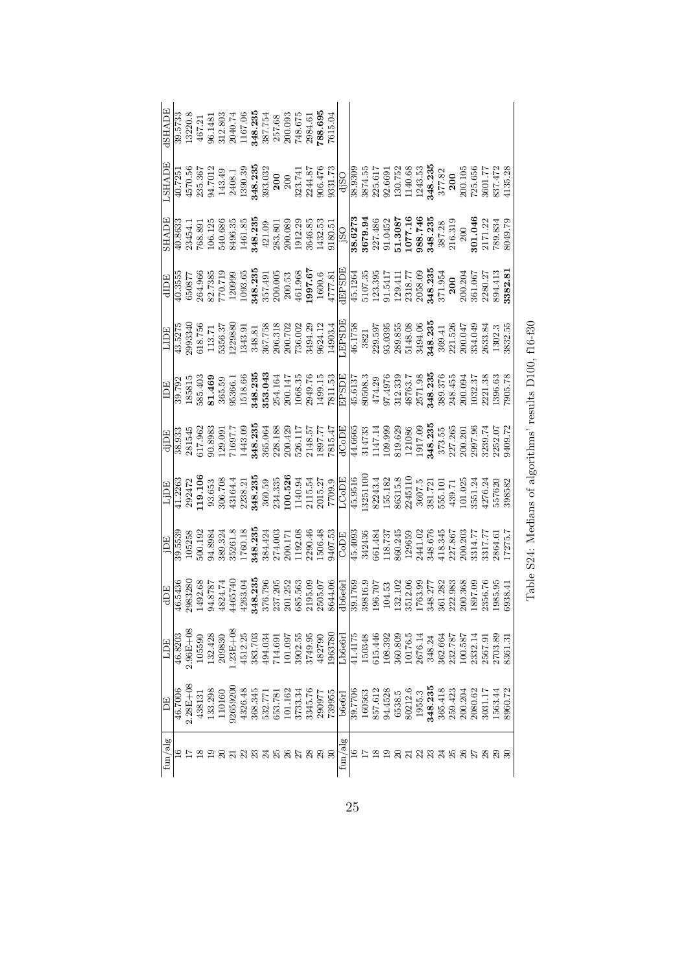| HSHADE                       |         |             |                   |         |        |                           |  |  |  |  | $\begin{array}{r} 39.5733\\ 13220.8\\ 13220.8\\ 467.21\\ 467.21\\ 312.803\\ 2040.74\\ 1167.06\\ 348.235\\ 257.75\\ 236.695\\ 748.695\\ 788.695\\ 788.695\\ 788.695\\ 788.695\\ 788.695\\ 788.695\\ 788.695\\ 788.695\\ 788.695\\ 788.695\\ 788.695\\ 788.695\\$                                                                        |                |  |  |  |  |  |                                                                                                                                                                                                                                                  |  |         |  |
|------------------------------|---------|-------------|-------------------|---------|--------|---------------------------|--|--|--|--|----------------------------------------------------------------------------------------------------------------------------------------------------------------------------------------------------------------------------------------------------------------------------------------------------------------------------------------|----------------|--|--|--|--|--|--------------------------------------------------------------------------------------------------------------------------------------------------------------------------------------------------------------------------------------------------|--|---------|--|
| <b>ALAHS.</b>                |         |             |                   |         |        |                           |  |  |  |  | $[ \begin{smallmatrix} 1725 \\ 4570.56 \\ 4570.56 \\ 343.361 \\ 143.49 \\ 2408.1 \\ 2408.1 \\ 390.39 \\ 390.32 \\ 3000 \\ 3000 \\ 301.7 \\ 244.87 \\ 324.47 \\ 243.53 \\ 323.74 \\ 323.7 \\ 323.7 \\ 324.87 \\ 323.7 \\ 323.7 \\ 323.7 \\ 323.7 \\ 323.7 \\ 323.7 \\ 323.7 \\ 323.7 \\ 323.7 \\ 323$                                   |                |  |  |  |  |  |                                                                                                                                                                                                                                                  |  |         |  |
| <b>SHADE</b>                 |         |             |                   |         |        |                           |  |  |  |  | $\begin{array}{l l} 40.8633\\ \hline 23454.1\\ 768.891\\ 106.125\\ 540.686\\ 540.35\\ 243.235\\ 243.235\\ 243.235\\ 243.235\\ 243.235\\ 243.235\\ 243.235\\ 243.235\\ 243.235\\ 243.235\\ 243.235\\ 243.235\\ 243.235\\ 243.235\\ 243.235\\ 243.235\\ 243.235\\ 2$                                                                     |                |  |  |  |  |  |                                                                                                                                                                                                                                                  |  |         |  |
|                              |         |             |                   |         |        |                           |  |  |  |  |                                                                                                                                                                                                                                                                                                                                        |                |  |  |  |  |  |                                                                                                                                                                                                                                                  |  |         |  |
| HUDE                         |         |             |                   |         |        |                           |  |  |  |  | $[\begin{smallmatrix} 16 & 1276 \\ 43.5278 \\ 2993340 \\ 113.71 \\ 1343.91 \\ 1356.37 \\ 1343.91 \\ 1356.37 \\ 1356.31 \\ 136.31 \\ 137.7 \\ 138.81 \\ 136.31 \\ 137.7 \\ 138.81 \\ 1396.31 \\ 1396.32 \\ 1396.31 \\ 1396.31 \\ 1396.32 \\ 1396.31 \\ 1396.31 \\ 1396.32 \\ 1396.32 \\ 1396.$                                          |                |  |  |  |  |  |                                                                                                                                                                                                                                                  |  |         |  |
|                              |         |             |                   |         |        |                           |  |  |  |  |                                                                                                                                                                                                                                                                                                                                        |                |  |  |  |  |  |                                                                                                                                                                                                                                                  |  |         |  |
|                              |         |             |                   |         |        |                           |  |  |  |  |                                                                                                                                                                                                                                                                                                                                        |                |  |  |  |  |  |                                                                                                                                                                                                                                                  |  |         |  |
|                              |         |             |                   |         |        |                           |  |  |  |  |                                                                                                                                                                                                                                                                                                                                        |                |  |  |  |  |  |                                                                                                                                                                                                                                                  |  |         |  |
|                              |         |             |                   |         |        |                           |  |  |  |  |                                                                                                                                                                                                                                                                                                                                        |                |  |  |  |  |  |                                                                                                                                                                                                                                                  |  |         |  |
| $\frac{\text{dDE}}{46.5436}$ |         |             |                   |         |        |                           |  |  |  |  |                                                                                                                                                                                                                                                                                                                                        |                |  |  |  |  |  |                                                                                                                                                                                                                                                  |  |         |  |
| LDE                          | 46.8203 |             | 105590<br>132.428 |         | 209830 |                           |  |  |  |  | $\begin{array}{l} 1.23\text{B} + 46\\ 4512.25\\ 4603\\ 383.703\\ 494.034\\ 714.69\\ 8361\\ 105\\ 8749.95\\ 88780\\ 1083780\\ 1093780\\ 1093780\\ 109348\\ 114175\\ 150348\\ 150348\\ 10515.44\\ 6015.65\\ 616.5\\ 76.14\\ 74.34\\ 832.36\\ 761.34\\ 832.36\\ 833.26$                                                                   |                |  |  |  |  |  |                                                                                                                                                                                                                                                  |  |         |  |
| E                            | 46.7006 | $.28E + 08$ | 438131            | 133.298 | 110160 |                           |  |  |  |  | $\begin{array}{l} \textbf{72659200} \\ \textbf{4326.48} \\ \textbf{532.771} \\ \textbf{533.781} \\ \textbf{533.781} \\ \textbf{537.81} \\ \textbf{537.81} \\ \textbf{538.34} \\ \textbf{539.57} \\ \textbf{5345.76} \\ \textbf{733.34} \\ \textbf{7345.76} \\ \textbf{76} \\ \textbf{77} \\ \textbf{78} \\ \textbf{79955} \end{array}$ | <b>b</b> 6e6rl |  |  |  |  |  | $\begin{array}{r} 39.7706 \\ 39.7706 \\ 160563 \\ 857.612 \\ 94.4528 \\ 6538.5 \\ 6532.12. \\ 6533.3 \\ 96212.6 \\ 94.353 \\ 365.3 \\ 368.423 \\ 369.423 \\ 200.204 \\ 200.21.7 \\ 7 \\ 200.204 \\ 2080.62 \\ 2080.62 \\ 3031.17 \\ \end{array}$ |  | 1563.44 |  |
| fun/alg                      |         |             |                   |         |        | 2 1 2 2 3 4 5 6 7 8 9 9 9 |  |  |  |  |                                                                                                                                                                                                                                                                                                                                        | fun/alg        |  |  |  |  |  |                                                                                                                                                                                                                                                  |  |         |  |

Table S24: Medians of algorithms' results D100,  ${\rm f16\text{-}f30}$ Table S24: Medians of algorithms' results D100, f16-f30

25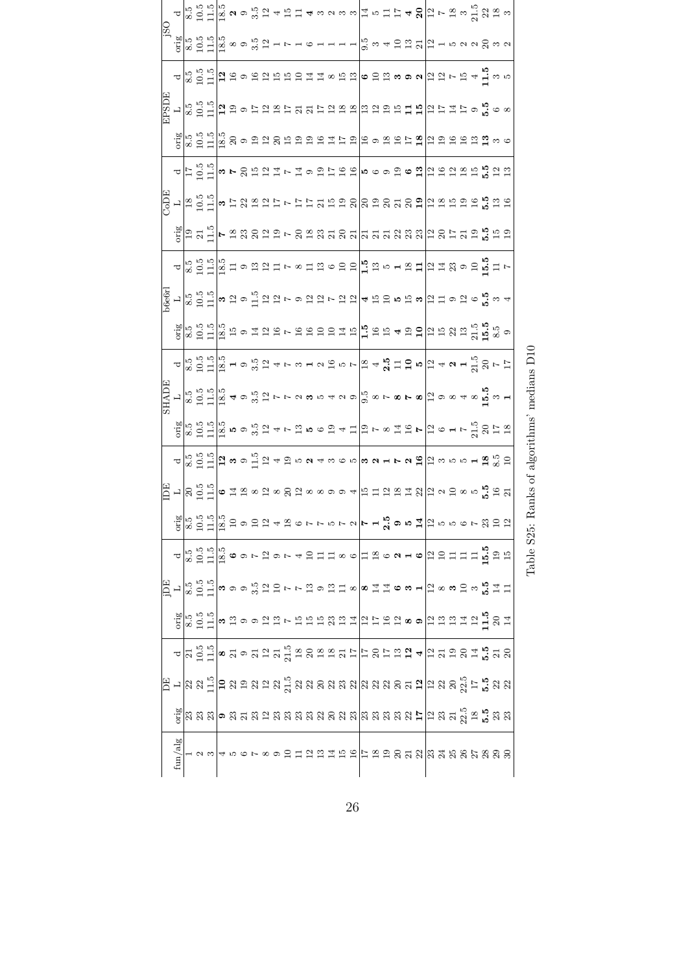|   |  |  |  |  |  |  |  |  |  |  |  |  |  |  | $\alpha$ $\alpha$ $\alpha$ $\beta$ $\alpha$ $\beta$ $\alpha$ $\alpha$ $\beta$ $\beta$ $\alpha$ $\alpha$ $\alpha$ $\alpha$ $\alpha$ $\alpha$ $\alpha$ $\beta$ $\alpha$ $\beta$ $\alpha$ $\beta$ $\alpha$ $\beta$ $\alpha$ $\beta$ $\alpha$ $\beta$ $\alpha$ $\beta$ $\alpha$ $\beta$ $\alpha$ $\beta$ $\alpha$ $\beta$ $\alpha$ $\beta$ $\alpha$ $\beta$ $\alpha$ $\beta$ $\alpha$ $\beta$                                      |  |
|---|--|--|--|--|--|--|--|--|--|--|--|--|--|--|--------------------------------------------------------------------------------------------------------------------------------------------------------------------------------------------------------------------------------------------------------------------------------------------------------------------------------------------------------------------------------------------------------------------------------|--|
|   |  |  |  |  |  |  |  |  |  |  |  |  |  |  |                                                                                                                                                                                                                                                                                                                                                                                                                                |  |
|   |  |  |  |  |  |  |  |  |  |  |  |  |  |  | $\alpha$ $\alpha$ $\beta$ $\alpha$ $\beta$ $\beta$ $\alpha$ $\alpha$ $\beta$ $\alpha$ $\alpha$ $\alpha$ $\alpha$ $\alpha$ $\alpha$ $\beta$ $\alpha$ $\alpha$ $\alpha$ $\beta$ $\alpha$ $\beta$ $\alpha$ $\beta$ $\alpha$ $\beta$ $\alpha$ $\beta$ $\alpha$ $\beta$ $\alpha$ $\beta$ $\alpha$ $\beta$ $\alpha$ $\beta$ $\alpha$ $\beta$ $\alpha$ $\beta$ $\alpha$ $\beta$ $\alpha$ $\beta$                                      |  |
|   |  |  |  |  |  |  |  |  |  |  |  |  |  |  |                                                                                                                                                                                                                                                                                                                                                                                                                                |  |
|   |  |  |  |  |  |  |  |  |  |  |  |  |  |  | ္မူ<br>ျမင္းမြင္း အေမာက္ အေမာက္မွာ အေမာင္း အေမြးေတြ အေမာက္ အေမာက္ အေမာက္                                                                                                                                                                                                                                                                                                                                                       |  |
|   |  |  |  |  |  |  |  |  |  |  |  |  |  |  | <mark>ᆈ</mark> ᄇᅠᇦᇽᆡᇡᄂᆼᇦᆸᇼᇰᅶᇢᇦᇦᇦᇢᇮᇮᇮᇮᇦᇦᇦᇦᇯᇦᇾ                                                                                                                                                                                                                                                                                                                                                                                   |  |
|   |  |  |  |  |  |  |  |  |  |  |  |  |  |  | $\frac{15}{10}$ – $\frac{19}{10}$ – $\frac{13}{10}$ – $\frac{11}{10}$ – $\frac{13}{10}$ – $\frac{13}{10}$ – $\frac{13}{10}$ – $\frac{13}{10}$ – $\frac{13}{10}$ – $\frac{13}{10}$ – $\frac{13}{10}$ – $\frac{13}{10}$ – $\frac{13}{10}$ – $\frac{13}{10}$ – $\frac{13}{10}$ – $\frac{13}{10}$                                                                                                                                  |  |
|   |  |  |  |  |  |  |  |  |  |  |  |  |  |  |                                                                                                                                                                                                                                                                                                                                                                                                                                |  |
|   |  |  |  |  |  |  |  |  |  |  |  |  |  |  | <u>△ တြင်းမြို့ = ပထားအားမာ တောင်းအစားမြို့အစားများ အမြောင်း</u> = ျော                                                                                                                                                                                                                                                                                                                                                         |  |
|   |  |  |  |  |  |  |  |  |  |  |  |  |  |  | စ္လွဳ႕ <mark>တြင္း</mark> ဖြင့္ပါတယ္။<br>ေက်ာင္းေတြ ေျပာင္း ေက်ာင္း ေက်ာင္း ေက်ာင္း ေက်ာင္း ေက်ာင္း ေက်ာင္း                                                                                                                                                                                                                                                                                                                    |  |
|   |  |  |  |  |  |  |  |  |  |  |  |  |  |  | $\frac{19}{18}$ 62 - 2003 - 2004 - 2005 - 2006 - 2006 - 2007 - 2008 - 2009 - 2009 - 2009 - 2009 - 2009 - 2009 - 2009 - 2009 - 2009 - 2009 - 2009 - 2009 - 2009 - 2009 - 2009 - 2009 - 2009 - 2009 - 2009 - 2009 - 2009 - 2009 - 20                                                                                                                                                                                             |  |
|   |  |  |  |  |  |  |  |  |  |  |  |  |  |  |                                                                                                                                                                                                                                                                                                                                                                                                                                |  |
|   |  |  |  |  |  |  |  |  |  |  |  |  |  |  |                                                                                                                                                                                                                                                                                                                                                                                                                                |  |
|   |  |  |  |  |  |  |  |  |  |  |  |  |  |  |                                                                                                                                                                                                                                                                                                                                                                                                                                |  |
|   |  |  |  |  |  |  |  |  |  |  |  |  |  |  | $\frac{1}{2}$ $\frac{1}{2}$ $\frac{1}{2}$ $\frac{1}{2}$ $\frac{1}{2}$ $\frac{1}{2}$ $\frac{1}{2}$ $\frac{1}{2}$ $\frac{1}{2}$ $\frac{1}{2}$ $\frac{1}{2}$ $\frac{1}{2}$ $\frac{1}{2}$ $\frac{1}{2}$ $\frac{1}{2}$ $\frac{1}{2}$ $\frac{1}{2}$ $\frac{1}{2}$ $\frac{1}{2}$ $\frac{1}{2}$ $\frac{1}{2}$ $\frac{1}{2}$                                                                                                            |  |
|   |  |  |  |  |  |  |  |  |  |  |  |  |  |  | $\alpha$ ကို ငြိုင်းပြီး မြဲစမ်း အြံ့ အမြဲ မေနေနေနေနေနေနေနေနေနေနေနေနေနေနေနေန                                                                                                                                                                                                                                                                                                                                                   |  |
| E |  |  |  |  |  |  |  |  |  |  |  |  |  |  | 니႙င္မြင္မြန္မာထည္ထန္မွာထက္ေတာ႕အဆြန္းအဆြဲျဖစ္ထက္မ်ိဳးမွာ အ                                                                                                                                                                                                                                                                                                                                                                      |  |
|   |  |  |  |  |  |  |  |  |  |  |  |  |  |  | $\frac{1}{2} \begin{vmatrix} \frac{1}{2} & \frac{1}{2} & \frac{1}{2} \\ \frac{1}{2} & \frac{1}{2} & \frac{1}{2} \\ \frac{1}{2} & \frac{1}{2} & \frac{1}{2} \end{vmatrix} \begin{vmatrix} \frac{1}{2} & \frac{1}{2} & \frac{1}{2} \\ \frac{1}{2} & \frac{1}{2} & \frac{1}{2} \\ \frac{1}{2} & \frac{1}{2} & \frac{1}{2} \end{vmatrix} \begin{vmatrix} \frac{1}{2} & \frac{1}{2} & \frac{1}{2} \\ \frac{1}{2} & \frac{1}{2} & \$ |  |
|   |  |  |  |  |  |  |  |  |  |  |  |  |  |  |                                                                                                                                                                                                                                                                                                                                                                                                                                |  |
|   |  |  |  |  |  |  |  |  |  |  |  |  |  |  |                                                                                                                                                                                                                                                                                                                                                                                                                                |  |
|   |  |  |  |  |  |  |  |  |  |  |  |  |  |  | ်မှူးကြွင်း မြို့များ မြို့သည်။ မြို့သည် မြို့သည် မြို့သည် မြို့သည် မြို့သည် မြို့သည် မြို့သည် မြို့သည် မြို့သ<br>အကြီး မြို့သည် မြို့သည် မြို့သည် မြို့သည် မြို့သည် မြို့သည် မြို့သည် မြို့သည် မြို့သည် မြို့သည် မြို့သည် မြိ                                                                                                                                                                                                 |  |
|   |  |  |  |  |  |  |  |  |  |  |  |  |  |  |                                                                                                                                                                                                                                                                                                                                                                                                                                |  |
|   |  |  |  |  |  |  |  |  |  |  |  |  |  |  | <mark>日 ¬ │</mark> 영 영 금 <mark>금</mark> 덩 급 얽 금 얽 ∺ 얽 얽 엉 엉 얹 얽 얽 얽 얽 엉 엉 엉 겁 <mark>님 </mark> 님 얽 엉 걿 ः " ∺ 얽 얽 얽                                                                                                                                                                                                                                                                                                              |  |
|   |  |  |  |  |  |  |  |  |  |  |  |  |  |  | ិដ្ឋី នេះ នៅ ១ និង និង និង និង និង នាំ និង និង និង ដី ដី និង និង និង និង និង                                                                                                                                                                                                                                                                                                                                                   |  |
|   |  |  |  |  |  |  |  |  |  |  |  |  |  |  |                                                                                                                                                                                                                                                                                                                                                                                                                                |  |

| ٢<br>くらく<br>ı<br>ļ<br>in and the same<br>Î          |  |
|-----------------------------------------------------|--|
| ı<br>$\frac{1}{2}$<br>$\tilde{\epsilon}$<br>5<br>l. |  |
| $\overline{\zeta}$<br>n La<br>ſ                     |  |
| $\frac{1}{1}$<br>è                                  |  |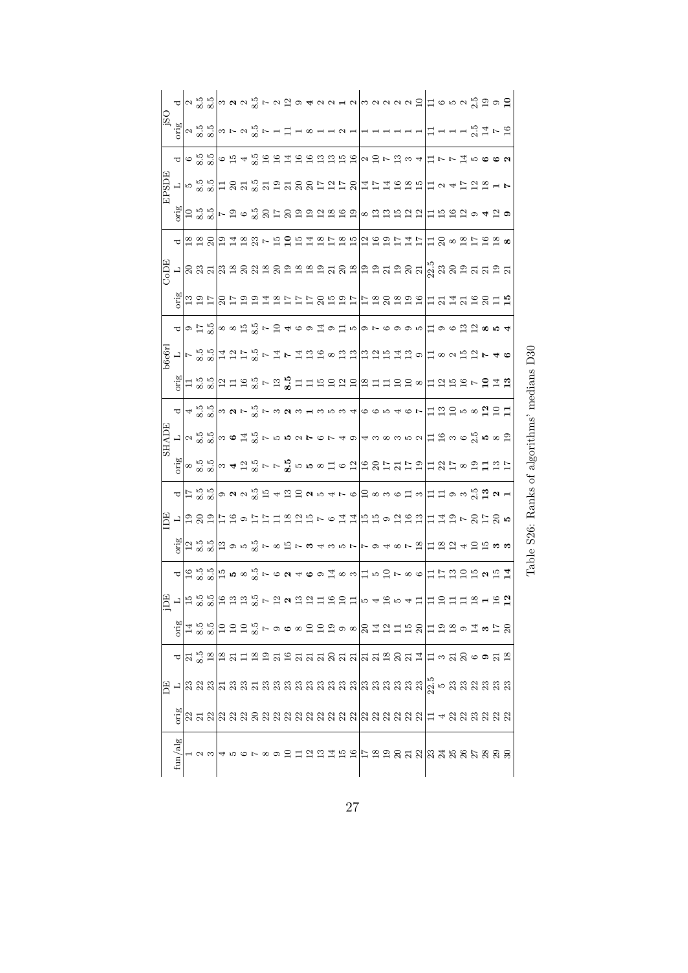|              |                                                                                                                     |  |  |  |  |  |  |  |  |  |  |  |  |  |  | $\frac{1}{2}$ ด $\frac{1}{2}$ $\frac{1}{2}$ $\frac{1}{2}$ $\frac{1}{2}$ $\frac{1}{2}$ $\frac{1}{2}$ $\frac{1}{2}$ $\frac{1}{2}$ $\frac{1}{2}$ $\frac{1}{2}$ $\frac{1}{2}$ $\frac{1}{2}$ $\frac{1}{2}$ $\frac{1}{2}$ $\frac{1}{2}$ $\frac{1}{2}$ $\frac{1}{2}$ $\frac{1}{2}$ $\frac{1}{2}$ $\frac{1}{2}$ $\frac{1}{2}$ $\frac{1}{2}$ $\frac{$ |  |
|--------------|---------------------------------------------------------------------------------------------------------------------|--|--|--|--|--|--|--|--|--|--|--|--|--|--|----------------------------------------------------------------------------------------------------------------------------------------------------------------------------------------------------------------------------------------------------------------------------------------------------------------------------------------------|--|
|              |                                                                                                                     |  |  |  |  |  |  |  |  |  |  |  |  |  |  |                                                                                                                                                                                                                                                                                                                                              |  |
|              | て                                                                                                                   |  |  |  |  |  |  |  |  |  |  |  |  |  |  | $\sigma$ 8 8 9 $\sigma$ 13 4 9 8 8 9 4 7 8 9 9 9 9 9 9 9 9 0 9 $\sim$ 5 9 9 4 $\sim$ 1 $\sim$ 1 $\sim$ 1 $\sim$ 0 $\sim$ 0                                                                                                                                                                                                                   |  |
| <b>ELSDE</b> |                                                                                                                     |  |  |  |  |  |  |  |  |  |  |  |  |  |  |                                                                                                                                                                                                                                                                                                                                              |  |
|              |                                                                                                                     |  |  |  |  |  |  |  |  |  |  |  |  |  |  | ်းမြို့ မြို့ မြို့ မြို့ မြို့ မြို့ မြို့ မြို့ မြို့ မြို့ မြို့ မြို့ မြို့ မြို့ မြို့ မြို့ မြို့ မြို့ မ                                                                                                                                                                                                                              |  |
|              | ರ                                                                                                                   |  |  |  |  |  |  |  |  |  |  |  |  |  |  |                                                                                                                                                                                                                                                                                                                                              |  |
|              |                                                                                                                     |  |  |  |  |  |  |  |  |  |  |  |  |  |  |                                                                                                                                                                                                                                                                                                                                              |  |
| <b>HU°C</b>  |                                                                                                                     |  |  |  |  |  |  |  |  |  |  |  |  |  |  |                                                                                                                                                                                                                                                                                                                                              |  |
|              | pirc                                                                                                                |  |  |  |  |  |  |  |  |  |  |  |  |  |  |                                                                                                                                                                                                                                                                                                                                              |  |
|              |                                                                                                                     |  |  |  |  |  |  |  |  |  |  |  |  |  |  | ပါတင္း လိုျဖစ္ပါး လိုျင႕႕စခင္းစင္းစစ္စြမ္းစစ္စက္ ေတြအေနာက္                                                                                                                                                                                                                                                                                   |  |
| b6e6r        |                                                                                                                     |  |  |  |  |  |  |  |  |  |  |  |  |  |  | ㄴ ㄷஃஃ ヰ요ㅂ% ㄷヰㄷヰ요ਖ਼∞ਸ਼ਸ਼ ਸ਼ਸ਼ਜ਼ਸ਼৯० ヰ∞०ਜ਼ਸ਼►4७                                                                                                                                                                                                                                                                                                |  |
|              | girc                                                                                                                |  |  |  |  |  |  |  |  |  |  |  |  |  |  | $\vert$ ដ្ឋ និគ្គីដូច និគ្គីដូដ្ឋ ដូច ដូច ដូច ដូច នាក់ ដូច ដូច ដូច ដូច ដូច ដូច                                                                                                                                                                                                                                                               |  |
|              |                                                                                                                     |  |  |  |  |  |  |  |  |  |  |  |  |  |  | <mark>႕</mark> 4 % % <mark>© ∞ ശ ⊳ % ⊱ ∞ ശ ∞ ⊣ ∞ ∞ ∞ ⊣ </mark> © © ∞ ← © ⊳ │= ? ⊖ ⊙ ∞ Ø ⊖ – =                                                                                                                                                                                                                                                |  |
| <b>SHADE</b> |                                                                                                                     |  |  |  |  |  |  |  |  |  |  |  |  |  |  | $\Xi$ $\Xi$ ၈ $\circ$ $\frac{10}{21}$ ၈ $\circ$ $\Xi$                                                                                                                                                                                                                                                                                        |  |
|              | orig                                                                                                                |  |  |  |  |  |  |  |  |  |  |  |  |  |  | $\sim$ 32 32 $\sim$ 4 52 32 1 - 1 $\sim$ 32 10 10 10 10 10 10 10 11 12 12 13 13 14 15 16 17 17 18 17 18 19 1                                                                                                                                                                                                                                 |  |
|              |                                                                                                                     |  |  |  |  |  |  |  |  |  |  |  |  |  |  | <mark>႕</mark> ဥြင္ယြဲ ျဖစ္ပြဲ အေျပာင္း ေရးဆံုး ေတြ ေပးေပးေတြ ေရးဆံုး အေျပာင္း                                                                                                                                                                                                                                                               |  |
| E            | $\frac{1}{2}$ $\frac{1}{2}$ $\frac{3}{2}$                                                                           |  |  |  |  |  |  |  |  |  |  |  |  |  |  | 1年19日には11月18日でもは11月15日に11日11日でのけの5                                                                                                                                                                                                                                                                                                           |  |
|              | prig                                                                                                                |  |  |  |  |  |  |  |  |  |  |  |  |  |  | $\left  \vec{a} \right $ အိုင်းဖြစ် အို ဥစ္စာပြီး မြေစာရစ် ပြစ် မြေစာရစ် အခြံအတြင်း မြေစာပြီး အိုင်း မြေစာပြီး မြေစာပြီး မြေ                                                                                                                                                                                                                 |  |
|              |                                                                                                                     |  |  |  |  |  |  |  |  |  |  |  |  |  |  | <mark>ュ</mark> 頂路影店58話7624691183万円50786日订130152占11                                                                                                                                                                                                                                                                                           |  |
|              | $\Xi$ - $\Xi$ 3 $\Xi$ 5 $\Xi$ 3 $\Xi$ 3 $\Xi$ 6 $\Xi$ 6 $\Xi$ 3 $\Xi$ 5 $\Xi$ 5 $\Xi$ 6 $\Xi$ 5 $\Xi$ 5 3 4 5 $\Xi$ |  |  |  |  |  |  |  |  |  |  |  |  |  |  |                                                                                                                                                                                                                                                                                                                                              |  |
|              |                                                                                                                     |  |  |  |  |  |  |  |  |  |  |  |  |  |  |                                                                                                                                                                                                                                                                                                                                              |  |
|              |                                                                                                                     |  |  |  |  |  |  |  |  |  |  |  |  |  |  | $\left  \begin{smallmatrix} \Delta & 1.3 & 0 \\ \Delta & 1 & 3 & 0 \\ 0 & 0 & \Delta & 0 \end{smallmatrix} \right $ $\Xi$ $\Xi$ $\Xi$ $\Xi$ $\omega$ $\infty$ $\Xi$ $\Xi$ $\Xi$ $\infty$ $\Xi$ $\Xi$ $\Xi$ $\Xi$ $\Xi$ $\infty$ $\Xi$ $\infty$ $\Xi$ $\Xi$                                                                                   |  |
|              |                                                                                                                     |  |  |  |  |  |  |  |  |  |  |  |  |  |  | <u>╺│¤ % ¤│¤ ਸ਼ = ¤ ਙ ਸ਼ ਸ਼ ਸ਼ ਖ਼ ਖ਼ ਖ਼ ਖ਼ ਖ਼ ਖ਼ ਖ਼ ਖ਼ ਸ਼ ਖ਼ ਖ਼ ਖ਼ ਸ਼  = ॰ ਖ਼ ਖ਼ ㅎ ● ਖ਼ ぉ</u>                                                                                                                                                                                                                                                |  |
| E            |                                                                                                                     |  |  |  |  |  |  |  |  |  |  |  |  |  |  |                                                                                                                                                                                                                                                                                                                                              |  |
|              | orig                                                                                                                |  |  |  |  |  |  |  |  |  |  |  |  |  |  |                                                                                                                                                                                                                                                                                                                                              |  |
|              | ${\rm fun}/{\rm alg}$                                                                                               |  |  |  |  |  |  |  |  |  |  |  |  |  |  |                                                                                                                                                                                                                                                                                                                                              |  |

Table S26: Ranks of algorithms' medians  $\operatorname{D30}$ Table S26: Ranks of algorithms' medians D30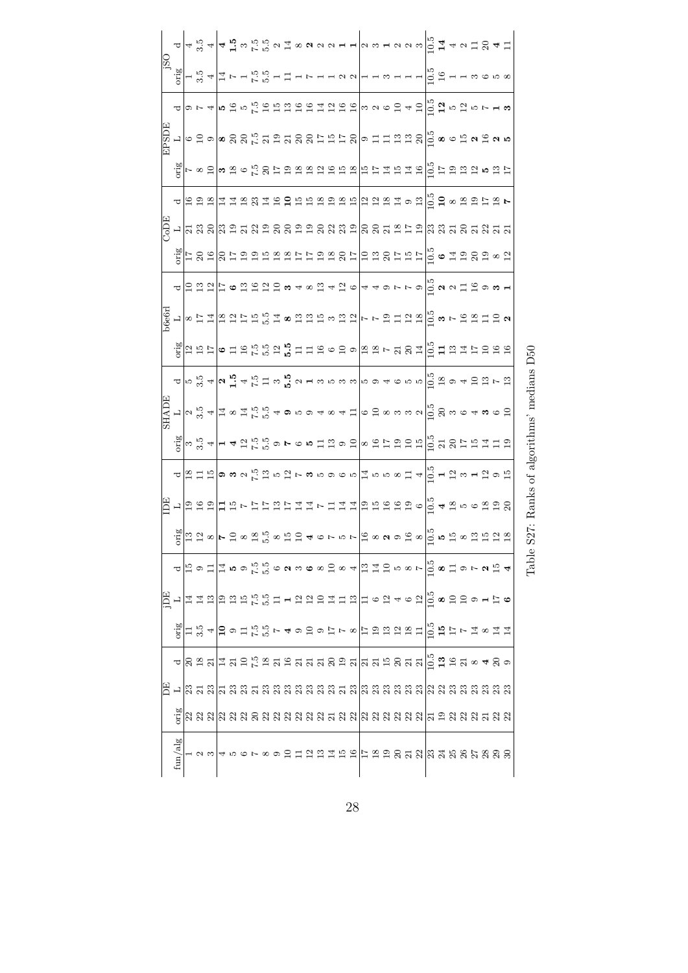|                         |  |  |  |  |  |  |  |  |  |  |  |  |  |  | $\Delta \left  4 \frac{10}{13} \frac{2}{4} \left  4 \frac{11}{13} \frac{10}{13} \frac{10}{13} \frac{10}{13} \frac{11}{13} \frac{10}{13} \frac{10}{13} \frac{11}{13} \frac{11}{13} \frac{10}{13} \frac{11}{13} \frac{11}{13} \frac{11}{13} \frac{11}{13} \frac{11}{13} \frac{11}{13} \frac{11}{13} \frac{11}{13} \frac{11}{13} \frac{11}{13} \frac{11}{13} \frac{$                                                                                                                                     |  |
|-------------------------|--|--|--|--|--|--|--|--|--|--|--|--|--|--|-------------------------------------------------------------------------------------------------------------------------------------------------------------------------------------------------------------------------------------------------------------------------------------------------------------------------------------------------------------------------------------------------------------------------------------------------------------------------------------------------------|--|
|                         |  |  |  |  |  |  |  |  |  |  |  |  |  |  | $\frac{1}{2} \sum_{n=1}^{\infty} \frac{1}{n} \left  \frac{1}{n} \cos \left( \frac{n}{2} \right) \cos \left( \frac{n}{2} \right) \cos \left( \frac{n}{2} \right) \cos \left( \frac{n}{2} \right) \cos \left( \frac{n}{2} \right) \cos \left( \frac{n}{2} \right) \cos \left( \frac{n}{2} \right) \cos \left( \frac{n}{2} \right) \cos \left( \frac{n}{2} \right) \cos \left( \frac{n}{2} \right) \cos \left( \frac{n}{2} \right) \cos \left( \frac{n}{2} \right) \cos \left( \frac{n}{2} \right) \cos$ |  |
|                         |  |  |  |  |  |  |  |  |  |  |  |  |  |  |                                                                                                                                                                                                                                                                                                                                                                                                                                                                                                       |  |
|                         |  |  |  |  |  |  |  |  |  |  |  |  |  |  |                                                                                                                                                                                                                                                                                                                                                                                                                                                                                                       |  |
|                         |  |  |  |  |  |  |  |  |  |  |  |  |  |  | $\frac{1}{25}$   - ∞ 8   ∞ 8 ∞ 1-2 8 1-3 13 13 13 13 13 14 14 14 14 14 14 15 15 16 16 17 18 17 18 17 1                                                                                                                                                                                                                                                                                                                                                                                                |  |
|                         |  |  |  |  |  |  |  |  |  |  |  |  |  |  |                                                                                                                                                                                                                                                                                                                                                                                                                                                                                                       |  |
|                         |  |  |  |  |  |  |  |  |  |  |  |  |  |  |                                                                                                                                                                                                                                                                                                                                                                                                                                                                                                       |  |
|                         |  |  |  |  |  |  |  |  |  |  |  |  |  |  | $\frac{12}{3}$  = 8 a   8 = 5 a s m a s z = 5 a s 8 =   = 5 a 8 = a 8 =   = $\frac{1}{12}$ $\bullet$ 7 a 8 a $\circ$ 5                                                                                                                                                                                                                                                                                                                                                                                |  |
|                         |  |  |  |  |  |  |  |  |  |  |  |  |  |  |                                                                                                                                                                                                                                                                                                                                                                                                                                                                                                       |  |
|                         |  |  |  |  |  |  |  |  |  |  |  |  |  |  | <mark>ᆷᆷᆷᇊ</mark> ᄇ,ᇰᆷᇢᇢᇢᇰᇰᇰᇰᇰᇰᇰᇰᇰᇰᇰᇰᇰᇰᇰ                                                                                                                                                                                                                                                                                                                                                                                                                                                              |  |
|                         |  |  |  |  |  |  |  |  |  |  |  |  |  |  |                                                                                                                                                                                                                                                                                                                                                                                                                                                                                                       |  |
|                         |  |  |  |  |  |  |  |  |  |  |  |  |  |  | $\frac{12}{15}$   a 13   o 11 8   c 12   c 13   c 12   a 12   a 12   a 12   a 12   a 12   a 12   a 12   a 12   a 12   a 12   a 12   a 12   a 12   a 12   a 12   a 12   a 12   a 12   a 12   a 12   a 12   a 12   a 12   a 12   a 1                                                                                                                                                                                                                                                                    |  |
|                         |  |  |  |  |  |  |  |  |  |  |  |  |  |  | $\Delta\left  \bigcap_{i\in \mathbb{N}}\mathbb{S}^2 \right  \omega_{\mathbf{h}}\mathbb{S}^2 \rightarrow \mathbb{S}^2 \left  \mathbb{S}^2 \right  \rightarrow \mathbb{S}^2 \left  \mathbb{S}^2 \right  \rightarrow \mathbb{S}^2 \left  \mathbb{S}^2 \right  \rightarrow \mathbb{S}^2 \left  \mathbb{S}^2 \right  \rightarrow \mathbb{S}^2 \left  \mathbb{S}^2 \right  \rightarrow \mathbb{S}^2 \left  \mathbb{S}^2 \right  \rightarrow \mathbb{S}^2 \left  \mathbb{S}^2 \right  \rightarrow \mathbb{$  |  |
|                         |  |  |  |  |  |  |  |  |  |  |  |  |  |  |                                                                                                                                                                                                                                                                                                                                                                                                                                                                                                       |  |
|                         |  |  |  |  |  |  |  |  |  |  |  |  |  |  | ်ငြီးဖြင့် 4 မြန်မြိုင်း မြို့စားမှု စုံစုံ မြို့အမျိုး မြို့ မြို့မြို့ မြို့ မြို့ မြို့ မြို့ မြို့ မြို့ မ                                                                                                                                                                                                                                                                                                                                                                                        |  |
| $\overline{\texttt{C}}$ |  |  |  |  |  |  |  |  |  |  |  |  |  |  |                                                                                                                                                                                                                                                                                                                                                                                                                                                                                                       |  |
|                         |  |  |  |  |  |  |  |  |  |  |  |  |  |  |                                                                                                                                                                                                                                                                                                                                                                                                                                                                                                       |  |
|                         |  |  |  |  |  |  |  |  |  |  |  |  |  |  |                                                                                                                                                                                                                                                                                                                                                                                                                                                                                                       |  |
|                         |  |  |  |  |  |  |  |  |  |  |  |  |  |  |                                                                                                                                                                                                                                                                                                                                                                                                                                                                                                       |  |
|                         |  |  |  |  |  |  |  |  |  |  |  |  |  |  | $\Delta\left \vec{a}\right \in\Sigma\left \vec{a}\right \in\mathcal{A}\left \vec{a}\right \in\mathcal{A}\left \vec{a}\right \in\mathcal{A}\left \vec{a}\right \in\mathcal{A}\left \vec{a}\right \in\mathcal{A}\left \vec{a}\right \in\mathcal{A}\left \vec{a}\right \in\mathcal{A}\left \vec{a}\right \in\mathcal{A}$                                                                                                                                                                                 |  |
|                         |  |  |  |  |  |  |  |  |  |  |  |  |  |  |                                                                                                                                                                                                                                                                                                                                                                                                                                                                                                       |  |
|                         |  |  |  |  |  |  |  |  |  |  |  |  |  |  | $\frac{16}{12}$ = 2 % + 5 % + 5 % + 4 % + 5 % + 4 % + 5 % + 4 % + 5 % + 4 % + 5 % + 5 % + 5 % + 5 % + 5 % + 6 % + 6 % + 6 % + 6 % + 6 % + 6 % + 6 % + 6 % + 6 % + 6 % + 6 % + 6 % + 6 % + 6 % + 6 % + 6 % + 6 % + 6 % + 6 % + 6 %                                                                                                                                                                                                                                                                     |  |
|                         |  |  |  |  |  |  |  |  |  |  |  |  |  |  | <u>△8 ö 의회교 업무 にほ 의 의 업 의 의 의 의 의 의 의 의 의 등 및 등 및 예 를 및 이 예 를</u>                                                                                                                                                                                                                                                                                                                                                                                                                                     |  |
|                         |  |  |  |  |  |  |  |  |  |  |  |  |  |  |                                                                                                                                                                                                                                                                                                                                                                                                                                                                                                       |  |
|                         |  |  |  |  |  |  |  |  |  |  |  |  |  |  | ្ត្តី  សង្គនានា សង្គនា សង្គនា សង្គម សង្គនា សង្គម សង្គនា សង្គម សង្គម ស                                                                                                                                                                                                                                                                                                                                                                                                                                 |  |
|                         |  |  |  |  |  |  |  |  |  |  |  |  |  |  |                                                                                                                                                                                                                                                                                                                                                                                                                                                                                                       |  |
| ${\rm fun}/\rm alg$     |  |  |  |  |  |  |  |  |  |  |  |  |  |  |                                                                                                                                                                                                                                                                                                                                                                                                                                                                                                       |  |

Table S27: Ranks of algorithms' medians D50

Table S27: Ranks of algorithms' medians  $\operatorname{D50}$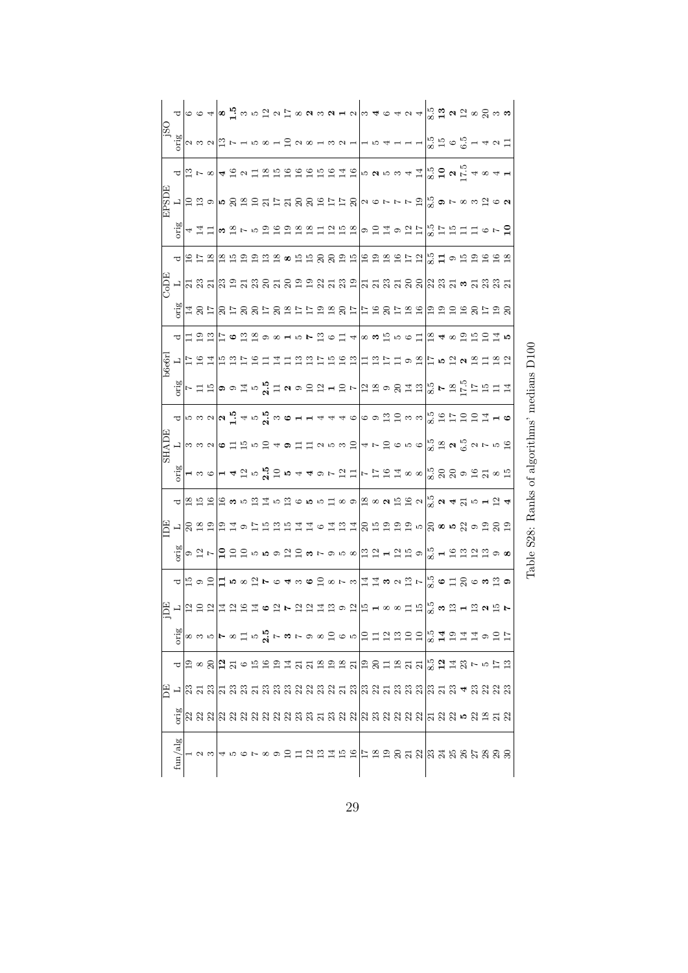|              |                                         |            |  |  |  |                         |  |  |  |  |  |  | ပာစကြမ္းလြယ္ ေျမာင္းလမ္းမမွာ ေရးေကာင္းေတြ ေရးေကာင္းေတြ ေရးေကာင္း<br>မဟာ ေျမာင္းေကာင္းေတြ ေကာင္းေကာင္းေကာင္းေတြ ေကာင္းေကာ                                                                                                                                                                                                                                                                                                                                                                                                                                                                                                                               |  |  |  |  |
|--------------|-----------------------------------------|------------|--|--|--|-------------------------|--|--|--|--|--|--|--------------------------------------------------------------------------------------------------------------------------------------------------------------------------------------------------------------------------------------------------------------------------------------------------------------------------------------------------------------------------------------------------------------------------------------------------------------------------------------------------------------------------------------------------------------------------------------------------------------------------------------------------------|--|--|--|--|
|              | $\frac{\bar{\delta}^2}{\bar{\delta}^2}$ |            |  |  |  |                         |  |  |  |  |  |  | $\boxed{\circ\circ\circ\circ\boxed{\circ}}$                                                                                                                                                                                                                                                                                                                                                                                                                                                                                                                                                                                                            |  |  |  |  |
|              |                                         |            |  |  |  |                         |  |  |  |  |  |  |                                                                                                                                                                                                                                                                                                                                                                                                                                                                                                                                                                                                                                                        |  |  |  |  |
| <b>HUSHE</b> |                                         |            |  |  |  |                         |  |  |  |  |  |  | $\frac{1}{12}$ 12 a   10 $\approx$ 10 $\approx$ 10 $\approx$ 10 $\approx$ 10 $\approx$ 10 $\approx$ 10 $\approx$ 10 $\approx$ 10 $\approx$ 10 $\approx$ 10 $\approx$ 10 $\approx$ 10 $\approx$ 10 $\approx$ 10 $\approx$ 10 $\approx$ 10 $\approx$ 10 $\approx$ 10 $\approx$ 10 $\approx$ 10 $\approx$ 10 $\approx$ 10 $\approx$ 10 $\approx$ 10 $\approx$ 10                                                                                                                                                                                                                                                                                          |  |  |  |  |
|              | $rac{1}{2}$                             |            |  |  |  |                         |  |  |  |  |  |  |                                                                                                                                                                                                                                                                                                                                                                                                                                                                                                                                                                                                                                                        |  |  |  |  |
|              | ರ                                       |            |  |  |  | $\frac{\infty}{\infty}$ |  |  |  |  |  |  | ្រុង 2 8 ង ដ $ $ ង ង ង ង ង ង ង ង ង ង ង ង ង ង ង                                                                                                                                                                                                                                                                                                                                                                                                                                                                                                                                                                                                         |  |  |  |  |
| CoDE         |                                         |            |  |  |  |                         |  |  |  |  |  |  |                                                                                                                                                                                                                                                                                                                                                                                                                                                                                                                                                                                                                                                        |  |  |  |  |
|              |                                         |            |  |  |  |                         |  |  |  |  |  |  | 4 0 7    0 7 0 0 7 0 8 7 7 7 8 9 9 0 7 1 1 0 8 7 8 9 1 0 8 0 1 1 0 8 7 8 9 1 0 8 0 1 0 8 7 8 9 1 0 8 7 8 9 1<br>  1 0 7    0 7 0 0 7 0 8 7 7 7 9 8 0 7 1 1 0 8 7 8 9 0 0 0 0 0 0 0 0 0 0 0 0 0 0                                                                                                                                                                                                                                                                                                                                                                                                                                                       |  |  |  |  |
|              |                                         | <b>금을음</b> |  |  |  |                         |  |  |  |  |  |  | ြ  ြိုး ပြား ညီ ဩ တ တ မ က ၊ အေ တ ညီ အ တ ညီ အ တ တ ဆက္သည် သာ အ                                                                                                                                                                                                                                                                                                                                                                                                                                                                                                                                                                                           |  |  |  |  |
| b6e6r        |                                         |            |  |  |  |                         |  |  |  |  |  |  | ㄴ 뉴염콬 유염뉴염블콬금융염⊨음음염 블염블블ㅇ염 늘ㅇ염ㅇ염블염염                                                                                                                                                                                                                                                                                                                                                                                                                                                                                                                                                                                                                    |  |  |  |  |
|              |                                         |            |  |  |  |                         |  |  |  |  |  |  |                                                                                                                                                                                                                                                                                                                                                                                                                                                                                                                                                                                                                                                        |  |  |  |  |
|              |                                         |            |  |  |  |                         |  |  |  |  |  |  | $\frac{1}{\alpha} \left  \begin{matrix} 0 & \alpha & \alpha & \alpha \\ \alpha & \alpha & \alpha & \alpha \\ \alpha & \alpha & \alpha & \alpha \end{matrix} \right  \left  \begin{matrix} 0 & \alpha & \alpha & \alpha \\ \alpha & \alpha & \alpha & \alpha \\ \alpha & \alpha & \alpha & \alpha \end{matrix} \right  \left  \begin{matrix} 0 & \alpha & \alpha & \alpha \\ \alpha & \alpha & \alpha & \alpha \\ \alpha & \alpha & \alpha & \alpha \end{matrix} \right  \left  \begin{matrix} 0 & \alpha & \alpha & \alpha \\ \alpha & \alpha & \alpha & \alpha \\ \alpha & \alpha & \alpha & \alpha \\ \alpha & \alpha & \alpha & \alpha \end{matrix$ |  |  |  |  |
| <b>HADE</b>  |                                         |            |  |  |  |                         |  |  |  |  |  |  | <mark>ᄓ</mark> ᡃᇮᇮᇯ <mark>ᅌ</mark> ᆸᆑᇡᇦᇦᇫᆸᆸᇯᇕᇮᇹᅥᆃᇆᇦᇰᇮᇡᇮ <mark>ᇮᇷᇦ</mark> ᅀᅠᇮᇯᇆᇡ                                                                                                                                                                                                                                                                                                                                                                                                                                                                                                                                                                        |  |  |  |  |
|              | $_{\rm orig}$                           |            |  |  |  |                         |  |  |  |  |  |  | ㅋs6   - 4 ?1 5 º º こ5 4 40 7 ?1 Ⅱ   - 1 5 9 71 ∞ ∞  0 ⊗ 8 ⊗ 9 9 21 ∞ 91                                                                                                                                                                                                                                                                                                                                                                                                                                                                                                                                                                                |  |  |  |  |
|              | ರ                                       |            |  |  |  |                         |  |  |  |  |  |  | $ $ အျဥာဌးမြီး မြေးပေးပြီး ျပည္နယ္အားလားမွာ အတြင္း အေရးဆိုင္ရာ အားမားမွာ အေရးဆိုင္ရာ အားမားမွာ အားမားမွာ အားမား                                                                                                                                                                                                                                                                                                                                                                                                                                                                                                                                        |  |  |  |  |
| Ê            |                                         |            |  |  |  |                         |  |  |  |  |  |  | ာဆုံးအခြားခြားများများအများနှုပ် နေအနေကြီးအမြားများများ မြစ်ကြီး များများများများ မြစ်ကြီး မြစ်ကြီး မြစ်ကြီး မ                                                                                                                                                                                                                                                                                                                                                                                                                                                                                                                                         |  |  |  |  |
|              | pirc                                    |            |  |  |  |                         |  |  |  |  |  |  | ⊙ 입 ト   Ω ଯ ଯ ๒ ๒ ๑ ଯ ଯ ๑ ► ๑ ๒ ∞   ଯ ଯ ⊣ ଯ ഇ ๑   ∞ ๋ ⊣ ។ ଯ ଯ ଯ ଯ ଯ ๑ ∞                                                                                                                                                                                                                                                                                                                                                                                                                                                                                                                                                                                |  |  |  |  |
|              | ರ                                       |            |  |  |  |                         |  |  |  |  |  |  | H o O $\Box$ I n o $\Box$ r $\circ$ 4 n o O $\Box$ o r n $\Big\vert$ $\mathbb{Z}$ $\mathbb{Z}$ o $\land$ $\mathbb{Z}$ r $\Big\vert$ $\mathbb{Z}$ o $\Box$ $\Box$ $\heartsuit$ o n $\mathbb{Z}$ o                                                                                                                                                                                                                                                                                                                                                                                                                                                       |  |  |  |  |
| 呂            |                                         |            |  |  |  |                         |  |  |  |  |  |  | ㄴ│ 입 음 입│ 금 엄 음 그 ㅇ 입 ▶ 입 입 걸 염 ㅇ 입│ 음 ㄹ ∞ ∞ 급 면│ 않 ㅎ 엽 ㄹ 엽 ㅎ 말 ▶                                                                                                                                                                                                                                                                                                                                                                                                                                                                                                                                                                                      |  |  |  |  |
|              |                                         |            |  |  |  |                         |  |  |  |  |  |  | ដៀ∞ ∞ ™ ► ∞ II ™ XI ► ∞ ► ∞ ∞ В ∞ ™ │ В П Ы Ы В В │ № 1 Ш Ы Щ Э Ш Щ Ф ∞                                                                                                                                                                                                                                                                                                                                                                                                                                                                                                                                                                                |  |  |  |  |
|              |                                         |            |  |  |  |                         |  |  |  |  |  |  | <mark>႕</mark> ၌ ∞ 8 <mark>김</mark> 의 ☞ 15 급 급 및 업 등 및 업 업 업 업 업 업 업 업 업 업 <i>및 이</i> 및 대 명 다 ™ 급 급                                                                                                                                                                                                                                                                                                                                                                                                                                                                                                                                                    |  |  |  |  |
| 呂            |                                         |            |  |  |  |                         |  |  |  |  |  |  |                                                                                                                                                                                                                                                                                                                                                                                                                                                                                                                                                                                                                                                        |  |  |  |  |
|              |                                         |            |  |  |  |                         |  |  |  |  |  |  |                                                                                                                                                                                                                                                                                                                                                                                                                                                                                                                                                                                                                                                        |  |  |  |  |
|              | fun/alg                                 |            |  |  |  |                         |  |  |  |  |  |  | $\rightarrow$ 2 $\sim$ $\sim$ 2 $\sim$ 2 $\sim$ 2 $\sim$ 2 $\sim$ 3 $\sim$ 3 $\sim$ 3 $\sim$ 3 $\sim$ 3 $\sim$ 3 $\sim$ 3 $\sim$ 3 $\sim$                                                                                                                                                                                                                                                                                                                                                                                                                                                                                                              |  |  |  |  |

Table S28: Ranks of algorithms' medians D100 Table S28: Ranks of algorithms' medians D100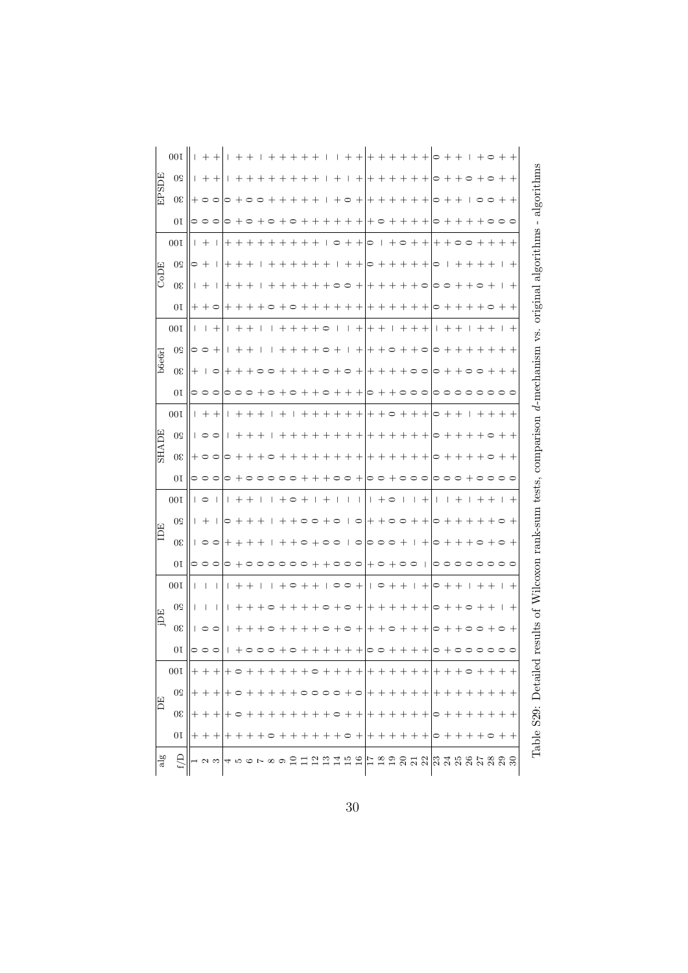|               | 00 <sub>I</sub> |                     | $+ + +$                                                         |  | <b>I + + I + + + + + I</b>          |         |       |                     |        |                             |  |                             |                             |             |  |  |                           |         |              |       | $  + +   + + + + + + +   \circ + +   + \circ + +  $           |     |                            |
|---------------|-----------------|---------------------|-----------------------------------------------------------------|--|-------------------------------------|---------|-------|---------------------|--------|-----------------------------|--|-----------------------------|-----------------------------|-------------|--|--|---------------------------|---------|--------------|-------|---------------------------------------------------------------|-----|----------------------------|
|               | 0 <sup>o</sup>  |                     | $+ + +$                                                         |  | $1 + + + + + + + + +$               |         |       |                     |        |                             |  |                             |                             |             |  |  |                           |         |              |       | $  +   +   +   + + + + + +   \circ + + \circ + \circ + + +  $ |     |                            |
| EPSDE         | 30              |                     |                                                                 |  |                                     |         |       |                     |        |                             |  |                             |                             |             |  |  |                           |         |              |       |                                                               |     |                            |
|               | 0I              |                     | $\circ\circ\circ$                                               |  |                                     |         |       |                     |        |                             |  |                             |                             |             |  |  |                           |         |              |       |                                                               |     |                            |
|               | 001             | $+ +$               |                                                                 |  | + + + + + + + + + + 0 + +           |         |       |                     |        |                             |  |                             |                             |             |  |  |                           |         |              |       | ㅇ   +ㅇ + + + +ㅇㅇ + + + +                                      |     |                            |
| 闰             | 0 <sup>o</sup>  | $\circ$ + 1         |                                                                 |  | $+ + + + +$                         |         |       | $+ + + + + + + + +$ |        |                             |  |                             |                             |             |  |  |                           |         |              |       |                                                               |     |                            |
| 5<br>3        | 30              | $+ +$               |                                                                 |  | + + + 1 + +                         |         |       |                     |        | $+++$ 0 0 +                 |  |                             |                             |             |  |  |                           |         |              |       | + + + + + 0   0 0 + + 0 + + +                                 |     |                            |
|               | 0I              |                     |                                                                 |  |                                     |         |       |                     |        |                             |  |                             |                             |             |  |  |                           |         |              |       |                                                               |     |                            |
|               |                 |                     | $++\circ$                                                       |  | $+ + + + \circ + \circ + + + + + +$ |         |       |                     |        |                             |  |                             |                             |             |  |  | $+ + + + + + + + +$       |         |              |       | $+$ $\circ$ $+$ $+$                                           |     |                            |
|               | 00I             |                     | $1 +$                                                           |  | $1 + + 1$                           |         | $+ +$ |                     |        | $+ + \circ + +$             |  |                             |                             | + + + + + + |  |  |                           | $+ + +$ | $\mathbf{I}$ | $+ +$ | $+$                                                           |     |                            |
| b6e6r         | 90              |                     | ○ ○ +                                                           |  | $1 + + 1$                           |         |       |                     |        |                             |  |                             | $  + + + + + \circ +   +  $ |             |  |  |                           |         |              |       | $ ++\circ ++\circ  \circ +++++++$                             |     |                            |
|               | 30              |                     | $+$   $\circ$                                                   |  | $+ + + \circ \circ +$               |         |       |                     | $^{+}$ | $+$ $\circ$ $+$ $\circ$ $+$ |  |                             |                             |             |  |  |                           |         |              |       | $+ + + + \circ \circ   \circ + + \circ \circ + + +$           |     |                            |
|               | 0I              |                     | o o o  o o o + o + o + + o + + +                                |  |                                     |         |       |                     |        |                             |  |                             |                             |             |  |  |                           |         |              |       | ㅇ + + ㅇ ㅇ ㅇ ㅇ ㅇ ㅇ ㅇ ㅇ ㅇ ㅇ ㅇ                                   |     |                            |
|               | 001             |                     | $+ + +$                                                         |  | 1 + + + 1 + 1 + + + + + +           |         |       |                     |        |                             |  |                             |                             |             |  |  |                           |         |              |       | + + 0 + + +  0 + + + + + + +                                  |     |                            |
| <b>SHADE</b>  | 50              |                     | $\overline{\phantom{0}}$ $\overline{\phantom{0}}$               |  | 1 + + + 1 + + + + + + + +           |         |       |                     |        |                             |  |                             |                             |             |  |  |                           |         |              |       | + + + + + + + + + + + 0 + +                                   |     |                            |
|               | 30              |                     | $+ \circ \circ$                                                 |  | $0 + + + 0 + + + + + + + +$         |         |       |                     |        |                             |  |                             |                             |             |  |  |                           |         |              |       | + + + + + + + + + + + 0 + +                                   |     |                            |
|               | 0 <sub>I</sub>  |                     | 000                                                             |  | o +ooooo + + +oo +                  |         |       |                     |        |                             |  |                             |                             |             |  |  |                           |         |              |       | ㅇㅇ + ㅇㅇㅇ ㅇㅇㅇ + ㅇㅇㅇㅇ                                           |     |                            |
|               | 001             | $\vert \circ \vert$ |                                                                 |  | + +     + 0 +   +                   |         |       |                     |        |                             |  |                             |                             |             |  |  |                           |         |              |       | + 0     +     +   + +   +                                     |     |                            |
| 디             | 50              | $+ + +$             |                                                                 |  | ㅇ + + + ㅣ + +ㅇㅇ +ㅇ ㅣㅇ               |         |       |                     |        |                             |  |                             |                             |             |  |  |                           |         |              |       |                                                               |     |                            |
| ⊟             | 30              |                     | $\circ$                                                         |  | $++++$                              |         | $+$   |                     |        |                             |  |                             |                             |             |  |  |                           |         |              |       |                                                               |     |                            |
|               | 0I              |                     | ○○○○○ +○○○○○○ ++○○○ +○ +○○ Ⅰ ○○○○○○○○                           |  |                                     |         |       |                     |        |                             |  |                             |                             |             |  |  |                           |         |              |       |                                                               |     |                            |
|               | 001             | $\mathbf{I}$        | $\mathbf{I}$                                                    |  | + +     + 0 + +   0 0 +             |         |       |                     |        |                             |  |                             |                             |             |  |  |                           |         |              |       |                                                               |     |                            |
|               | 50              | $\mathbf{I}$        |                                                                 |  | $1 + + + \circ +$                   |         |       | $^{+}$              |        |                             |  | $+$ $\circ$ $+$ $\circ$ $+$ |                             |             |  |  | $+ + + + + + + + + + + +$ |         |              |       |                                                               | $+$ |                            |
| ≘             | 30              |                     | $\overline{\phantom{0}}$ $\overline{\phantom{0}}$               |  | $1 + + + \circ +$                   |         |       |                     |        | $+ + \circ + \circ +$       |  |                             |                             |             |  |  |                           |         |              |       | + + 0 + + +  0 + + 0 0 + 0 +                                  |     |                            |
|               | 0I              |                     | $\circ \circ \circ$                                             |  | $+$ $\circ$ $\circ$                 | $\circ$ |       | っ                   |        |                             |  | $++$ $+$                    |                             |             |  |  |                           |         |              |       | ○○++++ ○+○○○○○○                                               |     |                            |
|               | 001             |                     |                                                                 |  |                                     |         |       |                     |        |                             |  |                             |                             |             |  |  |                           |         |              |       |                                                               |     | $\ddot{z}$                 |
|               | 0 <sup>o</sup>  |                     | │+ + +│+ ○ + + + + + ○ ○ ○ ○ → ○│+ + + + + + +  + + + + + + + + |  |                                     |         |       |                     |        |                             |  |                             |                             |             |  |  |                           |         |              |       |                                                               |     | ć                          |
| 囜<br>≏        | 30              |                     |                                                                 |  |                                     |         |       |                     |        |                             |  |                             |                             |             |  |  |                           |         |              |       |                                                               |     |                            |
|               | 0 <sub>I</sub>  |                     |                                                                 |  |                                     |         |       |                     |        |                             |  |                             |                             |             |  |  |                           |         |              |       |                                                               |     | Coo                        |
|               |                 |                     |                                                                 |  |                                     |         |       |                     |        |                             |  |                             |                             |             |  |  |                           |         |              |       |                                                               |     | $T_{\alpha}$ $L1_{\alpha}$ |
| $\frac{1}{6}$ | A               |                     |                                                                 |  |                                     |         |       |                     |        |                             |  |                             |                             |             |  |  |                           |         |              |       |                                                               |     |                            |

Table S29: Detailed results of Wilcoxon rank-sum tests, comparison d-mechanism vs. original algorithms - algorithms Table S29: Detailed results of Wilcoxon rank-sum tests, comparison *d*-mechanism vs. original algorithms - algorithms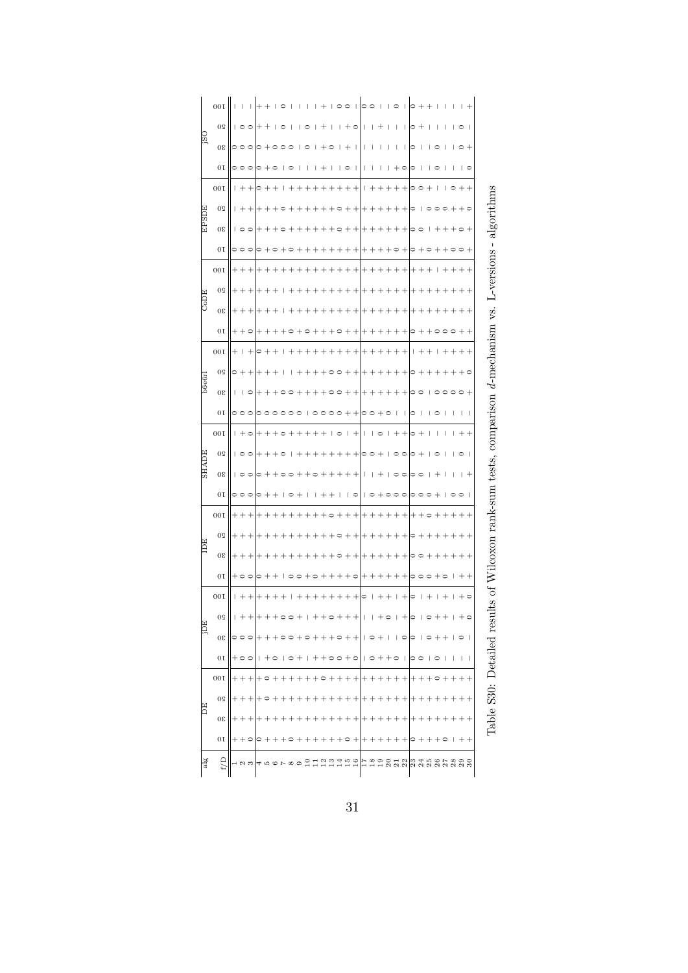|              | 00I            |                                  |                          |                       |   |                   |        |              |                          |                |    |           |        | $\overline{\phantom{a}}$ |             |                          |                          | っ       |              |                     |                |                                  |                           |         |         |         |                          | I             | $\overline{\phantom{a}}$ |         |                          |                                   |
|--------------|----------------|----------------------------------|--------------------------|-----------------------|---|-------------------|--------|--------------|--------------------------|----------------|----|-----------|--------|--------------------------|-------------|--------------------------|--------------------------|---------|--------------|---------------------|----------------|----------------------------------|---------------------------|---------|---------|---------|--------------------------|---------------|--------------------------|---------|--------------------------|-----------------------------------|
|              | 0 <sup>o</sup> |                                  |                          | $\circ$               |   |                   |        | $\circ$      |                          |                |    |           |        | $\overline{\phantom{a}}$ |             |                          | $\circ$                  |         |              |                     |                | $\overline{\phantom{a}}$         | I                         | 0       |         | 1       | 1                        | ı             | ı                        | $\circ$ | - 1                      |                                   |
| osi          | 30             |                                  | $\circ$                  | $\circ$               |   |                   |        |              | $\circ$                  | т              |    | I         |        | $+$ $\circ$              | I           |                          | -1                       |         |              |                     | ı              | $\overline{\phantom{a}}$         | I                         |         | ı       |         | $\supset$                | I             | ı                        |         | $\circ$ +                |                                   |
|              | 0 <sub>T</sub> |                                  |                          | $\circ \circ \circ$   |   | $\circ$ + $\circ$ |        | $\mathbf{L}$ | $\circ$                  |                |    | I         | $^{+}$ | $\overline{\phantom{a}}$ |             | $\circ$                  | л                        | ı       | 1            | ı                   | $\mathbf{I}$   | $+$ $\circ$                      |                           | 0       | J       | т       | $\circ$                  | I             | $\overline{\phantom{a}}$ |         | $\overline{\phantom{0}}$ |                                   |
|              | 00I            |                                  |                          | $1 + +$               |   | $\circ$ $+$       |        | 1            | $^{+}$                   | $\overline{+}$ |    |           | $^{+}$ | $^{+}$                   | $^{+}$      | $^{+}$                   | $\overline{\phantom{a}}$ | Т       | ⊣            |                     |                | $\overline{\phantom{0}}$         | $^{+}$                    | ≏       | $\circ$ |         | $\overline{\phantom{a}}$ | ı             | $\circ$                  | $^{+}$  | $^{+}$                   |                                   |
|              | 0 <sup>o</sup> |                                  | $+$                      | $\frac{1}{2}$         |   |                   |        |              |                          |                |    |           |        |                          |             |                          |                          |         |              |                     |                |                                  |                           |         | ı       |         |                          |               |                          |         | $+$ $\circ$              |                                   |
| <b>EPSDE</b> | 30             |                                  | $\overline{\phantom{0}}$ | $\circ$               |   |                   |        |              |                          |                |    |           |        |                          |             |                          |                          |         |              |                     |                |                                  |                           |         |         |         |                          |               |                          |         |                          |                                   |
|              | 0 <sub>T</sub> |                                  |                          |                       |   |                   |        |              |                          |                |    |           |        |                          |             |                          |                          |         |              |                     |                |                                  |                           |         |         |         |                          |               |                          |         |                          | $L$ -versions - algori            |
|              | 00I            | ╄                                |                          |                       |   |                   |        |              |                          |                |    |           |        |                          |             |                          |                          |         |              |                     |                |                                  |                           |         |         |         |                          |               |                          |         |                          |                                   |
|              | 0 <sup>o</sup> |                                  |                          |                       |   |                   |        |              |                          |                |    |           |        |                          |             |                          |                          |         |              |                     |                |                                  |                           |         |         |         |                          |               |                          |         |                          |                                   |
| CoDE         | 30             |                                  |                          |                       |   |                   |        |              |                          |                |    |           |        |                          |             |                          |                          |         |              |                     |                |                                  |                           |         |         |         |                          |               |                          |         |                          | νs.                               |
|              | 0 <sub>T</sub> |                                  |                          |                       |   |                   |        |              |                          |                |    |           |        |                          |             |                          |                          |         |              |                     |                |                                  |                           |         |         |         |                          |               |                          |         |                          |                                   |
|              | 00I            | $\hskip 0.025cm +$               | ı                        | $^{+}$                | っ |                   |        |              |                          |                |    |           |        |                          |             |                          |                          |         |              |                     |                |                                  |                           |         |         |         |                          |               |                          |         |                          | $d$ -mechanism                    |
|              | 0 <sup>o</sup> |                                  |                          |                       |   |                   |        |              |                          |                |    |           |        |                          |             |                          |                          |         |              |                     |                |                                  |                           |         |         |         |                          |               |                          |         | ○                        |                                   |
| b6e6r        | 08             | ı                                | ı                        | $\circ$               |   |                   |        |              |                          |                |    |           |        |                          |             |                          |                          |         |              |                     |                |                                  |                           |         |         |         |                          | $\circ$       |                          |         | $\circ$ +                |                                   |
|              | 0 <sub>T</sub> |                                  |                          | $\circ$               |   |                   |        |              |                          |                |    |           |        |                          |             |                          |                          | 0       |              |                     |                |                                  | I                         | 0       | ı       | ı       |                          |               | $\overline{\phantom{a}}$ | ı       | $\overline{1}$           |                                   |
|              | 00I            | I                                |                          | ہ -                   |   |                   |        |              |                          |                |    |           |        | $\overline{\phantom{a}}$ | $\circ$     | $\overline{\phantom{a}}$ |                          |         | $\mathbf{I}$ | $\circ$             |                |                                  |                           |         |         |         |                          |               |                          |         |                          | lcoxon rank-sum tests, comparison |
|              | 0 <sup>o</sup> |                                  |                          | 0                     |   |                   |        |              |                          |                |    |           |        |                          |             |                          |                          |         | 00           |                     | I              | $\circ$ $\circ$                  |                           | 0       |         | I       | $\circ$                  | I             | $\mathbf{I}$             | $\circ$ | $\overline{\phantom{0}}$ |                                   |
| <b>HADE</b>  | $30\,$         |                                  |                          | 0                     |   |                   |        |              |                          |                |    |           |        |                          |             |                          |                          |         |              |                     | $\overline{1}$ | $\circ$                          |                           | ≏       | ○       |         |                          | I             | $\overline{\phantom{a}}$ | ı       | $^{+}$                   |                                   |
|              | 0 <sub>T</sub> |                                  |                          | $\circ \circ \circ$   |   |                   |        |              |                          |                |    |           |        |                          |             |                          | $\circ$                  |         | $\circ$      |                     | $\circ$        |                                  | $\circ$                   |         | $\circ$ | $\circ$ |                          | ı             | $\circ$                  |         | $\overline{\phantom{a}}$ |                                   |
|              | 00I            |                                  |                          |                       |   |                   |        |              |                          |                |    |           |        |                          |             |                          |                          |         |              |                     |                |                                  |                           |         |         |         |                          |               |                          |         |                          |                                   |
|              | 0 <sup>o</sup> |                                  |                          |                       |   |                   |        |              |                          |                |    |           |        |                          |             |                          |                          |         |              |                     |                |                                  |                           |         |         |         |                          |               |                          |         |                          |                                   |
| IDE          | $30\,$         | $\hspace{0.1mm} +\hspace{0.1mm}$ |                          |                       |   |                   |        |              |                          |                |    |           |        |                          |             |                          |                          |         |              |                     |                |                                  | $^+$                      | 0       | $\Box$  |         |                          |               |                          |         | $^{+}$                   |                                   |
|              | 0 <sub>T</sub> |                                  |                          | $+ \circ \circ$       |   | $\circ$ +         |        |              | $\overline{\phantom{0}}$ |                |    | $+ \circ$ |        |                          |             | $++\circ$                |                          |         |              |                     |                | $^+$                             |                           | $\circ$ | $\circ$ | $\circ$ |                          | $\circ$       | $\overline{\phantom{a}}$ |         | $++$                     |                                   |
|              | 00I            | ı                                |                          |                       |   |                   |        |              |                          |                |    |           |        |                          |             |                          |                          | $\circ$ |              |                     |                |                                  |                           | 0       | ı       |         | $\overline{\phantom{a}}$ |               |                          |         | $\cdot$ $\circ$          | $10\,$ $\rm{dB}$                  |
|              | $0\,$          |                                  |                          | $+ + +$               |   | +++00             |        |              |                          | $\,$ $\,$      | I. | $^{+}$    |        |                          |             |                          |                          |         |              |                     |                |                                  |                           |         |         |         |                          |               |                          |         |                          |                                   |
| E            | $30\,$         |                                  |                          | $\circ \circ \circ$   |   |                   |        |              | $+ \circ \circ$          |                |    |           |        |                          |             |                          | $+$ $\circ$ $+$ $+$      |         |              | $1$ $\circ$ $+$ $1$ |                |                                  | $  \circ   \circ   \circ$ |         |         |         |                          | $+++$         |                          |         |                          |                                   |
|              | 0 <sub>T</sub> |                                  |                          | $+ \circ \circ$       |   | $+$ $\circ$       |        |              | $1$ $\circ$ $+$          |                | T. |           |        |                          |             |                          | ++00+0  0++0  00  0      |         |              |                     |                |                                  |                           |         |         |         |                          | J.            | J.                       |         | $\vert \ \ \vert$        |                                   |
|              | 00I            |                                  |                          | $++ +$                |   | $+ \circ$         |        |              |                          |                |    |           |        | $\circ$ +                |             | $++ +$                   |                          |         | $++ +$       |                     | $^{+}$         | $++$                             |                           | $^+$    |         |         |                          |               |                          |         | $+ +$                    |                                   |
|              | 0 <sup>o</sup> |                                  |                          | $+$                   |   |                   |        |              |                          |                |    |           |        |                          |             |                          |                          |         |              |                     |                |                                  | $^{+}$                    |         |         |         |                          |               |                          |         | $^{+}$                   |                                   |
| E            | $30\,$         |                                  |                          | $+++$                 |   |                   |        |              |                          |                |    |           |        |                          |             |                          |                          |         |              |                     |                |                                  | $^{+}$                    |         |         |         |                          |               |                          |         | $++$                     | Table S30: Detailed resu          |
|              | 0 <sub>T</sub> |                                  |                          | $+ + \circ   \circ +$ |   |                   | $^{+}$ |              | $+ \circ +$              |                |    |           |        |                          | $++\circ +$ |                          |                          | $^+$    |              |                     |                | $\hspace{0.1mm} +\hspace{0.1mm}$ | $^+$                      | ∣⊂      |         |         |                          | $+$ $\circ$   | $\overline{\phantom{a}}$ |         | $++$                     |                                   |
| alg          | E/D            |                                  |                          | $\sim$                |   |                   |        |              | ∞ ာ                      |                | ≅  |           |        | $\frac{2}{13}$           |             |                          | $759$<br>$-75$           |         |              |                     |                |                                  |                           |         |         |         |                          | saasaasaasaas |                          |         |                          |                                   |

| $\frac{1}{2}$ |  |
|---------------|--|
| $+ -$         |  |
| $+ -$         |  |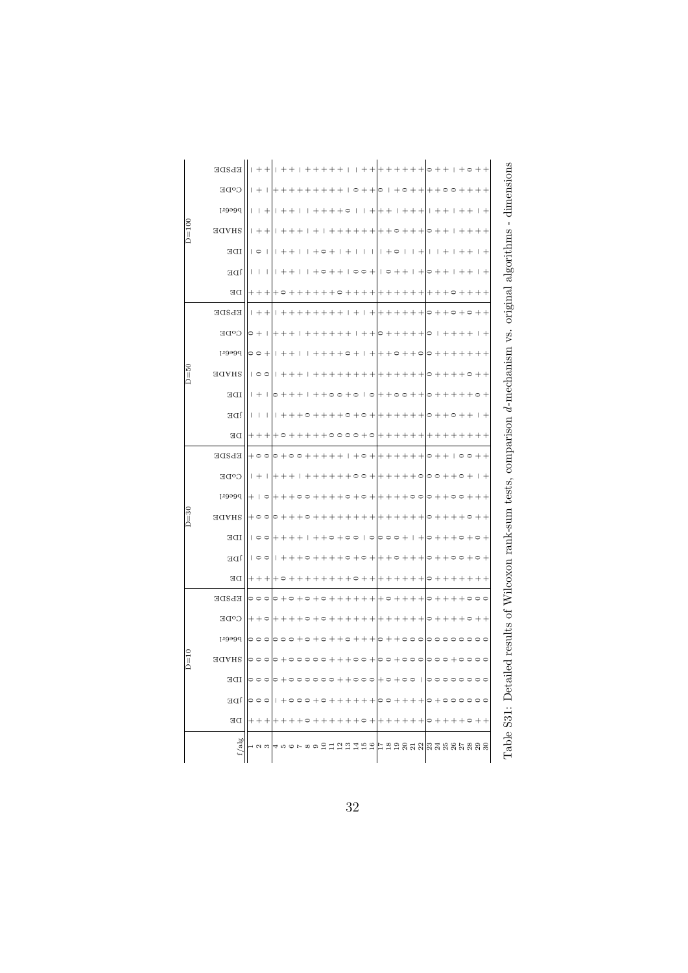| $D=100$ | EPSDE<br>CODE<br>peeer1 | $^{+}$<br>┽                                          |        |  |                |                 |              |    |                 |           |                          | $\overline{\phantom{a}}$ | $\begin{array}{c} \end{array}$ |                          |         |                          | 0<br>I                   |         |         |         | $\circ$ |                                                                                |              | Table S31: Detailed results of Wilcoxon rank-sum tests, comparison d-mechanism vs. original algorithms - dimensions |
|---------|-------------------------|------------------------------------------------------|--------|--|----------------|-----------------|--------------|----|-----------------|-----------|--------------------------|--------------------------|--------------------------------|--------------------------|---------|--------------------------|--------------------------|---------|---------|---------|---------|--------------------------------------------------------------------------------|--------------|---------------------------------------------------------------------------------------------------------------------|
|         | <b>SHADE</b>            | $\overline{\phantom{0}}$                             |        |  |                |                 |              |    |                 |           |                          |                          |                                |                          |         |                          | ∊                        |         |         |         |         |                                                                                |              |                                                                                                                     |
|         | IDE                     | $\overline{1}$                                       |        |  |                |                 |              |    |                 | ı         | I                        | $\overline{+}$           | $\circ$                        | $\overline{\phantom{a}}$ | I       | $+$                      | $\overline{\phantom{a}}$ | I       |         |         |         |                                                                                | $^{+}$       |                                                                                                                     |
|         | j <sub>DE</sub>         | $\overline{\phantom{a}}$<br>$\overline{\phantom{a}}$ |        |  |                |                 |              |    |                 |           |                          | $\circ$                  |                                |                          |         |                          |                          |         |         |         |         |                                                                                |              |                                                                                                                     |
|         | DE                      |                                                      |        |  |                |                 |              |    |                 |           |                          |                          |                                |                          |         |                          |                          |         |         |         |         |                                                                                |              |                                                                                                                     |
|         | EPSDE                   |                                                      |        |  |                |                 |              |    |                 | $\ddot{}$ |                          |                          |                                |                          |         |                          |                          |         |         |         |         |                                                                                |              |                                                                                                                     |
|         | C <sup>O</sup> DE       |                                                      |        |  |                |                 |              |    |                 |           |                          |                          |                                |                          |         |                          |                          |         |         |         |         |                                                                                |              |                                                                                                                     |
|         | peeerl                  |                                                      |        |  |                |                 |              |    |                 |           |                          |                          |                                |                          |         | $\circ$                  |                          |         |         |         |         |                                                                                |              |                                                                                                                     |
| $D=50$  | <b>HADE</b>             | $\circ$                                              |        |  |                |                 |              |    |                 |           |                          |                          |                                |                          |         |                          |                          |         |         |         |         |                                                                                |              |                                                                                                                     |
|         | IDE                     |                                                      |        |  |                |                 |              |    |                 |           |                          |                          |                                |                          |         |                          |                          |         |         |         |         |                                                                                |              |                                                                                                                     |
|         | jDE                     | $\overline{\phantom{a}}$<br>ı                        |        |  |                |                 |              |    |                 |           |                          |                          |                                |                          |         |                          |                          |         |         |         |         |                                                                                | $\,{}^{+}\,$ |                                                                                                                     |
|         | DE                      |                                                      |        |  |                |                 |              |    |                 |           |                          |                          |                                |                          |         |                          |                          |         |         |         |         |                                                                                |              |                                                                                                                     |
|         | EPSDE                   |                                                      |        |  |                |                 | I            |    |                 |           |                          |                          |                                |                          |         | $^{+}$                   |                          |         |         |         |         |                                                                                |              |                                                                                                                     |
|         | $C^oDE$                 |                                                      |        |  |                |                 |              |    |                 |           |                          |                          |                                |                          |         |                          |                          |         |         |         |         |                                                                                |              |                                                                                                                     |
|         | peeer1                  |                                                      |        |  |                |                 |              |    |                 |           |                          |                          |                                |                          |         | $\circ$                  |                          |         |         |         |         |                                                                                |              |                                                                                                                     |
| $D=30$  | <b>SHADE</b>            |                                                      |        |  |                |                 |              |    |                 |           |                          |                          |                                |                          |         |                          |                          |         |         |         |         |                                                                                |              |                                                                                                                     |
|         | IDE                     | $\circ$                                              |        |  |                |                 |              |    |                 | $\circ$   |                          |                          |                                |                          |         |                          | ∊                        |         |         |         |         |                                                                                |              |                                                                                                                     |
|         | j <sub>DE</sub>         | 100                                                  |        |  |                |                 |              |    |                 |           |                          |                          |                                |                          |         |                          |                          |         |         |         |         |                                                                                |              |                                                                                                                     |
|         | DE                      |                                                      |        |  |                |                 |              |    |                 |           |                          |                          |                                |                          |         |                          |                          |         |         |         |         |                                                                                |              |                                                                                                                     |
|         | EPSDE                   | $\circ$<br>0                                         |        |  |                |                 |              |    |                 |           |                          | $\circ$                  |                                |                          |         | $+$                      | $\circ$                  |         |         |         |         |                                                                                | $\Box$       |                                                                                                                     |
| $D=10$  | C <sup>O</sup> DE       |                                                      |        |  |                |                 |              |    |                 |           |                          |                          |                                |                          |         |                          | ∊                        |         |         |         |         |                                                                                |              |                                                                                                                     |
|         | peeer1                  | $\circ$                                              |        |  |                |                 |              |    |                 |           |                          |                          |                                | $\circ$                  | $\circ$ | $\circ$                  | 0                        | $\circ$ | $\circ$ | $\circ$ | $\circ$ | $\circ$                                                                        |              |                                                                                                                     |
|         | SHADE                   |                                                      |        |  |                |                 |              |    |                 |           |                          | $\circ$                  | $^{+}$                         | $\circ$                  | $\circ$ | $\circ$                  | $\circ$                  | $\circ$ | $\circ$ |         |         |                                                                                |              |                                                                                                                     |
|         | IDE                     | $\circ$                                              |        |  |                |                 |              |    |                 | $\circ$   | + 0                      |                          |                                | $+ \circ \circ$          |         | $\overline{\phantom{a}}$ | $\circ$                  |         |         |         |         | $\begin{array}{c} \circ \circ \circ \circ \circ \circ \circ \circ \end{array}$ |              |                                                                                                                     |
|         | j <sub>DE</sub>         | $\circ$                                              |        |  |                |                 |              |    |                 |           |                          |                          |                                |                          |         |                          |                          |         |         |         |         |                                                                                |              |                                                                                                                     |
|         | DE                      | $^{+}$                                               |        |  |                |                 |              |    | $\circ$         | $^{+}$    | $\overline{\phantom{a}}$ | $^{+}$                   | $^{+}$                         |                          |         | $^{+}$                   | $\circ$                  | $^{+}$  |         |         | $\circ$ |                                                                                |              |                                                                                                                     |
|         | f/alg                   | $\frac{2}{3}$                                        | 456789 |  | $\overline{a}$ | $\overline{12}$ | $\mathbf{r}$ | 14 | $\frac{15}{16}$ |           | Frangramer ses pa        |                          |                                |                          |         |                          |                          |         |         |         |         |                                                                                |              |                                                                                                                     |